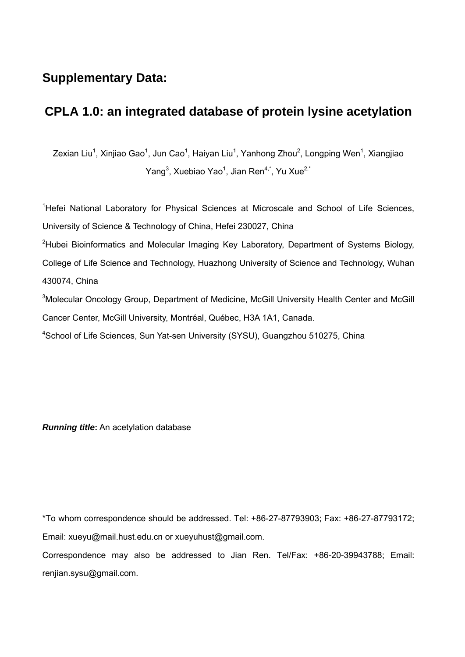## **Supplementary Data:**

## **CPLA 1.0: an integrated database of protein lysine acetylation**

Zexian Liu<sup>1</sup>, Xinjiao Gao<sup>1</sup>, Jun Cao<sup>1</sup>, Haiyan Liu<sup>1</sup>, Yanhong Zhou<sup>2</sup>, Longping Wen<sup>1</sup>, Xiangjiao Yang<sup>3</sup>, Xuebiao Yao<sup>1</sup>, Jian Ren<sup>4,\*</sup>, Yu Xue<sup>2,\*</sup>

<sup>1</sup>Hefei National Laboratory for Physical Sciences at Microscale and School of Life Sciences, University of Science & Technology of China, Hefei 230027, China

<sup>2</sup>Hubei Bioinformatics and Molecular Imaging Key Laboratory, Department of Systems Biology, College of Life Science and Technology, Huazhong University of Science and Technology, Wuhan 430074, China

<sup>3</sup>Molecular Oncology Group, Department of Medicine, McGill University Health Center and McGill Cancer Center, McGill University, Montréal, Québec, H3A 1A1, Canada.

<sup>4</sup>School of Life Sciences, Sun Yat-sen University (SYSU), Guangzhou 510275, China

*Running title***:** An acetylation database

\*To whom correspondence should be addressed. Tel: +86-27-87793903; Fax: +86-27-87793172; Email: xueyu@mail.hust.edu.cn or xueyuhust@gmail.com.

Correspondence may also be addressed to Jian Ren. Tel/Fax: +86-20-39943788; Email: renjian.sysu@gmail.com.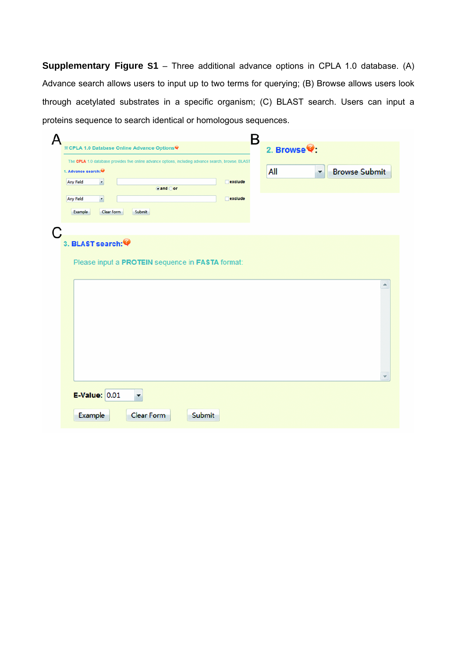**Supplementary Figure S1** – Three additional advance options in CPLA 1.0 database. (A) Advance search allows users to input up to two terms for querying; (B) Browse allows users look through acetylated substrates in a specific organism; (C) BLAST search. Users can input a proteins sequence to search identical or homologous sequences.

| B<br>д                                                                                              |                                                     |
|-----------------------------------------------------------------------------------------------------|-----------------------------------------------------|
| <b>※CPLA 1.0 Database Online Advance Options®</b>                                                   | 2. Browse <sup>.</sup>                              |
| The CPLA 1.0 database provides five online advance options, including advance search, browse, BLAST |                                                     |
| 1. Advance search: 4<br>Any Field<br>$\check{\phantom{a}}$<br>$\Box$ exclude                        | <b>Browse Submit</b><br>All<br>$\blacktriangledown$ |
| $\odot$ and $\odot$ or                                                                              |                                                     |
| Any Field<br>$\star$<br>$\Box$ exclude                                                              |                                                     |
| Example<br>Clear Form<br>Submit                                                                     |                                                     |
| C                                                                                                   |                                                     |
| 3. BLAST search:                                                                                    |                                                     |
|                                                                                                     |                                                     |
| Please input a PROTEIN sequence in FASTA format:                                                    |                                                     |
|                                                                                                     | ۸                                                   |
|                                                                                                     |                                                     |
|                                                                                                     |                                                     |
|                                                                                                     |                                                     |
|                                                                                                     |                                                     |
|                                                                                                     |                                                     |
|                                                                                                     |                                                     |
|                                                                                                     |                                                     |
|                                                                                                     |                                                     |
| <b>E-Value: 0.01</b><br>$\blacktriangledown$                                                        |                                                     |
| Clear Form<br>Submit<br><b>Example</b>                                                              |                                                     |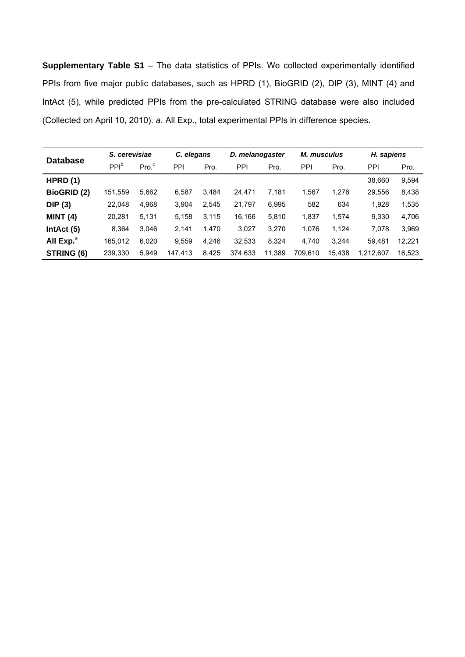**Supplementary Table S1** – The data statistics of PPIs. We collected experimentally identified PPIs from five major public databases, such as HPRD (1), BioGRID (2), DIP (3), MINT (4) and IntAct (5), while predicted PPIs from the pre-calculated STRING database were also included (Collected on April 10, 2010). *a*. All Exp., total experimental PPIs in difference species.

| <b>Database</b>       | S. cerevisiae |                  |         | C. elegans |         | D. melanogaster |         | <b>M.</b> musculus |           | H. sapiens |  |
|-----------------------|---------------|------------------|---------|------------|---------|-----------------|---------|--------------------|-----------|------------|--|
|                       | $PPI^b$       | Pro <sup>c</sup> | PPI     | Pro.       | PPI     | Pro.            | PPI     | Pro.               | PPI       | Pro.       |  |
| HPRD(1)               |               |                  |         |            |         |                 |         |                    | 38,660    | 9,594      |  |
| <b>BioGRID (2)</b>    | 151,559       | 5,662            | 6.587   | 3.484      | 24.471  | 7,181           | 1,567   | 1.276              | 29,556    | 8,438      |  |
| DIP(3)                | 22.048        | 4,968            | 3.904   | 2.545      | 21,797  | 6,995           | 582     | 634                | 1,928     | 1,535      |  |
| <b>MINT (4)</b>       | 20.281        | 5.131            | 5,158   | 3.115      | 16.166  | 5,810           | 1,837   | 1.574              | 9.330     | 4.706      |  |
| IntAct (5)            | 8.364         | 3.046            | 2.141   | 1.470      | 3.027   | 3,270           | 1.076   | 1.124              | 7.078     | 3,969      |  |
| All Exp. <sup>a</sup> | 165,012       | 6,020            | 9,559   | 4,246      | 32,533  | 8,324           | 4,740   | 3.244              | 59.481    | 12,221     |  |
| STRING (6)            | 239,330       | 5,949            | 147.413 | 8,425      | 374,633 | 11,389          | 709.610 | 15.438             | 1.212.607 | 16,523     |  |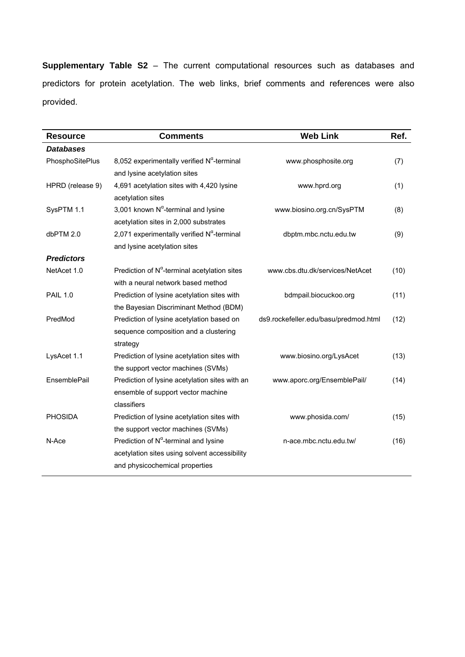**Supplementary Table S2** – The current computational resources such as databases and predictors for protein acetylation. The web links, brief comments and references were also provided.

| <b>Resource</b>   | <b>Comments</b>                                        | <b>Web Link</b>                       | Ref. |
|-------------------|--------------------------------------------------------|---------------------------------------|------|
| <b>Databases</b>  |                                                        |                                       |      |
| PhosphoSitePlus   | 8,052 experimentally verified $N^{\alpha}$ -terminal   | www.phosphosite.org                   | (7)  |
|                   | and lysine acetylation sites                           |                                       |      |
| HPRD (release 9)  | 4,691 acetylation sites with 4,420 lysine              | www.hprd.org                          | (1)  |
|                   | acetylation sites                                      |                                       |      |
| SysPTM 1.1        | 3,001 known $N^{\alpha}$ -terminal and lysine          | www.biosino.org.cn/SysPTM             | (8)  |
|                   | acetylation sites in 2,000 substrates                  |                                       |      |
| dbPTM 2.0         | 2,071 experimentally verified $N^{\alpha}$ -terminal   | dbptm.mbc.nctu.edu.tw                 | (9)  |
|                   | and lysine acetylation sites                           |                                       |      |
| <b>Predictors</b> |                                                        |                                       |      |
| NetAcet 1.0       | Prediction of $N^{\alpha}$ -terminal acetylation sites | www.cbs.dtu.dk/services/NetAcet       | (10) |
|                   | with a neural network based method                     |                                       |      |
| <b>PAIL 1.0</b>   | Prediction of lysine acetylation sites with            | bdmpail.biocuckoo.org                 | (11) |
|                   | the Bayesian Discriminant Method (BDM)                 |                                       |      |
| PredMod           | Prediction of lysine acetylation based on              | ds9.rockefeller.edu/basu/predmod.html | (12) |
|                   | sequence composition and a clustering                  |                                       |      |
|                   | strategy                                               |                                       |      |
| LysAcet 1.1       | Prediction of lysine acetylation sites with            | www.biosino.org/LysAcet               | (13) |
|                   | the support vector machines (SVMs)                     |                                       |      |
| EnsemblePail      | Prediction of lysine acetylation sites with an         | www.aporc.org/EnsemblePail/           | (14) |
|                   | ensemble of support vector machine                     |                                       |      |
|                   | classifiers                                            |                                       |      |
| <b>PHOSIDA</b>    | Prediction of lysine acetylation sites with            | www.phosida.com/                      | (15) |
|                   | the support vector machines (SVMs)                     |                                       |      |
| N-Ace             | Prediction of $N^{\alpha}$ -terminal and lysine        | n-ace.mbc.nctu.edu.tw/                | (16) |
|                   | acetylation sites using solvent accessibility          |                                       |      |
|                   | and physicochemical properties                         |                                       |      |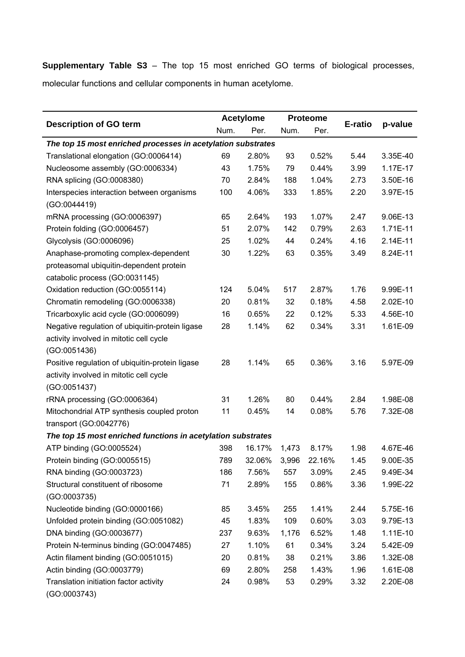**Supplementary Table S3** – The top 15 most enriched GO terms of biological processes, molecular functions and cellular components in human acetylome.

|                                                              |      | <b>Acetylome</b> | <b>Proteome</b> |        |         |            |  |
|--------------------------------------------------------------|------|------------------|-----------------|--------|---------|------------|--|
| <b>Description of GO term</b>                                | Num. | Per.             | Num.            | Per.   | E-ratio | p-value    |  |
| The top 15 most enriched processes in acetylation substrates |      |                  |                 |        |         |            |  |
| Translational elongation (GO:0006414)                        | 69   | 2.80%            | 93              | 0.52%  | 5.44    | 3.35E-40   |  |
| Nucleosome assembly (GO:0006334)                             | 43   | 1.75%            | 79              | 0.44%  | 3.99    | 1.17E-17   |  |
| RNA splicing (GO:0008380)                                    | 70   | 2.84%            | 188             | 1.04%  | 2.73    | 3.50E-16   |  |
| Interspecies interaction between organisms                   | 100  | 4.06%            | 333             | 1.85%  | 2.20    | 3.97E-15   |  |
| (GO:0044419)                                                 |      |                  |                 |        |         |            |  |
| mRNA processing (GO:0006397)                                 | 65   | 2.64%            | 193             | 1.07%  | 2.47    | 9.06E-13   |  |
| Protein folding (GO:0006457)                                 | 51   | 2.07%            | 142             | 0.79%  | 2.63    | 1.71E-11   |  |
| Glycolysis (GO:0006096)                                      | 25   | 1.02%            | 44              | 0.24%  | 4.16    | 2.14E-11   |  |
| Anaphase-promoting complex-dependent                         | 30   | 1.22%            | 63              | 0.35%  | 3.49    | 8.24E-11   |  |
| proteasomal ubiquitin-dependent protein                      |      |                  |                 |        |         |            |  |
| catabolic process (GO:0031145)                               |      |                  |                 |        |         |            |  |
| Oxidation reduction (GO:0055114)                             | 124  | 5.04%            | 517             | 2.87%  | 1.76    | 9.99E-11   |  |
| Chromatin remodeling (GO:0006338)                            | 20   | 0.81%            | 32              | 0.18%  | 4.58    | 2.02E-10   |  |
| Tricarboxylic acid cycle (GO:0006099)                        | 16   | 0.65%            | 22              | 0.12%  | 5.33    | 4.56E-10   |  |
| Negative regulation of ubiquitin-protein ligase              | 28   | 1.14%            | 62              | 0.34%  | 3.31    | 1.61E-09   |  |
| activity involved in mitotic cell cycle                      |      |                  |                 |        |         |            |  |
| (GO:0051436)                                                 |      |                  |                 |        |         |            |  |
| Positive regulation of ubiquitin-protein ligase              | 28   | 1.14%            | 65              | 0.36%  | 3.16    | 5.97E-09   |  |
| activity involved in mitotic cell cycle                      |      |                  |                 |        |         |            |  |
| (GO:0051437)                                                 |      |                  |                 |        |         |            |  |
| rRNA processing (GO:0006364)                                 | 31   | 1.26%            | 80              | 0.44%  | 2.84    | 1.98E-08   |  |
| Mitochondrial ATP synthesis coupled proton                   | 11   | 0.45%            | 14              | 0.08%  | 5.76    | 7.32E-08   |  |
| transport (GO:0042776)                                       |      |                  |                 |        |         |            |  |
| The top 15 most enriched functions in acetylation substrates |      |                  |                 |        |         |            |  |
| ATP binding (GO:0005524)                                     | 398  | 16.17%           | 1,473           | 8.17%  | 1.98    | 4.67E-46   |  |
| Protein binding (GO:0005515)                                 | 789  | 32.06%           | 3,996           | 22.16% | 1.45    | 9.00E-35   |  |
| RNA binding (GO:0003723)                                     | 186  | 7.56%            | 557             | 3.09%  | 2.45    | 9.49E-34   |  |
| Structural constituent of ribosome                           | 71   | 2.89%            | 155             | 0.86%  | 3.36    | 1.99E-22   |  |
| (GO:0003735)                                                 |      |                  |                 |        |         |            |  |
| Nucleotide binding (GO:0000166)                              | 85   | 3.45%            | 255             | 1.41%  | 2.44    | 5.75E-16   |  |
| Unfolded protein binding (GO:0051082)                        | 45   | 1.83%            | 109             | 0.60%  | 3.03    | 9.79E-13   |  |
| DNA binding (GO:0003677)                                     | 237  | 9.63%            | 1,176           | 6.52%  | 1.48    | $1.11E-10$ |  |
| Protein N-terminus binding (GO:0047485)                      | 27   | 1.10%            | 61              | 0.34%  | 3.24    | 5.42E-09   |  |
| Actin filament binding (GO:0051015)                          | 20   | 0.81%            | 38              | 0.21%  | 3.86    | 1.32E-08   |  |
| Actin binding (GO:0003779)                                   | 69   | 2.80%            | 258             | 1.43%  | 1.96    | 1.61E-08   |  |
| Translation initiation factor activity                       | 24   | 0.98%            | 53              | 0.29%  | 3.32    | 2.20E-08   |  |
| (GO:0003743)                                                 |      |                  |                 |        |         |            |  |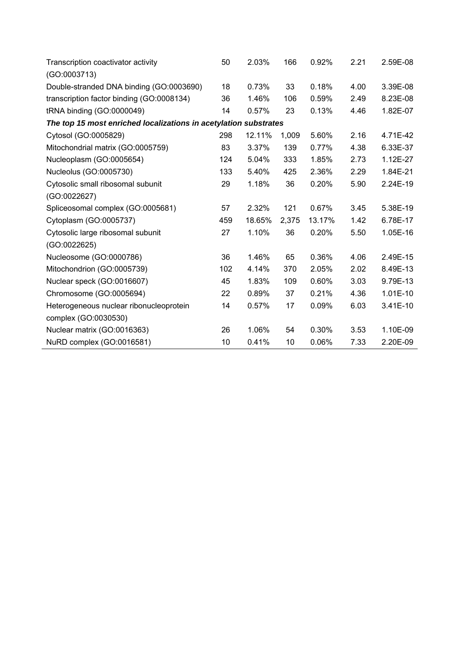| Transcription coactivator activity<br>(GO:0003713)               | 50  | 2.03%  | 166   | 0.92%  | 2.21 | 2.59E-08 |  |  |  |  |  |
|------------------------------------------------------------------|-----|--------|-------|--------|------|----------|--|--|--|--|--|
| Double-stranded DNA binding (GO:0003690)                         | 18  | 0.73%  | 33    | 0.18%  | 4.00 | 3.39E-08 |  |  |  |  |  |
| transcription factor binding (GO:0008134)                        | 36  | 1.46%  | 106   | 0.59%  | 2.49 | 8.23E-08 |  |  |  |  |  |
| tRNA binding (GO:0000049)                                        | 14  | 0.57%  | 23    | 0.13%  | 4.46 | 1.82E-07 |  |  |  |  |  |
| The top 15 most enriched localizations in acetylation substrates |     |        |       |        |      |          |  |  |  |  |  |
| Cytosol (GO:0005829)                                             | 298 | 12.11% | 1,009 | 5.60%  | 2.16 | 4.71E-42 |  |  |  |  |  |
| Mitochondrial matrix (GO:0005759)                                | 83  | 3.37%  | 139   | 0.77%  | 4.38 | 6.33E-37 |  |  |  |  |  |
| Nucleoplasm (GO:0005654)                                         | 124 | 5.04%  | 333   | 1.85%  | 2.73 | 1.12E-27 |  |  |  |  |  |
| Nucleolus (GO:0005730)                                           | 133 | 5.40%  | 425   | 2.36%  | 2.29 | 1.84E-21 |  |  |  |  |  |
| Cytosolic small ribosomal subunit                                | 29  | 1.18%  | 36    | 0.20%  | 5.90 | 2.24E-19 |  |  |  |  |  |
| (GO:0022627)                                                     |     |        |       |        |      |          |  |  |  |  |  |
| Spliceosomal complex (GO:0005681)                                | 57  | 2.32%  | 121   | 0.67%  | 3.45 | 5.38E-19 |  |  |  |  |  |
| Cytoplasm (GO:0005737)                                           | 459 | 18.65% | 2,375 | 13.17% | 1.42 | 6.78E-17 |  |  |  |  |  |
| Cytosolic large ribosomal subunit                                | 27  | 1.10%  | 36    | 0.20%  | 5.50 | 1.05E-16 |  |  |  |  |  |
| (GO:0022625)                                                     |     |        |       |        |      |          |  |  |  |  |  |
| Nucleosome (GO:0000786)                                          | 36  | 1.46%  | 65    | 0.36%  | 4.06 | 2.49E-15 |  |  |  |  |  |
| Mitochondrion (GO:0005739)                                       | 102 | 4.14%  | 370   | 2.05%  | 2.02 | 8.49E-13 |  |  |  |  |  |
| Nuclear speck (GO:0016607)                                       | 45  | 1.83%  | 109   | 0.60%  | 3.03 | 9.79E-13 |  |  |  |  |  |
| Chromosome (GO:0005694)                                          | 22  | 0.89%  | 37    | 0.21%  | 4.36 | 1.01E-10 |  |  |  |  |  |
| Heterogeneous nuclear ribonucleoprotein                          | 14  | 0.57%  | 17    | 0.09%  | 6.03 | 3.41E-10 |  |  |  |  |  |
| complex (GO:0030530)                                             |     |        |       |        |      |          |  |  |  |  |  |
| Nuclear matrix (GO:0016363)                                      | 26  | 1.06%  | 54    | 0.30%  | 3.53 | 1.10E-09 |  |  |  |  |  |
| NuRD complex (GO:0016581)                                        | 10  | 0.41%  | 10    | 0.06%  | 7.33 | 2.20E-09 |  |  |  |  |  |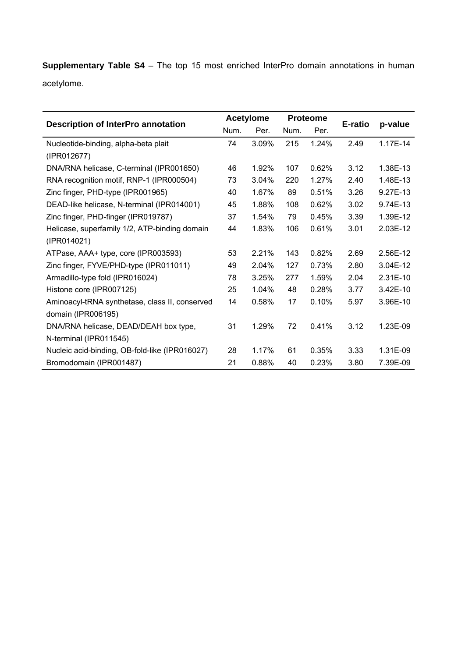**Supplementary Table S4** – The top 15 most enriched InterPro domain annotations in human acetylome.

|                                                |      | <b>Acetylome</b> |      | <b>Proteome</b> |         |          |
|------------------------------------------------|------|------------------|------|-----------------|---------|----------|
| <b>Description of InterPro annotation</b>      | Num. | Per.             | Num. | Per.            | E-ratio | p-value  |
| Nucleotide-binding, alpha-beta plait           | 74   | 3.09%            | 215  | 1.24%           | 2.49    | 1.17E-14 |
| (IPR012677)                                    |      |                  |      |                 |         |          |
| DNA/RNA helicase, C-terminal (IPR001650)       | 46   | 1.92%            | 107  | 0.62%           | 3.12    | 1.38E-13 |
| RNA recognition motif, RNP-1 (IPR000504)       | 73   | 3.04%            | 220  | 1.27%           | 2.40    | 1.48E-13 |
| Zinc finger, PHD-type (IPR001965)              | 40   | 1.67%            | 89   | 0.51%           | 3.26    | 9.27E-13 |
| DEAD-like helicase, N-terminal (IPR014001)     | 45   | 1.88%            | 108  | 0.62%           | 3.02    | 9.74E-13 |
| Zinc finger, PHD-finger (IPR019787)            | 37   | 1.54%            | 79   | 0.45%           | 3.39    | 1.39E-12 |
| Helicase, superfamily 1/2, ATP-binding domain  | 44   | 1.83%            | 106  | 0.61%           | 3.01    | 2.03E-12 |
| (IPR014021)                                    |      |                  |      |                 |         |          |
| ATPase, AAA+ type, core (IPR003593)            | 53   | 2.21%            | 143  | 0.82%           | 2.69    | 2.56E-12 |
| Zinc finger, FYVE/PHD-type (IPR011011)         | 49   | 2.04%            | 127  | 0.73%           | 2.80    | 3.04E-12 |
| Armadillo-type fold (IPR016024)                | 78   | 3.25%            | 277  | 1.59%           | 2.04    | 2.31E-10 |
| Histone core (IPR007125)                       | 25   | 1.04%            | 48   | 0.28%           | 3.77    | 3.42E-10 |
| Aminoacyl-tRNA synthetase, class II, conserved | 14   | 0.58%            | 17   | 0.10%           | 5.97    | 3.96E-10 |
| domain (IPR006195)                             |      |                  |      |                 |         |          |
| DNA/RNA helicase, DEAD/DEAH box type,          | 31   | 1.29%            | 72   | 0.41%           | 3.12    | 1.23E-09 |
| N-terminal (IPR011545)                         |      |                  |      |                 |         |          |
| Nucleic acid-binding, OB-fold-like (IPR016027) | 28   | 1.17%            | 61   | 0.35%           | 3.33    | 1.31E-09 |
| Bromodomain (IPR001487)                        | 21   | 0.88%            | 40   | 0.23%           | 3.80    | 7.39E-09 |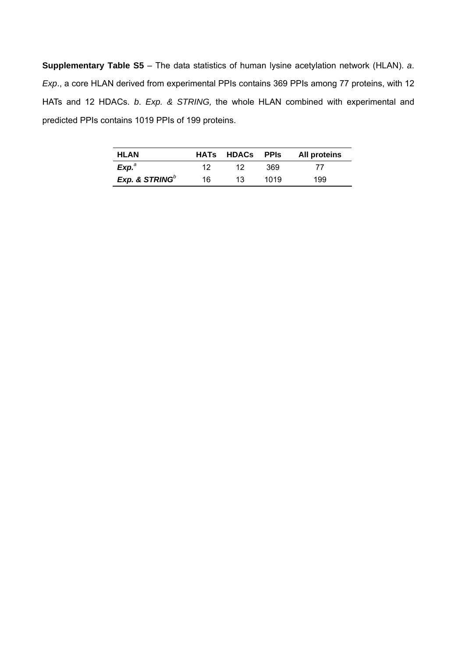**Supplementary Table S5** – The data statistics of human lysine acetylation network (HLAN). *a*. *Exp*., a core HLAN derived from experimental PPIs contains 369 PPIs among 77 proteins, with 12 HATs and 12 HDACs. *b*. *Exp. & STRING,* the whole HLAN combined with experimental and predicted PPIs contains 1019 PPIs of 199 proteins.

| <b>HLAN</b>                |    | HATs HDACs PPIs |      | <b>All proteins</b> |
|----------------------------|----|-----------------|------|---------------------|
| Exp <sup>a</sup>           | 12 |                 | 369  |                     |
| Exp. & STRING <sup>b</sup> | 16 | 13              | 1019 | 199                 |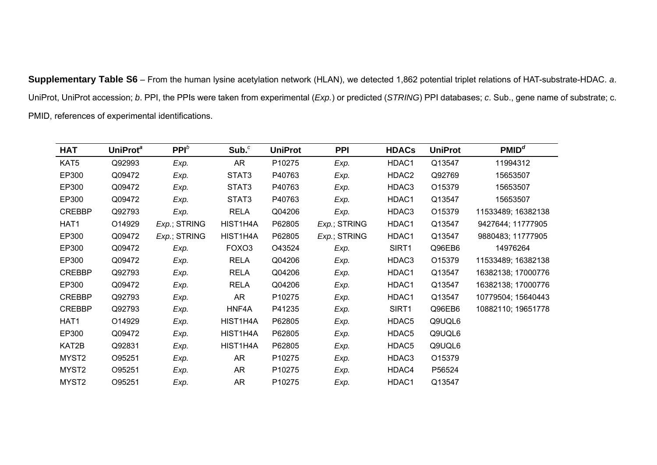**Supplementary Table S6** – From the human lysine acetylation network (HLAN), we detected 1,862 potential triplet relations of HAT-substrate-HDAC. *<sup>a</sup>*. UniProt, UniProt accession; *b*. PPI, the PPIs were taken from experimental (*Exp.*) or predicted (*STRING*) PPI databases; *c*. Sub., gene name of substrate; c. PMID, references of experimental identifications.

| HAT               | UniProt <sup>a</sup> | $PPI^b$      | Sub. <sup>c</sup> | <b>UniProt</b> | <b>PPI</b>   | <b>HDACs</b> | <b>UniProt</b> | PMID <sup>d</sup>  |
|-------------------|----------------------|--------------|-------------------|----------------|--------------|--------------|----------------|--------------------|
| KAT5              | Q92993               | Exp.         | <b>AR</b>         | P10275         | Exp.         | HDAC1        | Q13547         | 11994312           |
| EP300             | Q09472               | Exp.         | STAT3             | P40763         | Exp.         | HDAC2        | Q92769         | 15653507           |
| EP300             | Q09472               | Exp.         | STAT3             | P40763         | Exp.         | HDAC3        | O15379         | 15653507           |
| EP300             | Q09472               | Exp.         | STAT3             | P40763         | Exp.         | HDAC1        | Q13547         | 15653507           |
| <b>CREBBP</b>     | Q92793               | Exp.         | <b>RELA</b>       | Q04206         | Exp.         | HDAC3        | O15379         | 11533489; 16382138 |
| HAT1              | O14929               | Exp.; STRING | HIST1H4A          | P62805         | Exp.; STRING | HDAC1        | Q13547         | 9427644; 11777905  |
| EP300             | Q09472               | Exp.; STRING | HIST1H4A          | P62805         | Exp.; STRING | HDAC1        | Q13547         | 9880483; 11777905  |
| EP300             | Q09472               | Exp.         | FOXO <sub>3</sub> | O43524         | Exp.         | SIRT1        | Q96EB6         | 14976264           |
| EP300             | Q09472               | Exp.         | <b>RELA</b>       | Q04206         | Exp.         | HDAC3        | O15379         | 11533489; 16382138 |
| <b>CREBBP</b>     | Q92793               | Exp.         | <b>RELA</b>       | Q04206         | Exp.         | HDAC1        | Q13547         | 16382138; 17000776 |
| EP300             | Q09472               | Exp.         | <b>RELA</b>       | Q04206         | Exp.         | HDAC1        | Q13547         | 16382138; 17000776 |
| <b>CREBBP</b>     | Q92793               | Exp.         | <b>AR</b>         | P10275         | Exp.         | HDAC1        | Q13547         | 10779504; 15640443 |
| <b>CREBBP</b>     | Q92793               | Exp.         | HNF4A             | P41235         | Exp.         | SIRT1        | Q96EB6         | 10882110; 19651778 |
| HAT1              | O14929               | Exp.         | HIST1H4A          | P62805         | Exp.         | HDAC5        | Q9UQL6         |                    |
| EP300             | Q09472               | Exp.         | HIST1H4A          | P62805         | Exp.         | HDAC5        | Q9UQL6         |                    |
| KAT2B             | Q92831               | Exp.         | HIST1H4A          | P62805         | Exp.         | HDAC5        | Q9UQL6         |                    |
| MYST <sub>2</sub> | O95251               | Exp.         | AR                | P10275         | Exp.         | HDAC3        | O15379         |                    |
| MYST <sub>2</sub> | O95251               | Exp.         | AR                | P10275         | Exp.         | HDAC4        | P56524         |                    |
| MYST2             | O95251               | Exp.         | <b>AR</b>         | P10275         | Exp.         | HDAC1        | Q13547         |                    |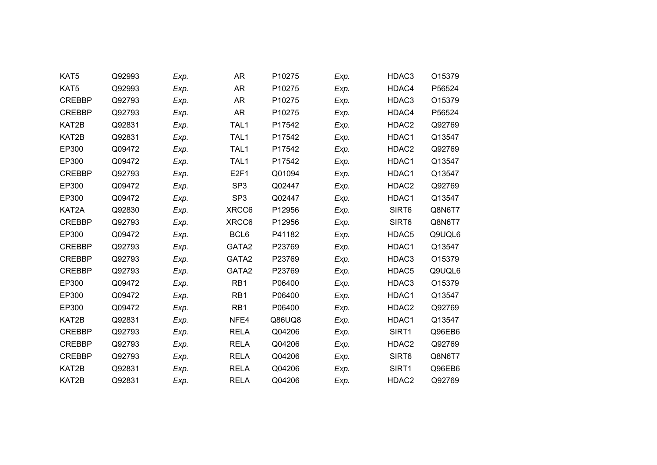| KAT5          | Q92993 | Exp. | <b>AR</b>        | P10275 | Exp. | HDAC3             | O15379 |
|---------------|--------|------|------------------|--------|------|-------------------|--------|
| KAT5          | Q92993 | Exp. | <b>AR</b>        | P10275 | Exp. | HDAC4             | P56524 |
| <b>CREBBP</b> | Q92793 | Exp. | <b>AR</b>        | P10275 | Exp. | HDAC3             | O15379 |
| <b>CREBBP</b> | Q92793 | Exp. | <b>AR</b>        | P10275 | Exp. | HDAC4             | P56524 |
| KAT2B         | Q92831 | Exp. | TAL1             | P17542 | Exp. | HDAC2             | Q92769 |
| KAT2B         | Q92831 | Exp. | TAL1             | P17542 | Exp. | HDAC1             | Q13547 |
| EP300         | Q09472 | Exp. | TAL1             | P17542 | Exp. | HDAC2             | Q92769 |
| EP300         | Q09472 | Exp. | TAL <sub>1</sub> | P17542 | Exp. | HDAC1             | Q13547 |
| <b>CREBBP</b> | Q92793 | Exp. | E <sub>2F1</sub> | Q01094 | Exp. | HDAC1             | Q13547 |
| EP300         | Q09472 | Exp. | SP <sub>3</sub>  | Q02447 | Exp. | HDAC2             | Q92769 |
| EP300         | Q09472 | Exp. | SP <sub>3</sub>  | Q02447 | Exp. | HDAC1             | Q13547 |
| KAT2A         | Q92830 | Exp. | XRCC6            | P12956 | Exp. | SIRT6             | Q8N6T7 |
| <b>CREBBP</b> | Q92793 | Exp. | XRCC6            | P12956 | Exp. | SIRT <sub>6</sub> | Q8N6T7 |
| EP300         | Q09472 | Exp. | BCL6             | P41182 | Exp. | HDAC5             | Q9UQL6 |
| <b>CREBBP</b> | Q92793 | Exp. | GATA2            | P23769 | Exp. | HDAC1             | Q13547 |
| <b>CREBBP</b> | Q92793 | Exp. | GATA2            | P23769 | Exp. | HDAC3             | O15379 |
| <b>CREBBP</b> | Q92793 | Exp. | GATA2            | P23769 | Exp. | HDAC5             | Q9UQL6 |
| EP300         | Q09472 | Exp. | RB1              | P06400 | Exp. | HDAC3             | O15379 |
| EP300         | Q09472 | Exp. | RB1              | P06400 | Exp. | HDAC1             | Q13547 |
| EP300         | Q09472 | Exp. | RB1              | P06400 | Exp. | HDAC2             | Q92769 |
| KAT2B         | Q92831 | Exp. | NFE4             | Q86UQ8 | Exp. | HDAC1             | Q13547 |
| <b>CREBBP</b> | Q92793 | Exp. | <b>RELA</b>      | Q04206 | Exp. | SIRT1             | Q96EB6 |
| <b>CREBBP</b> | Q92793 | Exp. | <b>RELA</b>      | Q04206 | Exp. | HDAC2             | Q92769 |
| <b>CREBBP</b> | Q92793 | Exp. | <b>RELA</b>      | Q04206 | Exp. | SIRT6             | Q8N6T7 |
| KAT2B         | Q92831 | Exp. | <b>RELA</b>      | Q04206 | Exp. | SIRT1             | Q96EB6 |
| KAT2B         | Q92831 | Exp. | <b>RELA</b>      | Q04206 | Exp. | HDAC2             | Q92769 |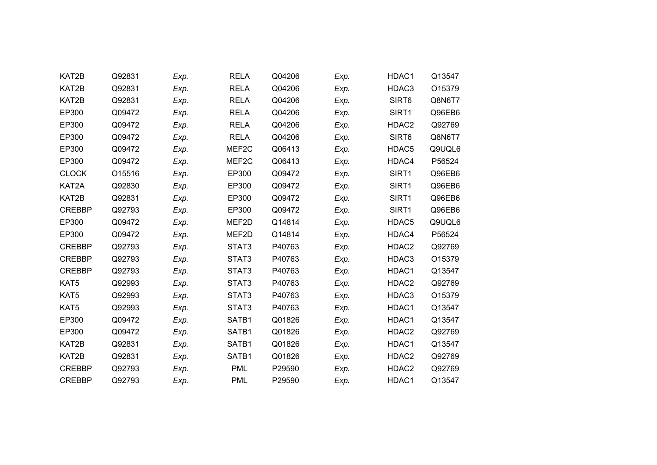| KAT2B         | Q92831 | Exp. | <b>RELA</b>       | Q04206 | Exp. | HDAC1             | Q13547 |  |
|---------------|--------|------|-------------------|--------|------|-------------------|--------|--|
| KAT2B         | Q92831 | Exp. | <b>RELA</b>       | Q04206 | Exp. | HDAC3             | O15379 |  |
| KAT2B         | Q92831 | Exp. | <b>RELA</b>       | Q04206 | Exp. | SIRT <sub>6</sub> | Q8N6T7 |  |
| EP300         | Q09472 | Exp. | <b>RELA</b>       | Q04206 | Exp. | SIRT1             | Q96EB6 |  |
| EP300         | Q09472 | Exp. | <b>RELA</b>       | Q04206 | Exp. | HDAC2             | Q92769 |  |
| EP300         | Q09472 | Exp. | <b>RELA</b>       | Q04206 | Exp. | SIRT6             | Q8N6T7 |  |
| EP300         | Q09472 | Exp. | MEF2C             | Q06413 | Exp. | HDAC5             | Q9UQL6 |  |
| EP300         | Q09472 | Exp. | MEF <sub>2C</sub> | Q06413 | Exp. | HDAC4             | P56524 |  |
| <b>CLOCK</b>  | O15516 | Exp. | EP300             | Q09472 | Exp. | SIRT1             | Q96EB6 |  |
| KAT2A         | Q92830 | Exp. | EP300             | Q09472 | Exp. | SIRT1             | Q96EB6 |  |
| KAT2B         | Q92831 | Exp. | EP300             | Q09472 | Exp. | SIRT1             | Q96EB6 |  |
| <b>CREBBP</b> | Q92793 | Exp. | EP300             | Q09472 | Exp. | SIRT1             | Q96EB6 |  |
| EP300         | Q09472 | Exp. | MEF2D             | Q14814 | Exp. | HDAC5             | Q9UQL6 |  |
| EP300         | Q09472 | Exp. | MEF2D             | Q14814 | Exp. | HDAC4             | P56524 |  |
| <b>CREBBP</b> | Q92793 | Exp. | STAT3             | P40763 | Exp. | HDAC2             | Q92769 |  |
| <b>CREBBP</b> | Q92793 | Exp. | STAT3             | P40763 | Exp. | HDAC3             | O15379 |  |
| <b>CREBBP</b> | Q92793 | Exp. | STAT3             | P40763 | Exp. | HDAC1             | Q13547 |  |
| KAT5          | Q92993 | Exp. | STAT3             | P40763 | Exp. | HDAC2             | Q92769 |  |
| KAT5          | Q92993 | Exp. | STAT3             | P40763 | Exp. | HDAC3             | O15379 |  |
| KAT5          | Q92993 | Exp. | STAT3             | P40763 | Exp. | HDAC1             | Q13547 |  |
| EP300         | Q09472 | Exp. | SATB1             | Q01826 | Exp. | HDAC1             | Q13547 |  |
| EP300         | Q09472 | Exp. | SATB1             | Q01826 | Exp. | HDAC2             | Q92769 |  |
| KAT2B         | Q92831 | Exp. | SATB1             | Q01826 | Exp. | HDAC1             | Q13547 |  |
| KAT2B         | Q92831 | Exp. | SATB1             | Q01826 | Exp. | HDAC <sub>2</sub> | Q92769 |  |
| <b>CREBBP</b> | Q92793 | Exp. | <b>PML</b>        | P29590 | Exp. | HDAC2             | Q92769 |  |
| <b>CREBBP</b> | Q92793 | Exp. | <b>PML</b>        | P29590 | Exp. | HDAC1             | Q13547 |  |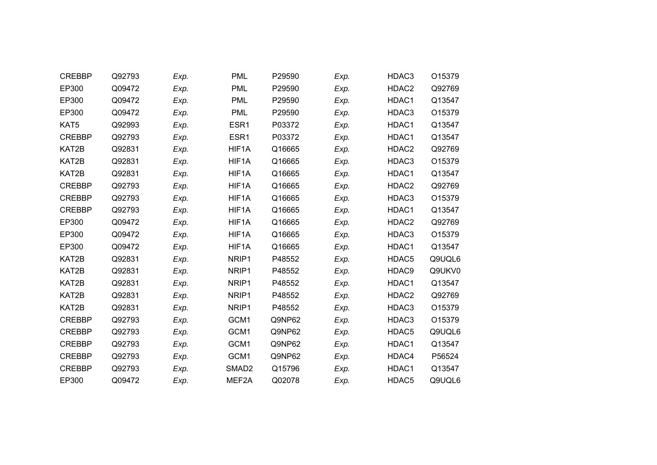| <b>CREBBP</b>    | Q92793 | Exp. | <b>PML</b>        | P29590 | Exp. | HDAC3             | O15379 |
|------------------|--------|------|-------------------|--------|------|-------------------|--------|
| EP300            | Q09472 | Exp. | <b>PML</b>        | P29590 | Exp. | HDAC2             | Q92769 |
| EP300            | Q09472 | Exp. | <b>PML</b>        | P29590 | Exp. | HDAC1             | Q13547 |
| EP300            | Q09472 | Exp. | <b>PML</b>        | P29590 | Exp. | HDAC3             | O15379 |
| KAT <sub>5</sub> | Q92993 | Exp. | ESR1              | P03372 | Exp. | HDAC1             | Q13547 |
| <b>CREBBP</b>    | Q92793 | Exp. | ESR <sub>1</sub>  | P03372 | Exp. | HDAC1             | Q13547 |
| KAT2B            | Q92831 | Exp. | HIF1A             | Q16665 | Exp. | HDAC2             | Q92769 |
| KAT2B            | Q92831 | Exp. | HIF1A             | Q16665 | Exp. | HDAC3             | O15379 |
| KAT2B            | Q92831 | Exp. | HIF1A             | Q16665 | Exp. | HDAC1             | Q13547 |
| <b>CREBBP</b>    | Q92793 | Exp. | HIF1A             | Q16665 | Exp. | HDAC2             | Q92769 |
| <b>CREBBP</b>    | Q92793 | Exp. | HIF1A             | Q16665 | Exp. | HDAC3             | O15379 |
| <b>CREBBP</b>    | Q92793 | Exp. | HIF1A             | Q16665 | Exp. | HDAC1             | Q13547 |
| EP300            | Q09472 | Exp. | HIF1A             | Q16665 | Exp. | HDAC <sub>2</sub> | Q92769 |
| EP300            | Q09472 | Exp. | HIF1A             | Q16665 | Exp. | HDAC3             | O15379 |
| EP300            | Q09472 | Exp. | HIF1A             | Q16665 | Exp. | HDAC1             | Q13547 |
| KAT2B            | Q92831 | Exp. | NRIP1             | P48552 | Exp. | HDAC5             | Q9UQL6 |
| KAT2B            | Q92831 | Exp. | NRIP1             | P48552 | Exp. | HDAC9             | Q9UKV0 |
| KAT2B            | Q92831 | Exp. | NRIP1             | P48552 | Exp. | HDAC1             | Q13547 |
| KAT2B            | Q92831 | Exp. | NRIP1             | P48552 | Exp. | HDAC <sub>2</sub> | Q92769 |
| KAT2B            | Q92831 | Exp. | NRIP1             | P48552 | Exp. | HDAC3             | O15379 |
| <b>CREBBP</b>    | Q92793 | Exp. | GCM1              | Q9NP62 | Exp. | HDAC3             | O15379 |
| <b>CREBBP</b>    | Q92793 | Exp. | GCM1              | Q9NP62 | Exp. | HDAC5             | Q9UQL6 |
| <b>CREBBP</b>    | Q92793 | Exp. | GCM1              | Q9NP62 | Exp. | HDAC1             | Q13547 |
| <b>CREBBP</b>    | Q92793 | Exp. | GCM1              | Q9NP62 | Exp. | HDAC4             | P56524 |
| <b>CREBBP</b>    | Q92793 | Exp. | SMAD <sub>2</sub> | Q15796 | Exp. | HDAC1             | Q13547 |
| EP300            | Q09472 | Exp. | MEF2A             | Q02078 | Exp. | HDAC5             | Q9UQL6 |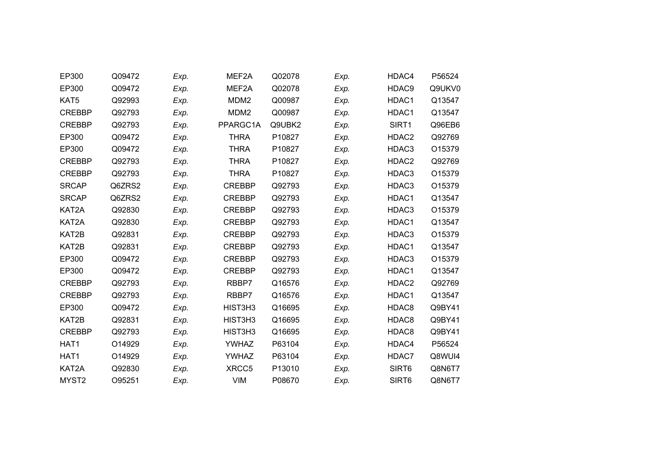| EP300             | Q09472 | Exp. | MEF2A            | Q02078 | Exp. | HDAC4             | P56524 |
|-------------------|--------|------|------------------|--------|------|-------------------|--------|
| EP300             | Q09472 | Exp. | MEF2A            | Q02078 | Exp. | HDAC9             | Q9UKV0 |
| KAT5              | Q92993 | Exp. | MDM <sub>2</sub> | Q00987 | Exp. | HDAC1             | Q13547 |
| <b>CREBBP</b>     | Q92793 | Exp. | MDM <sub>2</sub> | Q00987 | Exp. | HDAC1             | Q13547 |
| <b>CREBBP</b>     | Q92793 | Exp. | PPARGC1A         | Q9UBK2 | Exp. | SIRT1             | Q96EB6 |
| EP300             | Q09472 | Exp. | <b>THRA</b>      | P10827 | Exp. | HDAC2             | Q92769 |
| EP300             | Q09472 | Exp. | <b>THRA</b>      | P10827 | Exp. | HDAC3             | O15379 |
| <b>CREBBP</b>     | Q92793 | Exp. | <b>THRA</b>      | P10827 | Exp. | HDAC <sub>2</sub> | Q92769 |
| <b>CREBBP</b>     | Q92793 | Exp. | <b>THRA</b>      | P10827 | Exp. | HDAC3             | O15379 |
| <b>SRCAP</b>      | Q6ZRS2 | Exp. | <b>CREBBP</b>    | Q92793 | Exp. | HDAC3             | O15379 |
| <b>SRCAP</b>      | Q6ZRS2 | Exp. | <b>CREBBP</b>    | Q92793 | Exp. | HDAC1             | Q13547 |
| KAT2A             | Q92830 | Exp. | <b>CREBBP</b>    | Q92793 | Exp. | HDAC3             | O15379 |
| KAT2A             | Q92830 | Exp. | <b>CREBBP</b>    | Q92793 | Exp. | HDAC1             | Q13547 |
| KAT2B             | Q92831 | Exp. | <b>CREBBP</b>    | Q92793 | Exp. | HDAC3             | O15379 |
| KAT2B             | Q92831 | Exp. | <b>CREBBP</b>    | Q92793 | Exp. | HDAC1             | Q13547 |
| EP300             | Q09472 | Exp. | <b>CREBBP</b>    | Q92793 | Exp. | HDAC3             | O15379 |
| EP300             | Q09472 | Exp. | <b>CREBBP</b>    | Q92793 | Exp. | HDAC1             | Q13547 |
| <b>CREBBP</b>     | Q92793 | Exp. | RBBP7            | Q16576 | Exp. | HDAC2             | Q92769 |
| <b>CREBBP</b>     | Q92793 | Exp. | RBBP7            | Q16576 | Exp. | HDAC1             | Q13547 |
| EP300             | Q09472 | Exp. | HIST3H3          | Q16695 | Exp. | HDAC8             | Q9BY41 |
| KAT2B             | Q92831 | Exp. | HIST3H3          | Q16695 | Exp. | HDAC8             | Q9BY41 |
| <b>CREBBP</b>     | Q92793 | Exp. | HIST3H3          | Q16695 | Exp. | HDAC8             | Q9BY41 |
| HAT1              | O14929 | Exp. | <b>YWHAZ</b>     | P63104 | Exp. | HDAC4             | P56524 |
| HAT1              | O14929 | Exp. | <b>YWHAZ</b>     | P63104 | Exp. | HDAC7             | Q8WUI4 |
| KAT2A             | Q92830 | Exp. | XRCC5            | P13010 | Exp. | SIRT <sub>6</sub> | Q8N6T7 |
| MYST <sub>2</sub> | O95251 | Exp. | <b>VIM</b>       | P08670 | Exp. | SIRT6             | Q8N6T7 |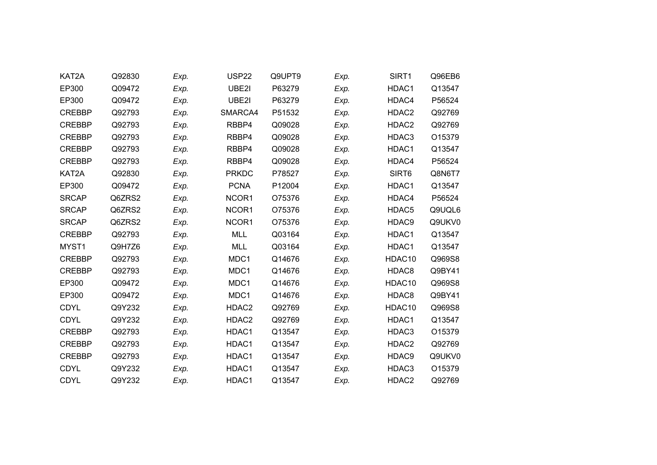| KAT2A         | Q92830 | Exp. | <b>USP22</b>      | Q9UPT9 | Exp. | SIRT1              | Q96EB6 |
|---------------|--------|------|-------------------|--------|------|--------------------|--------|
| EP300         | Q09472 | Exp. | UBE2I             | P63279 | Exp. | HDAC1              | Q13547 |
| EP300         | Q09472 | Exp. | UBE2I             | P63279 | Exp. | HDAC4              | P56524 |
| <b>CREBBP</b> | Q92793 | Exp. | SMARCA4           | P51532 | Exp. | HDAC2              | Q92769 |
| <b>CREBBP</b> | Q92793 | Exp. | RBBP4             | Q09028 | Exp. | HDAC2              | Q92769 |
| <b>CREBBP</b> | Q92793 | Exp. | RBBP4             | Q09028 | Exp. | HDAC3              | O15379 |
| <b>CREBBP</b> | Q92793 | Exp. | RBBP4             | Q09028 | Exp. | HDAC1              | Q13547 |
| <b>CREBBP</b> | Q92793 | Exp. | RBBP4             | Q09028 | Exp. | HDAC4              | P56524 |
| KAT2A         | Q92830 | Exp. | <b>PRKDC</b>      | P78527 | Exp. | SIRT6              | Q8N6T7 |
| EP300         | Q09472 | Exp. | <b>PCNA</b>       | P12004 | Exp. | HDAC1              | Q13547 |
| <b>SRCAP</b>  | Q6ZRS2 | Exp. | NCOR1             | O75376 | Exp. | HDAC4              | P56524 |
| <b>SRCAP</b>  | Q6ZRS2 | Exp. | NCOR1             | O75376 | Exp. | HDAC5              | Q9UQL6 |
| <b>SRCAP</b>  | Q6ZRS2 | Exp. | NCOR1             | O75376 | Exp. | HDAC9              | Q9UKV0 |
| <b>CREBBP</b> | Q92793 | Exp. | <b>MLL</b>        | Q03164 | Exp. | HDAC1              | Q13547 |
| MYST1         | Q9H7Z6 | Exp. | <b>MLL</b>        | Q03164 | Exp. | HDAC1              | Q13547 |
| <b>CREBBP</b> | Q92793 | Exp. | MDC1              | Q14676 | Exp. | HDAC <sub>10</sub> | Q969S8 |
| <b>CREBBP</b> | Q92793 | Exp. | MDC1              | Q14676 | Exp. | HDAC8              | Q9BY41 |
| EP300         | Q09472 | Exp. | MDC1              | Q14676 | Exp. | HDAC10             | Q969S8 |
| EP300         | Q09472 | Exp. | MDC1              | Q14676 | Exp. | HDAC8              | Q9BY41 |
| <b>CDYL</b>   | Q9Y232 | Exp. | HDAC2             | Q92769 | Exp. | HDAC10             | Q969S8 |
| <b>CDYL</b>   | Q9Y232 | Exp. | HDAC <sub>2</sub> | Q92769 | Exp. | HDAC1              | Q13547 |
| <b>CREBBP</b> | Q92793 | Exp. | HDAC1             | Q13547 | Exp. | HDAC3              | O15379 |
| <b>CREBBP</b> | Q92793 | Exp. | HDAC1             | Q13547 | Exp. | HDAC2              | Q92769 |
| <b>CREBBP</b> | Q92793 | Exp. | HDAC1             | Q13547 | Exp. | HDAC9              | Q9UKV0 |
| <b>CDYL</b>   | Q9Y232 | Exp. | HDAC1             | Q13547 | Exp. | HDAC3              | O15379 |
| <b>CDYL</b>   | Q9Y232 | Exp. | HDAC1             | Q13547 | Exp. | HDAC2              | Q92769 |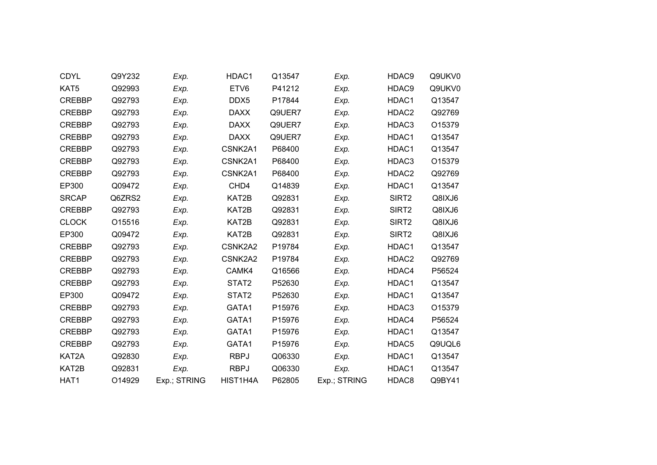| <b>CDYL</b>   | Q9Y232 | Exp.         | HDAC1       | Q13547 | Exp.         | HDAC9             | Q9UKV0 |
|---------------|--------|--------------|-------------|--------|--------------|-------------------|--------|
| KAT5          | Q92993 | Exp.         | ETV6        | P41212 | Exp.         | HDAC9             | Q9UKV0 |
| <b>CREBBP</b> | Q92793 | Exp.         | DDX5        | P17844 | Exp.         | HDAC1             | Q13547 |
| <b>CREBBP</b> | Q92793 | Exp.         | <b>DAXX</b> | Q9UER7 | Exp.         | HDAC2             | Q92769 |
| <b>CREBBP</b> | Q92793 | Exp.         | <b>DAXX</b> | Q9UER7 | Exp.         | HDAC3             | O15379 |
| <b>CREBBP</b> | Q92793 | Exp.         | <b>DAXX</b> | Q9UER7 | Exp.         | HDAC1             | Q13547 |
| <b>CREBBP</b> | Q92793 | Exp.         | CSNK2A1     | P68400 | Exp.         | HDAC1             | Q13547 |
| <b>CREBBP</b> | Q92793 | Exp.         | CSNK2A1     | P68400 | Exp.         | HDAC3             | O15379 |
| <b>CREBBP</b> | Q92793 | Exp.         | CSNK2A1     | P68400 | Exp.         | HDAC2             | Q92769 |
| EP300         | Q09472 | Exp.         | CHD4        | Q14839 | Exp.         | HDAC1             | Q13547 |
| <b>SRCAP</b>  | Q6ZRS2 | Exp.         | KAT2B       | Q92831 | Exp.         | SIRT <sub>2</sub> | Q8IXJ6 |
| <b>CREBBP</b> | Q92793 | Exp.         | KAT2B       | Q92831 | Exp.         | SIRT <sub>2</sub> | Q8IXJ6 |
| <b>CLOCK</b>  | O15516 | Exp.         | KAT2B       | Q92831 | Exp.         | SIRT2             | Q8IXJ6 |
| EP300         | Q09472 | Exp.         | KAT2B       | Q92831 | Exp.         | SIRT2             | Q8IXJ6 |
| <b>CREBBP</b> | Q92793 | Exp.         | CSNK2A2     | P19784 | Exp.         | HDAC1             | Q13547 |
| <b>CREBBP</b> | Q92793 | Exp.         | CSNK2A2     | P19784 | Exp.         | HDAC2             | Q92769 |
| <b>CREBBP</b> | Q92793 | Exp.         | CAMK4       | Q16566 | Exp.         | HDAC4             | P56524 |
| <b>CREBBP</b> | Q92793 | Exp.         | STAT2       | P52630 | Exp.         | HDAC1             | Q13547 |
| EP300         | Q09472 | Exp.         | STAT2       | P52630 | Exp.         | HDAC1             | Q13547 |
| <b>CREBBP</b> | Q92793 | Exp.         | GATA1       | P15976 | Exp.         | HDAC3             | O15379 |
| <b>CREBBP</b> | Q92793 | Exp.         | GATA1       | P15976 | Exp.         | HDAC4             | P56524 |
| <b>CREBBP</b> | Q92793 | Exp.         | GATA1       | P15976 | Exp.         | HDAC1             | Q13547 |
| <b>CREBBP</b> | Q92793 | Exp.         | GATA1       | P15976 | Exp.         | HDAC5             | Q9UQL6 |
| KAT2A         | Q92830 | Exp.         | <b>RBPJ</b> | Q06330 | Exp.         | HDAC1             | Q13547 |
| KAT2B         | Q92831 | Exp.         | <b>RBPJ</b> | Q06330 | Exp.         | HDAC1             | Q13547 |
| HAT1          | O14929 | Exp.; STRING | HIST1H4A    | P62805 | Exp.; STRING | HDAC8             | Q9BY41 |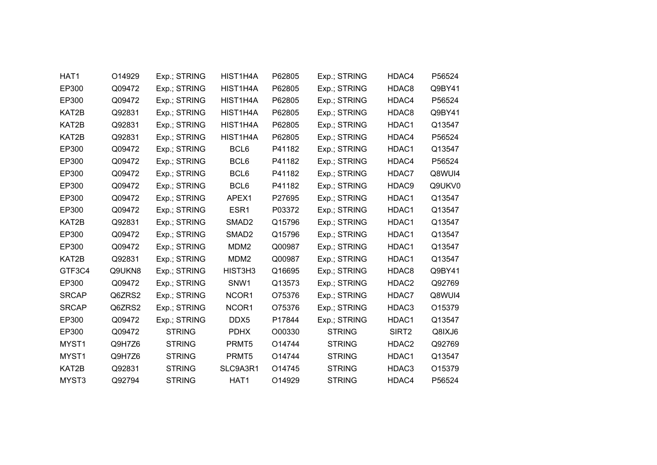| HAT1         | O14929 | Exp.; STRING  | HIST1H4A          | P62805 | Exp.; STRING  | HDAC4             | P56524 |
|--------------|--------|---------------|-------------------|--------|---------------|-------------------|--------|
| EP300        | Q09472 | Exp.; STRING  | HIST1H4A          | P62805 | Exp.; STRING  | HDAC8             | Q9BY41 |
| EP300        | Q09472 | Exp.; STRING  | HIST1H4A          | P62805 | Exp.; STRING  | HDAC4             | P56524 |
| KAT2B        | Q92831 | Exp.; STRING  | HIST1H4A          | P62805 | Exp.; STRING  | HDAC8             | Q9BY41 |
| KAT2B        | Q92831 | Exp.; STRING  | HIST1H4A          | P62805 | Exp.; STRING  | HDAC1             | Q13547 |
| KAT2B        | Q92831 | Exp.; STRING  | HIST1H4A          | P62805 | Exp.; STRING  | HDAC4             | P56524 |
| EP300        | Q09472 | Exp.; STRING  | BCL6              | P41182 | Exp.; STRING  | HDAC1             | Q13547 |
| EP300        | Q09472 | Exp.; STRING  | BCL6              | P41182 | Exp.; STRING  | HDAC4             | P56524 |
| EP300        | Q09472 | Exp.; STRING  | BCL6              | P41182 | Exp.; STRING  | HDAC7             | Q8WUI4 |
| EP300        | Q09472 | Exp.; STRING  | BCL6              | P41182 | Exp.; STRING  | HDAC9             | Q9UKV0 |
| EP300        | Q09472 | Exp.; STRING  | APEX1             | P27695 | Exp.; STRING  | HDAC1             | Q13547 |
| EP300        | Q09472 | Exp.; STRING  | ESR1              | P03372 | Exp.; STRING  | HDAC1             | Q13547 |
| KAT2B        | Q92831 | Exp.; STRING  | SMAD <sub>2</sub> | Q15796 | Exp.; STRING  | HDAC1             | Q13547 |
| EP300        | Q09472 | Exp.; STRING  | SMAD <sub>2</sub> | Q15796 | Exp.; STRING  | HDAC1             | Q13547 |
| EP300        | Q09472 | Exp.; STRING  | MDM <sub>2</sub>  | Q00987 | Exp.; STRING  | HDAC1             | Q13547 |
| KAT2B        | Q92831 | Exp.; STRING  | MDM <sub>2</sub>  | Q00987 | Exp.; STRING  | HDAC1             | Q13547 |
| GTF3C4       | Q9UKN8 | Exp.; STRING  | HIST3H3           | Q16695 | Exp.; STRING  | HDAC8             | Q9BY41 |
| EP300        | Q09472 | Exp.; STRING  | SNW1              | Q13573 | Exp.; STRING  | HDAC2             | Q92769 |
| <b>SRCAP</b> | Q6ZRS2 | Exp.; STRING  | NCOR1             | O75376 | Exp.; STRING  | HDAC7             | Q8WUI4 |
| <b>SRCAP</b> | Q6ZRS2 | Exp.; STRING  | NCOR1             | O75376 | Exp.; STRING  | HDAC3             | O15379 |
| EP300        | Q09472 | Exp.; STRING  | DDX5              | P17844 | Exp.; STRING  | HDAC1             | Q13547 |
| EP300        | Q09472 | <b>STRING</b> | <b>PDHX</b>       | O00330 | <b>STRING</b> | SIRT <sub>2</sub> | Q8IXJ6 |
| MYST1        | Q9H7Z6 | <b>STRING</b> | PRMT5             | O14744 | <b>STRING</b> | HDAC2             | Q92769 |
| MYST1        | Q9H7Z6 | <b>STRING</b> | PRMT5             | O14744 | <b>STRING</b> | HDAC1             | Q13547 |
| KAT2B        | Q92831 | <b>STRING</b> | SLC9A3R1          | O14745 | <b>STRING</b> | HDAC3             | O15379 |
| MYST3        | Q92794 | <b>STRING</b> | HAT1              | O14929 | <b>STRING</b> | HDAC4             | P56524 |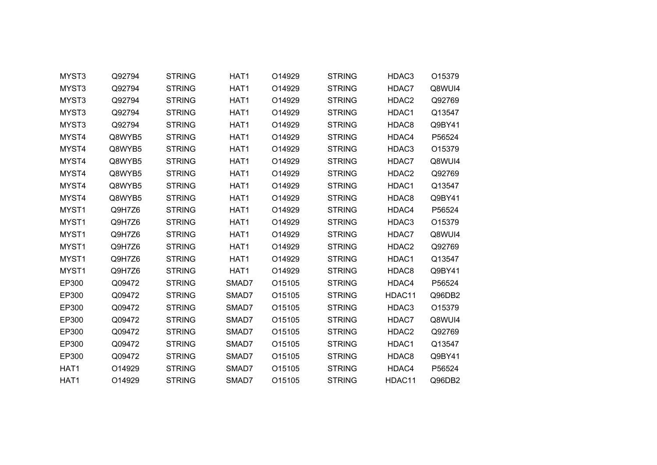| MYST3            | Q92794 | <b>STRING</b> | HAT1  | O14929 | <b>STRING</b> | HDAC3  | O15379 |  |
|------------------|--------|---------------|-------|--------|---------------|--------|--------|--|
| MYST3            | Q92794 | <b>STRING</b> | HAT1  | O14929 | <b>STRING</b> | HDAC7  | Q8WUI4 |  |
| MYST3            | Q92794 | <b>STRING</b> | HAT1  | O14929 | <b>STRING</b> | HDAC2  | Q92769 |  |
| MYST3            | Q92794 | <b>STRING</b> | HAT1  | O14929 | <b>STRING</b> | HDAC1  | Q13547 |  |
| MYST3            | Q92794 | <b>STRING</b> | HAT1  | O14929 | <b>STRING</b> | HDAC8  | Q9BY41 |  |
| MYST4            | Q8WYB5 | <b>STRING</b> | HAT1  | O14929 | <b>STRING</b> | HDAC4  | P56524 |  |
| MYST4            | Q8WYB5 | <b>STRING</b> | HAT1  | O14929 | <b>STRING</b> | HDAC3  | O15379 |  |
| MYST4            | Q8WYB5 | <b>STRING</b> | HAT1  | O14929 | <b>STRING</b> | HDAC7  | Q8WUI4 |  |
| MYST4            | Q8WYB5 | <b>STRING</b> | HAT1  | O14929 | <b>STRING</b> | HDAC2  | Q92769 |  |
| MYST4            | Q8WYB5 | <b>STRING</b> | HAT1  | O14929 | <b>STRING</b> | HDAC1  | Q13547 |  |
| MYST4            | Q8WYB5 | <b>STRING</b> | HAT1  | O14929 | <b>STRING</b> | HDAC8  | Q9BY41 |  |
| MYST1            | Q9H7Z6 | <b>STRING</b> | HAT1  | O14929 | <b>STRING</b> | HDAC4  | P56524 |  |
| MYST1            | Q9H7Z6 | <b>STRING</b> | HAT1  | O14929 | <b>STRING</b> | HDAC3  | O15379 |  |
| MYST1            | Q9H7Z6 | <b>STRING</b> | HAT1  | O14929 | <b>STRING</b> | HDAC7  | Q8WUI4 |  |
| MYST1            | Q9H7Z6 | <b>STRING</b> | HAT1  | O14929 | <b>STRING</b> | HDAC2  | Q92769 |  |
| MYST1            | Q9H7Z6 | <b>STRING</b> | HAT1  | O14929 | <b>STRING</b> | HDAC1  | Q13547 |  |
| MYST1            | Q9H7Z6 | <b>STRING</b> | HAT1  | O14929 | <b>STRING</b> | HDAC8  | Q9BY41 |  |
| EP300            | Q09472 | <b>STRING</b> | SMAD7 | O15105 | <b>STRING</b> | HDAC4  | P56524 |  |
| EP300            | Q09472 | <b>STRING</b> | SMAD7 | O15105 | <b>STRING</b> | HDAC11 | Q96DB2 |  |
| EP300            | Q09472 | <b>STRING</b> | SMAD7 | O15105 | <b>STRING</b> | HDAC3  | O15379 |  |
| EP300            | Q09472 | <b>STRING</b> | SMAD7 | O15105 | <b>STRING</b> | HDAC7  | Q8WUI4 |  |
| EP300            | Q09472 | <b>STRING</b> | SMAD7 | O15105 | <b>STRING</b> | HDAC2  | Q92769 |  |
| EP300            | Q09472 | <b>STRING</b> | SMAD7 | O15105 | <b>STRING</b> | HDAC1  | Q13547 |  |
| EP300            | Q09472 | <b>STRING</b> | SMAD7 | O15105 | <b>STRING</b> | HDAC8  | Q9BY41 |  |
| HAT1             | O14929 | <b>STRING</b> | SMAD7 | O15105 | <b>STRING</b> | HDAC4  | P56524 |  |
| HAT <sub>1</sub> | O14929 | <b>STRING</b> | SMAD7 | O15105 | <b>STRING</b> | HDAC11 | Q96DB2 |  |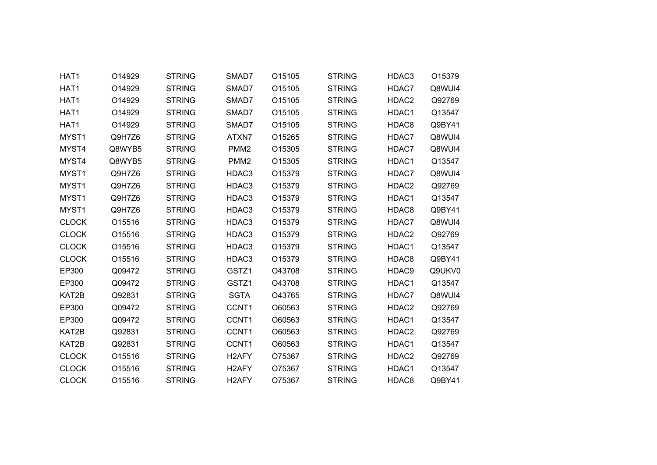| HAT1             | O14929 | <b>STRING</b> | SMAD7              | O15105 | <b>STRING</b> | HDAC3             | O15379 |
|------------------|--------|---------------|--------------------|--------|---------------|-------------------|--------|
| HAT1             | O14929 | <b>STRING</b> | SMAD7              | O15105 | <b>STRING</b> | HDAC7             | Q8WUI4 |
| HAT <sub>1</sub> | O14929 | <b>STRING</b> | SMAD7              | O15105 | <b>STRING</b> | HDAC2             | Q92769 |
| HAT1             | O14929 | <b>STRING</b> | SMAD7              | O15105 | <b>STRING</b> | HDAC1             | Q13547 |
| HAT1             | O14929 | <b>STRING</b> | SMAD7              | O15105 | <b>STRING</b> | HDAC8             | Q9BY41 |
| MYST1            | Q9H7Z6 | <b>STRING</b> | ATXN7              | O15265 | <b>STRING</b> | HDAC7             | Q8WUI4 |
| MYST4            | Q8WYB5 | <b>STRING</b> | PMM <sub>2</sub>   | O15305 | <b>STRING</b> | HDAC7             | Q8WUI4 |
| MYST4            | Q8WYB5 | <b>STRING</b> | PMM <sub>2</sub>   | O15305 | <b>STRING</b> | HDAC1             | Q13547 |
| MYST1            | Q9H7Z6 | <b>STRING</b> | HDAC3              | O15379 | <b>STRING</b> | HDAC7             | Q8WUI4 |
| MYST1            | Q9H7Z6 | <b>STRING</b> | HDAC3              | O15379 | <b>STRING</b> | HDAC2             | Q92769 |
| MYST1            | Q9H7Z6 | <b>STRING</b> | HDAC3              | O15379 | <b>STRING</b> | HDAC1             | Q13547 |
| MYST1            | Q9H7Z6 | <b>STRING</b> | HDAC3              | O15379 | <b>STRING</b> | HDAC8             | Q9BY41 |
| <b>CLOCK</b>     | O15516 | <b>STRING</b> | HDAC3              | O15379 | <b>STRING</b> | HDAC7             | Q8WUI4 |
| <b>CLOCK</b>     | O15516 | <b>STRING</b> | HDAC3              | O15379 | <b>STRING</b> | HDAC2             | Q92769 |
| <b>CLOCK</b>     | O15516 | <b>STRING</b> | HDAC3              | O15379 | <b>STRING</b> | HDAC1             | Q13547 |
| <b>CLOCK</b>     | O15516 | <b>STRING</b> | HDAC3              | O15379 | <b>STRING</b> | HDAC8             | Q9BY41 |
| EP300            | Q09472 | <b>STRING</b> | GSTZ1              | O43708 | <b>STRING</b> | HDAC9             | Q9UKV0 |
| EP300            | Q09472 | <b>STRING</b> | GSTZ1              | O43708 | <b>STRING</b> | HDAC1             | Q13547 |
| KAT2B            | Q92831 | <b>STRING</b> | <b>SGTA</b>        | O43765 | <b>STRING</b> | HDAC7             | Q8WUI4 |
| EP300            | Q09472 | <b>STRING</b> | CCNT1              | O60563 | <b>STRING</b> | HDAC2             | Q92769 |
| EP300            | Q09472 | <b>STRING</b> | CCNT1              | O60563 | <b>STRING</b> | HDAC1             | Q13547 |
| KAT2B            | Q92831 | <b>STRING</b> | CCNT1              | O60563 | <b>STRING</b> | HDAC2             | Q92769 |
| KAT2B            | Q92831 | <b>STRING</b> | CCNT1              | O60563 | <b>STRING</b> | HDAC1             | Q13547 |
| <b>CLOCK</b>     | O15516 | <b>STRING</b> | H <sub>2</sub> AFY | O75367 | <b>STRING</b> | HDAC <sub>2</sub> | Q92769 |
| <b>CLOCK</b>     | O15516 | <b>STRING</b> | H <sub>2</sub> AFY | O75367 | <b>STRING</b> | HDAC1             | Q13547 |
| <b>CLOCK</b>     | O15516 | <b>STRING</b> | H <sub>2</sub> AFY | O75367 | <b>STRING</b> | HDAC8             | Q9BY41 |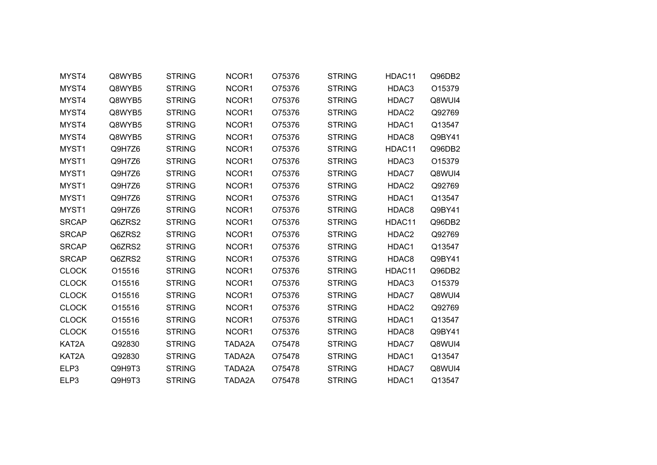| MYST4        | Q8WYB5 | <b>STRING</b> | NCOR1  | O75376 | <b>STRING</b> | HDAC11 | Q96DB2 |  |
|--------------|--------|---------------|--------|--------|---------------|--------|--------|--|
| MYST4        | Q8WYB5 | <b>STRING</b> | NCOR1  | O75376 | <b>STRING</b> | HDAC3  | O15379 |  |
| MYST4        | Q8WYB5 | <b>STRING</b> | NCOR1  | O75376 | <b>STRING</b> | HDAC7  | Q8WUI4 |  |
| MYST4        | Q8WYB5 | <b>STRING</b> | NCOR1  | O75376 | <b>STRING</b> | HDAC2  | Q92769 |  |
| MYST4        | Q8WYB5 | <b>STRING</b> | NCOR1  | O75376 | <b>STRING</b> | HDAC1  | Q13547 |  |
| MYST4        | Q8WYB5 | <b>STRING</b> | NCOR1  | O75376 | <b>STRING</b> | HDAC8  | Q9BY41 |  |
| MYST1        | Q9H7Z6 | <b>STRING</b> | NCOR1  | O75376 | <b>STRING</b> | HDAC11 | Q96DB2 |  |
| MYST1        | Q9H7Z6 | <b>STRING</b> | NCOR1  | O75376 | <b>STRING</b> | HDAC3  | O15379 |  |
| MYST1        | Q9H7Z6 | <b>STRING</b> | NCOR1  | O75376 | <b>STRING</b> | HDAC7  | Q8WUI4 |  |
| MYST1        | Q9H7Z6 | <b>STRING</b> | NCOR1  | O75376 | <b>STRING</b> | HDAC2  | Q92769 |  |
| MYST1        | Q9H7Z6 | <b>STRING</b> | NCOR1  | O75376 | <b>STRING</b> | HDAC1  | Q13547 |  |
| MYST1        | Q9H7Z6 | <b>STRING</b> | NCOR1  | O75376 | <b>STRING</b> | HDAC8  | Q9BY41 |  |
| <b>SRCAP</b> | Q6ZRS2 | <b>STRING</b> | NCOR1  | O75376 | <b>STRING</b> | HDAC11 | Q96DB2 |  |
| <b>SRCAP</b> | Q6ZRS2 | <b>STRING</b> | NCOR1  | O75376 | <b>STRING</b> | HDAC2  | Q92769 |  |
| <b>SRCAP</b> | Q6ZRS2 | <b>STRING</b> | NCOR1  | O75376 | <b>STRING</b> | HDAC1  | Q13547 |  |
| <b>SRCAP</b> | Q6ZRS2 | <b>STRING</b> | NCOR1  | O75376 | <b>STRING</b> | HDAC8  | Q9BY41 |  |
| <b>CLOCK</b> | O15516 | <b>STRING</b> | NCOR1  | O75376 | <b>STRING</b> | HDAC11 | Q96DB2 |  |
| <b>CLOCK</b> | O15516 | <b>STRING</b> | NCOR1  | O75376 | <b>STRING</b> | HDAC3  | O15379 |  |
| <b>CLOCK</b> | O15516 | <b>STRING</b> | NCOR1  | O75376 | <b>STRING</b> | HDAC7  | Q8WUI4 |  |
| <b>CLOCK</b> | O15516 | <b>STRING</b> | NCOR1  | O75376 | <b>STRING</b> | HDAC2  | Q92769 |  |
| <b>CLOCK</b> | O15516 | <b>STRING</b> | NCOR1  | O75376 | <b>STRING</b> | HDAC1  | Q13547 |  |
| <b>CLOCK</b> | O15516 | <b>STRING</b> | NCOR1  | O75376 | <b>STRING</b> | HDAC8  | Q9BY41 |  |
| KAT2A        | Q92830 | <b>STRING</b> | TADA2A | O75478 | <b>STRING</b> | HDAC7  | Q8WUI4 |  |
| KAT2A        | Q92830 | <b>STRING</b> | TADA2A | O75478 | <b>STRING</b> | HDAC1  | Q13547 |  |
| ELP3         | Q9H9T3 | <b>STRING</b> | TADA2A | O75478 | <b>STRING</b> | HDAC7  | Q8WUI4 |  |
| ELP3         | Q9H9T3 | <b>STRING</b> | TADA2A | O75478 | <b>STRING</b> | HDAC1  | Q13547 |  |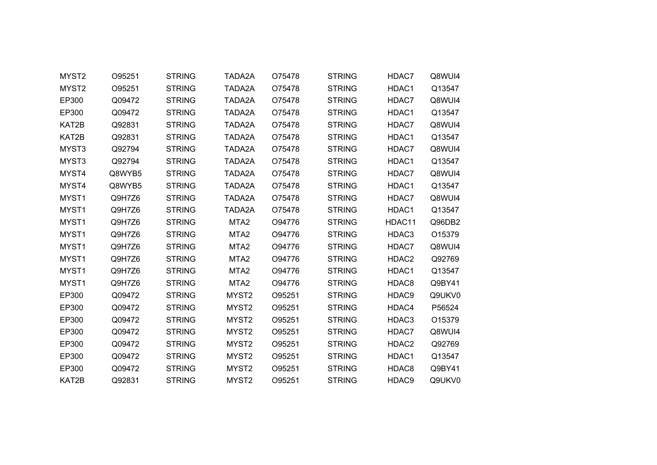| MYST2 | O95251 | <b>STRING</b> | TADA2A            | O75478 | <b>STRING</b> | HDAC7  | Q8WUI4 |
|-------|--------|---------------|-------------------|--------|---------------|--------|--------|
| MYST2 | O95251 | <b>STRING</b> | TADA2A            | O75478 | <b>STRING</b> | HDAC1  | Q13547 |
| EP300 | Q09472 | <b>STRING</b> | TADA2A            | O75478 | <b>STRING</b> | HDAC7  | Q8WUI4 |
| EP300 | Q09472 | <b>STRING</b> | TADA2A            | O75478 | <b>STRING</b> | HDAC1  | Q13547 |
| KAT2B | Q92831 | <b>STRING</b> | TADA2A            | O75478 | <b>STRING</b> | HDAC7  | Q8WUI4 |
| KAT2B | Q92831 | <b>STRING</b> | TADA2A            | O75478 | <b>STRING</b> | HDAC1  | Q13547 |
| MYST3 | Q92794 | <b>STRING</b> | TADA2A            | O75478 | <b>STRING</b> | HDAC7  | Q8WUI4 |
| MYST3 | Q92794 | <b>STRING</b> | TADA2A            | O75478 | <b>STRING</b> | HDAC1  | Q13547 |
| MYST4 | Q8WYB5 | <b>STRING</b> | TADA2A            | O75478 | <b>STRING</b> | HDAC7  | Q8WUI4 |
| MYST4 | Q8WYB5 | <b>STRING</b> | TADA2A            | O75478 | <b>STRING</b> | HDAC1  | Q13547 |
| MYST1 | Q9H7Z6 | <b>STRING</b> | TADA2A            | O75478 | <b>STRING</b> | HDAC7  | Q8WUI4 |
| MYST1 | Q9H7Z6 | <b>STRING</b> | TADA2A            | O75478 | <b>STRING</b> | HDAC1  | Q13547 |
| MYST1 | Q9H7Z6 | <b>STRING</b> | MTA <sub>2</sub>  | O94776 | <b>STRING</b> | HDAC11 | Q96DB2 |
| MYST1 | Q9H7Z6 | <b>STRING</b> | MTA <sub>2</sub>  | O94776 | <b>STRING</b> | HDAC3  | O15379 |
| MYST1 | Q9H7Z6 | <b>STRING</b> | MTA <sub>2</sub>  | O94776 | <b>STRING</b> | HDAC7  | Q8WUI4 |
| MYST1 | Q9H7Z6 | <b>STRING</b> | MTA <sub>2</sub>  | O94776 | <b>STRING</b> | HDAC2  | Q92769 |
| MYST1 | Q9H7Z6 | <b>STRING</b> | MTA <sub>2</sub>  | O94776 | <b>STRING</b> | HDAC1  | Q13547 |
| MYST1 | Q9H7Z6 | <b>STRING</b> | MTA <sub>2</sub>  | O94776 | <b>STRING</b> | HDAC8  | Q9BY41 |
| EP300 | Q09472 | <b>STRING</b> | MYST <sub>2</sub> | O95251 | <b>STRING</b> | HDAC9  | Q9UKV0 |
| EP300 | Q09472 | <b>STRING</b> | MYST <sub>2</sub> | O95251 | <b>STRING</b> | HDAC4  | P56524 |
| EP300 | Q09472 | <b>STRING</b> | MYST <sub>2</sub> | O95251 | <b>STRING</b> | HDAC3  | O15379 |
| EP300 | Q09472 | <b>STRING</b> | MYST2             | O95251 | <b>STRING</b> | HDAC7  | Q8WUI4 |
| EP300 | Q09472 | <b>STRING</b> | MYST <sub>2</sub> | O95251 | <b>STRING</b> | HDAC2  | Q92769 |
| EP300 | Q09472 | <b>STRING</b> | MYST <sub>2</sub> | O95251 | <b>STRING</b> | HDAC1  | Q13547 |
| EP300 | Q09472 | <b>STRING</b> | MYST2             | O95251 | <b>STRING</b> | HDAC8  | Q9BY41 |
| KAT2B | Q92831 | <b>STRING</b> | MYST <sub>2</sub> | O95251 | <b>STRING</b> | HDAC9  | Q9UKV0 |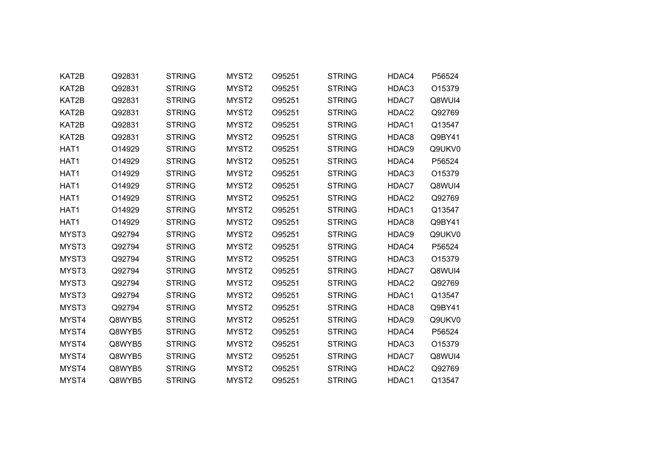| KAT2B            | Q92831 | <b>STRING</b> | MYST2             | O95251 | <b>STRING</b> | HDAC4 | P56524 |  |
|------------------|--------|---------------|-------------------|--------|---------------|-------|--------|--|
| KAT2B            | Q92831 | <b>STRING</b> | MYST <sub>2</sub> | O95251 | <b>STRING</b> | HDAC3 | O15379 |  |
| KAT2B            | Q92831 | <b>STRING</b> | MYST <sub>2</sub> | O95251 | <b>STRING</b> | HDAC7 | Q8WUI4 |  |
| KAT2B            | Q92831 | <b>STRING</b> | MYST <sub>2</sub> | O95251 | <b>STRING</b> | HDAC2 | Q92769 |  |
| KAT2B            | Q92831 | <b>STRING</b> | MYST <sub>2</sub> | O95251 | <b>STRING</b> | HDAC1 | Q13547 |  |
| KAT2B            | Q92831 | <b>STRING</b> | MYST <sub>2</sub> | O95251 | <b>STRING</b> | HDAC8 | Q9BY41 |  |
| HAT1             | O14929 | <b>STRING</b> | MYST <sub>2</sub> | O95251 | <b>STRING</b> | HDAC9 | Q9UKV0 |  |
| HAT1             | O14929 | <b>STRING</b> | MYST <sub>2</sub> | O95251 | <b>STRING</b> | HDAC4 | P56524 |  |
| HAT1             | O14929 | <b>STRING</b> | MYST <sub>2</sub> | O95251 | <b>STRING</b> | HDAC3 | O15379 |  |
| HAT1             | O14929 | <b>STRING</b> | MYST <sub>2</sub> | O95251 | <b>STRING</b> | HDAC7 | Q8WUI4 |  |
| HAT1             | O14929 | <b>STRING</b> | MYST2             | O95251 | <b>STRING</b> | HDAC2 | Q92769 |  |
| HAT1             | O14929 | <b>STRING</b> | MYST <sub>2</sub> | O95251 | <b>STRING</b> | HDAC1 | Q13547 |  |
| HAT <sub>1</sub> | O14929 | <b>STRING</b> | MYST <sub>2</sub> | O95251 | <b>STRING</b> | HDAC8 | Q9BY41 |  |
| MYST3            | Q92794 | <b>STRING</b> | MYST <sub>2</sub> | O95251 | <b>STRING</b> | HDAC9 | Q9UKV0 |  |
| MYST3            | Q92794 | <b>STRING</b> | MYST <sub>2</sub> | O95251 | <b>STRING</b> | HDAC4 | P56524 |  |
| MYST3            | Q92794 | <b>STRING</b> | MYST <sub>2</sub> | O95251 | <b>STRING</b> | HDAC3 | O15379 |  |
| MYST3            | Q92794 | <b>STRING</b> | MYST2             | O95251 | <b>STRING</b> | HDAC7 | Q8WUI4 |  |
| MYST3            | Q92794 | <b>STRING</b> | MYST <sub>2</sub> | O95251 | <b>STRING</b> | HDAC2 | Q92769 |  |
| MYST3            | Q92794 | <b>STRING</b> | MYST <sub>2</sub> | O95251 | <b>STRING</b> | HDAC1 | Q13547 |  |
| MYST3            | Q92794 | <b>STRING</b> | MYST <sub>2</sub> | O95251 | <b>STRING</b> | HDAC8 | Q9BY41 |  |
| MYST4            | Q8WYB5 | <b>STRING</b> | MYST <sub>2</sub> | O95251 | <b>STRING</b> | HDAC9 | Q9UKV0 |  |
| MYST4            | Q8WYB5 | <b>STRING</b> | MYST <sub>2</sub> | O95251 | <b>STRING</b> | HDAC4 | P56524 |  |
| MYST4            | Q8WYB5 | <b>STRING</b> | MYST <sub>2</sub> | O95251 | <b>STRING</b> | HDAC3 | O15379 |  |
| MYST4            | Q8WYB5 | <b>STRING</b> | MYST <sub>2</sub> | O95251 | <b>STRING</b> | HDAC7 | Q8WUI4 |  |
| MYST4            | Q8WYB5 | <b>STRING</b> | MYST2             | O95251 | <b>STRING</b> | HDAC2 | Q92769 |  |
| MYST4            | Q8WYB5 | <b>STRING</b> | MYST <sub>2</sub> | O95251 | <b>STRING</b> | HDAC1 | Q13547 |  |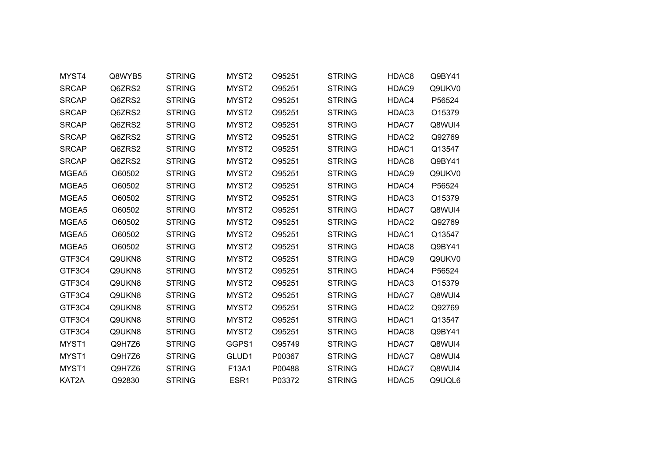| MYST4        | Q8WYB5 | <b>STRING</b> | MYST2             | O95251 | <b>STRING</b> | HDAC8             | Q9BY41 |  |
|--------------|--------|---------------|-------------------|--------|---------------|-------------------|--------|--|
| <b>SRCAP</b> | Q6ZRS2 | <b>STRING</b> | MYST2             | O95251 | <b>STRING</b> | HDAC9             | Q9UKV0 |  |
| <b>SRCAP</b> | Q6ZRS2 | <b>STRING</b> | MYST <sub>2</sub> | O95251 | <b>STRING</b> | HDAC4             | P56524 |  |
| <b>SRCAP</b> | Q6ZRS2 | <b>STRING</b> | MYST2             | O95251 | <b>STRING</b> | HDAC3             | O15379 |  |
| <b>SRCAP</b> | Q6ZRS2 | <b>STRING</b> | MYST <sub>2</sub> | O95251 | <b>STRING</b> | HDAC7             | Q8WUI4 |  |
| <b>SRCAP</b> | Q6ZRS2 | <b>STRING</b> | MYST <sub>2</sub> | O95251 | <b>STRING</b> | HDAC2             | Q92769 |  |
| <b>SRCAP</b> | Q6ZRS2 | <b>STRING</b> | MYST2             | O95251 | <b>STRING</b> | HDAC1             | Q13547 |  |
| <b>SRCAP</b> | Q6ZRS2 | <b>STRING</b> | MYST <sub>2</sub> | O95251 | <b>STRING</b> | HDAC8             | Q9BY41 |  |
| MGEA5        | O60502 | <b>STRING</b> | MYST2             | O95251 | <b>STRING</b> | HDAC9             | Q9UKV0 |  |
| MGEA5        | O60502 | <b>STRING</b> | MYST <sub>2</sub> | O95251 | <b>STRING</b> | HDAC4             | P56524 |  |
| MGEA5        | O60502 | <b>STRING</b> | MYST <sub>2</sub> | O95251 | <b>STRING</b> | HDAC3             | O15379 |  |
| MGEA5        | O60502 | <b>STRING</b> | MYST <sub>2</sub> | O95251 | <b>STRING</b> | HDAC7             | Q8WUI4 |  |
| MGEA5        | O60502 | <b>STRING</b> | MYST <sub>2</sub> | O95251 | <b>STRING</b> | HDAC2             | Q92769 |  |
| MGEA5        | O60502 | <b>STRING</b> | MYST <sub>2</sub> | O95251 | <b>STRING</b> | HDAC1             | Q13547 |  |
| MGEA5        | O60502 | <b>STRING</b> | MYST2             | O95251 | <b>STRING</b> | HDAC8             | Q9BY41 |  |
| GTF3C4       | Q9UKN8 | <b>STRING</b> | MYST <sub>2</sub> | O95251 | <b>STRING</b> | HDAC9             | Q9UKV0 |  |
| GTF3C4       | Q9UKN8 | <b>STRING</b> | MYST <sub>2</sub> | O95251 | <b>STRING</b> | HDAC4             | P56524 |  |
| GTF3C4       | Q9UKN8 | <b>STRING</b> | MYST <sub>2</sub> | O95251 | <b>STRING</b> | HDAC3             | O15379 |  |
| GTF3C4       | Q9UKN8 | <b>STRING</b> | MYST2             | O95251 | <b>STRING</b> | HDAC7             | Q8WUI4 |  |
| GTF3C4       | Q9UKN8 | <b>STRING</b> | MYST2             | O95251 | <b>STRING</b> | HDAC2             | Q92769 |  |
| GTF3C4       | Q9UKN8 | <b>STRING</b> | MYST <sub>2</sub> | O95251 | <b>STRING</b> | HDAC1             | Q13547 |  |
| GTF3C4       | Q9UKN8 | <b>STRING</b> | MYST2             | O95251 | <b>STRING</b> | HDAC8             | Q9BY41 |  |
| MYST1        | Q9H7Z6 | <b>STRING</b> | GGPS1             | O95749 | <b>STRING</b> | HDAC7             | Q8WUI4 |  |
| MYST1        | Q9H7Z6 | <b>STRING</b> | GLUD1             | P00367 | <b>STRING</b> | HDAC7             | Q8WUI4 |  |
| MYST1        | Q9H7Z6 | <b>STRING</b> | F13A1             | P00488 | <b>STRING</b> | HDAC7             | Q8WUI4 |  |
| KAT2A        | Q92830 | <b>STRING</b> | ESR <sub>1</sub>  | P03372 | <b>STRING</b> | HDAC <sub>5</sub> | Q9UQL6 |  |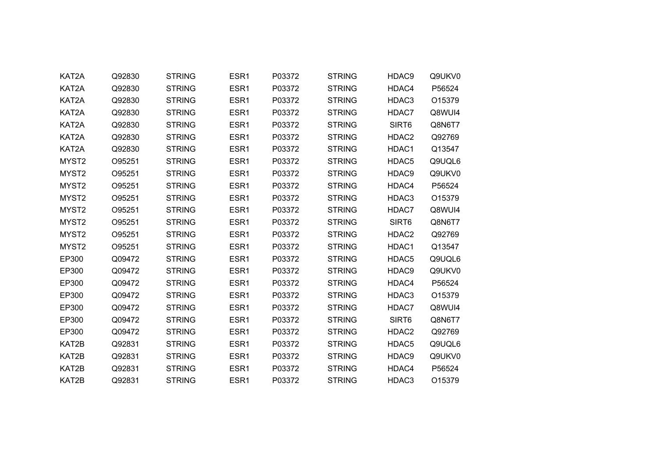| KAT2A             | Q92830 | <b>STRING</b> | ESR1             | P03372 | <b>STRING</b> | HDAC9             | Q9UKV0 |  |
|-------------------|--------|---------------|------------------|--------|---------------|-------------------|--------|--|
| KAT2A             | Q92830 | <b>STRING</b> | ESR1             | P03372 | <b>STRING</b> | HDAC4             | P56524 |  |
| KAT2A             | Q92830 | <b>STRING</b> | ESR1             | P03372 | <b>STRING</b> | HDAC3             | O15379 |  |
| KAT2A             | Q92830 | <b>STRING</b> | ESR <sub>1</sub> | P03372 | <b>STRING</b> | HDAC7             | Q8WUI4 |  |
| KAT2A             | Q92830 | <b>STRING</b> | ESR1             | P03372 | <b>STRING</b> | SIRT <sub>6</sub> | Q8N6T7 |  |
| KAT2A             | Q92830 | <b>STRING</b> | ESR1             | P03372 | <b>STRING</b> | HDAC2             | Q92769 |  |
| KAT2A             | Q92830 | <b>STRING</b> | ESR <sub>1</sub> | P03372 | <b>STRING</b> | HDAC1             | Q13547 |  |
| MYST2             | O95251 | <b>STRING</b> | ESR <sub>1</sub> | P03372 | <b>STRING</b> | HDAC5             | Q9UQL6 |  |
| MYST2             | O95251 | <b>STRING</b> | ESR1             | P03372 | <b>STRING</b> | HDAC9             | Q9UKV0 |  |
| MYST <sub>2</sub> | O95251 | <b>STRING</b> | ESR <sub>1</sub> | P03372 | <b>STRING</b> | HDAC4             | P56524 |  |
| MYST2             | O95251 | <b>STRING</b> | ESR1             | P03372 | <b>STRING</b> | HDAC3             | O15379 |  |
| MYST <sub>2</sub> | O95251 | <b>STRING</b> | ESR <sub>1</sub> | P03372 | <b>STRING</b> | HDAC7             | Q8WUI4 |  |
| MYST <sub>2</sub> | O95251 | <b>STRING</b> | ESR <sub>1</sub> | P03372 | <b>STRING</b> | SIRT <sub>6</sub> | Q8N6T7 |  |
| MYST <sub>2</sub> | O95251 | <b>STRING</b> | ESR1             | P03372 | <b>STRING</b> | HDAC2             | Q92769 |  |
| MYST <sub>2</sub> | O95251 | <b>STRING</b> | ESR1             | P03372 | <b>STRING</b> | HDAC1             | Q13547 |  |
| EP300             | Q09472 | <b>STRING</b> | ESR1             | P03372 | <b>STRING</b> | HDAC5             | Q9UQL6 |  |
| EP300             | Q09472 | <b>STRING</b> | ESR1             | P03372 | <b>STRING</b> | HDAC9             | Q9UKV0 |  |
| EP300             | Q09472 | <b>STRING</b> | ESR1             | P03372 | <b>STRING</b> | HDAC4             | P56524 |  |
| EP300             | Q09472 | <b>STRING</b> | ESR1             | P03372 | <b>STRING</b> | HDAC3             | O15379 |  |
| EP300             | Q09472 | <b>STRING</b> | ESR1             | P03372 | <b>STRING</b> | HDAC7             | Q8WUI4 |  |
| EP300             | Q09472 | <b>STRING</b> | ESR <sub>1</sub> | P03372 | <b>STRING</b> | SIRT6             | Q8N6T7 |  |
| EP300             | Q09472 | <b>STRING</b> | ESR1             | P03372 | <b>STRING</b> | HDAC2             | Q92769 |  |
| KAT2B             | Q92831 | <b>STRING</b> | ESR <sub>1</sub> | P03372 | <b>STRING</b> | HDAC5             | Q9UQL6 |  |
| KAT2B             | Q92831 | <b>STRING</b> | ESR1             | P03372 | <b>STRING</b> | HDAC9             | Q9UKV0 |  |
| KAT2B             | Q92831 | <b>STRING</b> | ESR1             | P03372 | <b>STRING</b> | HDAC4             | P56524 |  |
| KAT2B             | Q92831 | <b>STRING</b> | ESR <sub>1</sub> | P03372 | <b>STRING</b> | HDAC3             | O15379 |  |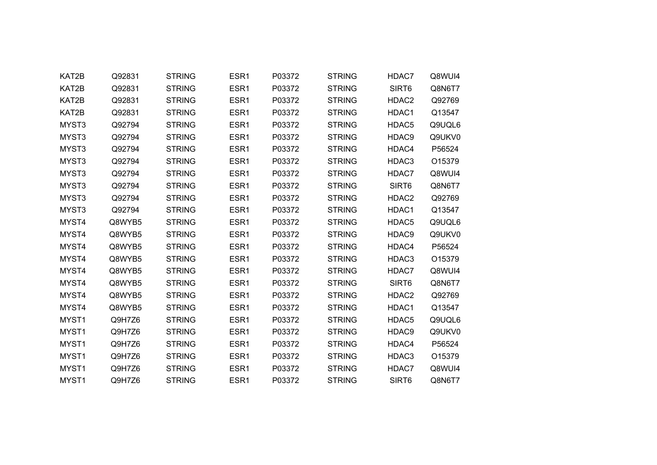| KAT2B             | Q92831 | <b>STRING</b> | ESR1             | P03372 | <b>STRING</b> | HDAC7             | Q8WUI4 |
|-------------------|--------|---------------|------------------|--------|---------------|-------------------|--------|
| KAT2B             | Q92831 | <b>STRING</b> | ESR1             | P03372 | <b>STRING</b> | SIRT6             | Q8N6T7 |
| KAT2B             | Q92831 | <b>STRING</b> | ESR1             | P03372 | <b>STRING</b> | HDAC2             | Q92769 |
| KAT2B             | Q92831 | <b>STRING</b> | ESR <sub>1</sub> | P03372 | <b>STRING</b> | HDAC1             | Q13547 |
| MYST3             | Q92794 | <b>STRING</b> | ESR <sub>1</sub> | P03372 | <b>STRING</b> | HDAC5             | Q9UQL6 |
| MYST3             | Q92794 | <b>STRING</b> | ESR1             | P03372 | <b>STRING</b> | HDAC9             | Q9UKV0 |
| MYST3             | Q92794 | <b>STRING</b> | ESR1             | P03372 | <b>STRING</b> | HDAC4             | P56524 |
| MYST3             | Q92794 | <b>STRING</b> | ESR1             | P03372 | <b>STRING</b> | HDAC3             | O15379 |
| MYST3             | Q92794 | <b>STRING</b> | ESR <sub>1</sub> | P03372 | <b>STRING</b> | HDAC7             | Q8WUI4 |
| MYST3             | Q92794 | <b>STRING</b> | ESR1             | P03372 | <b>STRING</b> | SIRT6             | Q8N6T7 |
| MYST3             | Q92794 | <b>STRING</b> | ESR1             | P03372 | <b>STRING</b> | HDAC2             | Q92769 |
| MYST3             | Q92794 | <b>STRING</b> | ESR1             | P03372 | <b>STRING</b> | HDAC1             | Q13547 |
| MYST4             | Q8WYB5 | <b>STRING</b> | ESR1             | P03372 | <b>STRING</b> | HDAC5             | Q9UQL6 |
| MYST4             | Q8WYB5 | <b>STRING</b> | ESR <sub>1</sub> | P03372 | <b>STRING</b> | HDAC9             | Q9UKV0 |
| MYST4             | Q8WYB5 | <b>STRING</b> | ESR1             | P03372 | <b>STRING</b> | HDAC4             | P56524 |
| MYST4             | Q8WYB5 | <b>STRING</b> | ESR <sub>1</sub> | P03372 | <b>STRING</b> | HDAC3             | O15379 |
| MYST4             | Q8WYB5 | <b>STRING</b> | ESR1             | P03372 | <b>STRING</b> | HDAC7             | Q8WUI4 |
| MYST4             | Q8WYB5 | <b>STRING</b> | ESR1             | P03372 | <b>STRING</b> | SIRT6             | Q8N6T7 |
| MYST4             | Q8WYB5 | <b>STRING</b> | ESR1             | P03372 | <b>STRING</b> | HDAC2             | Q92769 |
| MYST4             | Q8WYB5 | <b>STRING</b> | ESR1             | P03372 | <b>STRING</b> | HDAC1             | Q13547 |
| MYST1             | Q9H7Z6 | <b>STRING</b> | ESR <sub>1</sub> | P03372 | <b>STRING</b> | HDAC5             | Q9UQL6 |
| MYST1             | Q9H7Z6 | <b>STRING</b> | ESR1             | P03372 | <b>STRING</b> | HDAC9             | Q9UKV0 |
| MYST1             | Q9H7Z6 | <b>STRING</b> | ESR1             | P03372 | <b>STRING</b> | HDAC4             | P56524 |
| MYST1             | Q9H7Z6 | <b>STRING</b> | ESR1             | P03372 | <b>STRING</b> | HDAC3             | O15379 |
| MYST1             | Q9H7Z6 | <b>STRING</b> | ESR1             | P03372 | <b>STRING</b> | HDAC7             | Q8WUI4 |
| MYST <sub>1</sub> | Q9H7Z6 | <b>STRING</b> | ESR <sub>1</sub> | P03372 | <b>STRING</b> | SIRT <sub>6</sub> | Q8N6T7 |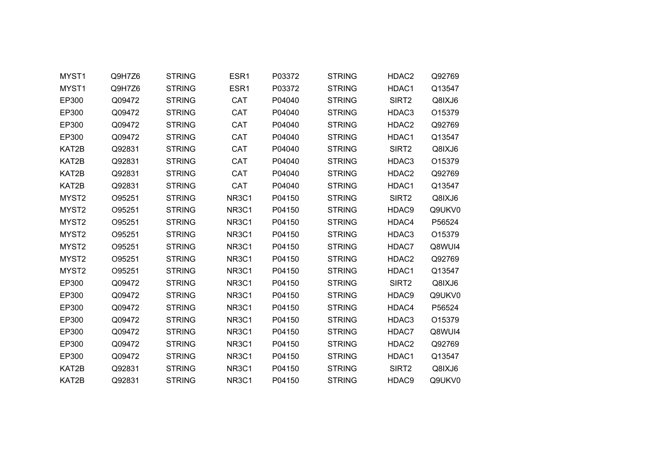| MYST1             | Q9H7Z6 | <b>STRING</b> | ESR1                           | P03372 | <b>STRING</b> | HDAC2             | Q92769 |
|-------------------|--------|---------------|--------------------------------|--------|---------------|-------------------|--------|
| MYST1             | Q9H7Z6 | <b>STRING</b> | ESR1                           | P03372 | <b>STRING</b> | HDAC1             | Q13547 |
| EP300             | Q09472 | <b>STRING</b> | <b>CAT</b>                     | P04040 | <b>STRING</b> | SIRT <sub>2</sub> | Q8IXJ6 |
| EP300             | Q09472 | <b>STRING</b> | CAT                            | P04040 | <b>STRING</b> | HDAC3             | O15379 |
| EP300             | Q09472 | <b>STRING</b> | CAT                            | P04040 | <b>STRING</b> | HDAC2             | Q92769 |
| EP300             | Q09472 | <b>STRING</b> | CAT                            | P04040 | <b>STRING</b> | HDAC1             | Q13547 |
| KAT2B             | Q92831 | <b>STRING</b> | <b>CAT</b>                     | P04040 | <b>STRING</b> | SIRT <sub>2</sub> | Q8IXJ6 |
| KAT2B             | Q92831 | <b>STRING</b> | CAT                            | P04040 | <b>STRING</b> | HDAC3             | O15379 |
| KAT2B             | Q92831 | <b>STRING</b> | CAT                            | P04040 | <b>STRING</b> | HDAC2             | Q92769 |
| KAT2B             | Q92831 | <b>STRING</b> | CAT                            | P04040 | <b>STRING</b> | HDAC1             | Q13547 |
| MYST2             | O95251 | <b>STRING</b> | NR3C1                          | P04150 | <b>STRING</b> | SIRT <sub>2</sub> | Q8IXJ6 |
| MYST2             | O95251 | <b>STRING</b> | NR3C1                          | P04150 | <b>STRING</b> | HDAC9             | Q9UKV0 |
| MYST <sub>2</sub> | O95251 | <b>STRING</b> | NR <sub>3</sub> C <sub>1</sub> | P04150 | <b>STRING</b> | HDAC4             | P56524 |
| MYST2             | O95251 | <b>STRING</b> | NR3C1                          | P04150 | <b>STRING</b> | HDAC3             | O15379 |
| MYST <sub>2</sub> | O95251 | <b>STRING</b> | NR3C1                          | P04150 | <b>STRING</b> | HDAC7             | Q8WUI4 |
| MYST2             | O95251 | <b>STRING</b> | NR <sub>3</sub> C <sub>1</sub> | P04150 | <b>STRING</b> | HDAC2             | Q92769 |
| MYST2             | O95251 | <b>STRING</b> | NR3C1                          | P04150 | <b>STRING</b> | HDAC1             | Q13547 |
| EP300             | Q09472 | <b>STRING</b> | NR3C1                          | P04150 | <b>STRING</b> | SIRT2             | Q8IXJ6 |
| EP300             | Q09472 | <b>STRING</b> | NR3C1                          | P04150 | <b>STRING</b> | HDAC9             | Q9UKV0 |
| EP300             | Q09472 | <b>STRING</b> | NR3C1                          | P04150 | <b>STRING</b> | HDAC4             | P56524 |
| EP300             | Q09472 | <b>STRING</b> | NR <sub>3</sub> C <sub>1</sub> | P04150 | <b>STRING</b> | HDAC3             | O15379 |
| EP300             | Q09472 | <b>STRING</b> | NR3C1                          | P04150 | <b>STRING</b> | HDAC7             | Q8WUI4 |
| EP300             | Q09472 | <b>STRING</b> | NR <sub>3</sub> C <sub>1</sub> | P04150 | <b>STRING</b> | HDAC2             | Q92769 |
| EP300             | Q09472 | <b>STRING</b> | NR3C1                          | P04150 | <b>STRING</b> | HDAC1             | Q13547 |
| KAT2B             | Q92831 | <b>STRING</b> | NR3C1                          | P04150 | <b>STRING</b> | SIRT <sub>2</sub> | Q8IXJ6 |
| KAT2B             | Q92831 | <b>STRING</b> | NR <sub>3</sub> C <sub>1</sub> | P04150 | <b>STRING</b> | HDAC9             | Q9UKV0 |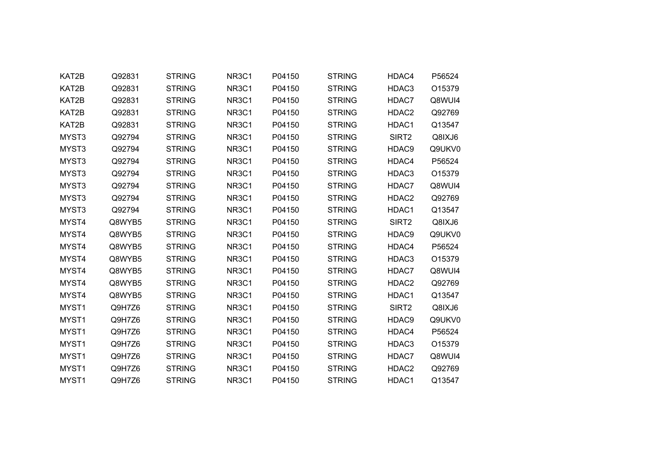| KAT2B | Q92831 | <b>STRING</b> | NR3C1                          | P04150 | <b>STRING</b> | HDAC4             | P56524 |
|-------|--------|---------------|--------------------------------|--------|---------------|-------------------|--------|
| KAT2B | Q92831 | <b>STRING</b> | NR <sub>3</sub> C <sub>1</sub> | P04150 | <b>STRING</b> | HDAC3             | O15379 |
| KAT2B | Q92831 | <b>STRING</b> | NR <sub>3</sub> C <sub>1</sub> | P04150 | <b>STRING</b> | HDAC7             | Q8WUI4 |
| KAT2B | Q92831 | <b>STRING</b> | NR3C1                          | P04150 | <b>STRING</b> | HDAC2             | Q92769 |
| KAT2B | Q92831 | <b>STRING</b> | NR <sub>3</sub> C <sub>1</sub> | P04150 | <b>STRING</b> | HDAC1             | Q13547 |
| MYST3 | Q92794 | <b>STRING</b> | NR3C1                          | P04150 | <b>STRING</b> | SIRT <sub>2</sub> | Q8IXJ6 |
| MYST3 | Q92794 | <b>STRING</b> | NR <sub>3</sub> C <sub>1</sub> | P04150 | <b>STRING</b> | HDAC9             | Q9UKV0 |
| MYST3 | Q92794 | <b>STRING</b> | NR3C1                          | P04150 | <b>STRING</b> | HDAC4             | P56524 |
| MYST3 | Q92794 | <b>STRING</b> | NR3C1                          | P04150 | <b>STRING</b> | HDAC3             | O15379 |
| MYST3 | Q92794 | <b>STRING</b> | NR <sub>3</sub> C <sub>1</sub> | P04150 | <b>STRING</b> | HDAC7             | Q8WUI4 |
| MYST3 | Q92794 | <b>STRING</b> | NR3C1                          | P04150 | <b>STRING</b> | HDAC2             | Q92769 |
| MYST3 | Q92794 | <b>STRING</b> | NR3C1                          | P04150 | <b>STRING</b> | HDAC1             | Q13547 |
| MYST4 | Q8WYB5 | <b>STRING</b> | NR <sub>3</sub> C <sub>1</sub> | P04150 | <b>STRING</b> | SIRT <sub>2</sub> | Q8IXJ6 |
| MYST4 | Q8WYB5 | <b>STRING</b> | NR3C1                          | P04150 | <b>STRING</b> | HDAC9             | Q9UKV0 |
| MYST4 | Q8WYB5 | <b>STRING</b> | NR3C1                          | P04150 | <b>STRING</b> | HDAC4             | P56524 |
| MYST4 | Q8WYB5 | <b>STRING</b> | NR <sub>3</sub> C <sub>1</sub> | P04150 | <b>STRING</b> | HDAC3             | O15379 |
| MYST4 | Q8WYB5 | <b>STRING</b> | NR3C1                          | P04150 | <b>STRING</b> | HDAC7             | Q8WUI4 |
| MYST4 | Q8WYB5 | <b>STRING</b> | NR <sub>3</sub> C <sub>1</sub> | P04150 | <b>STRING</b> | HDAC2             | Q92769 |
| MYST4 | Q8WYB5 | <b>STRING</b> | NR3C1                          | P04150 | <b>STRING</b> | HDAC1             | Q13547 |
| MYST1 | Q9H7Z6 | <b>STRING</b> | NR3C1                          | P04150 | <b>STRING</b> | SIRT <sub>2</sub> | Q8IXJ6 |
| MYST1 | Q9H7Z6 | <b>STRING</b> | NR <sub>3</sub> C <sub>1</sub> | P04150 | <b>STRING</b> | HDAC9             | Q9UKV0 |
| MYST1 | Q9H7Z6 | <b>STRING</b> | NR3C1                          | P04150 | <b>STRING</b> | HDAC4             | P56524 |
| MYST1 | Q9H7Z6 | <b>STRING</b> | NR <sub>3</sub> C <sub>1</sub> | P04150 | <b>STRING</b> | HDAC3             | O15379 |
| MYST1 | Q9H7Z6 | <b>STRING</b> | NR3C1                          | P04150 | <b>STRING</b> | HDAC7             | Q8WUI4 |
| MYST1 | Q9H7Z6 | <b>STRING</b> | NR3C1                          | P04150 | <b>STRING</b> | HDAC2             | Q92769 |
| MYST1 | Q9H7Z6 | <b>STRING</b> | NR <sub>3</sub> C <sub>1</sub> | P04150 | <b>STRING</b> | HDAC1             | Q13547 |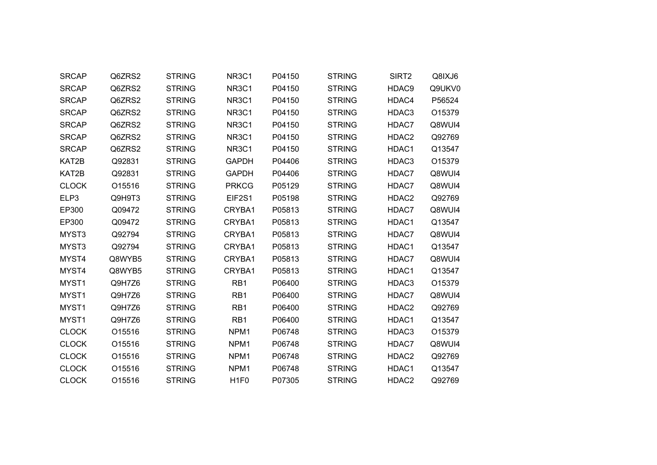| <b>SRCAP</b> | Q6ZRS2 | <b>STRING</b> | NR3C1                          | P04150 | <b>STRING</b> | SIRT2             | Q8IXJ6 |
|--------------|--------|---------------|--------------------------------|--------|---------------|-------------------|--------|
| <b>SRCAP</b> | Q6ZRS2 | <b>STRING</b> | NR3C1                          | P04150 | <b>STRING</b> | HDAC9             | Q9UKV0 |
| <b>SRCAP</b> | Q6ZRS2 | <b>STRING</b> | NR <sub>3</sub> C <sub>1</sub> | P04150 | <b>STRING</b> | HDAC4             | P56524 |
| <b>SRCAP</b> | Q6ZRS2 | <b>STRING</b> | NR <sub>3</sub> C <sub>1</sub> | P04150 | <b>STRING</b> | HDAC3             | O15379 |
| <b>SRCAP</b> | Q6ZRS2 | <b>STRING</b> | NR <sub>3</sub> C <sub>1</sub> | P04150 | <b>STRING</b> | HDAC7             | Q8WUI4 |
| <b>SRCAP</b> | Q6ZRS2 | <b>STRING</b> | NR3C1                          | P04150 | <b>STRING</b> | HDAC2             | Q92769 |
| <b>SRCAP</b> | Q6ZRS2 | <b>STRING</b> | NR <sub>3</sub> C <sub>1</sub> | P04150 | <b>STRING</b> | HDAC1             | Q13547 |
| KAT2B        | Q92831 | <b>STRING</b> | <b>GAPDH</b>                   | P04406 | <b>STRING</b> | HDAC3             | O15379 |
| KAT2B        | Q92831 | <b>STRING</b> | <b>GAPDH</b>                   | P04406 | <b>STRING</b> | HDAC7             | Q8WUI4 |
| <b>CLOCK</b> | O15516 | <b>STRING</b> | <b>PRKCG</b>                   | P05129 | <b>STRING</b> | HDAC7             | Q8WUI4 |
| ELP3         | Q9H9T3 | <b>STRING</b> | EIF2S1                         | P05198 | <b>STRING</b> | HDAC2             | Q92769 |
| EP300        | Q09472 | <b>STRING</b> | CRYBA1                         | P05813 | <b>STRING</b> | HDAC7             | Q8WUI4 |
| EP300        | Q09472 | <b>STRING</b> | CRYBA1                         | P05813 | <b>STRING</b> | HDAC1             | Q13547 |
| MYST3        | Q92794 | <b>STRING</b> | CRYBA1                         | P05813 | <b>STRING</b> | HDAC7             | Q8WUI4 |
| MYST3        | Q92794 | <b>STRING</b> | CRYBA1                         | P05813 | <b>STRING</b> | HDAC1             | Q13547 |
| MYST4        | Q8WYB5 | <b>STRING</b> | CRYBA1                         | P05813 | <b>STRING</b> | HDAC7             | Q8WUI4 |
| MYST4        | Q8WYB5 | <b>STRING</b> | CRYBA1                         | P05813 | <b>STRING</b> | HDAC1             | Q13547 |
| MYST1        | Q9H7Z6 | <b>STRING</b> | RB1                            | P06400 | <b>STRING</b> | HDAC3             | O15379 |
| MYST1        | Q9H7Z6 | <b>STRING</b> | RB1                            | P06400 | <b>STRING</b> | HDAC7             | Q8WUI4 |
| MYST1        | Q9H7Z6 | <b>STRING</b> | RB1                            | P06400 | <b>STRING</b> | HDAC2             | Q92769 |
| MYST1        | Q9H7Z6 | <b>STRING</b> | RB1                            | P06400 | <b>STRING</b> | HDAC1             | Q13547 |
| <b>CLOCK</b> | O15516 | <b>STRING</b> | NPM1                           | P06748 | <b>STRING</b> | HDAC3             | O15379 |
| <b>CLOCK</b> | O15516 | <b>STRING</b> | NPM1                           | P06748 | <b>STRING</b> | HDAC7             | Q8WUI4 |
| <b>CLOCK</b> | O15516 | <b>STRING</b> | NPM1                           | P06748 | <b>STRING</b> | HDAC <sub>2</sub> | Q92769 |
| <b>CLOCK</b> | O15516 | <b>STRING</b> | NPM1                           | P06748 | <b>STRING</b> | HDAC1             | Q13547 |
| <b>CLOCK</b> | O15516 | <b>STRING</b> | H <sub>1F0</sub>               | P07305 | <b>STRING</b> | HDAC2             | Q92769 |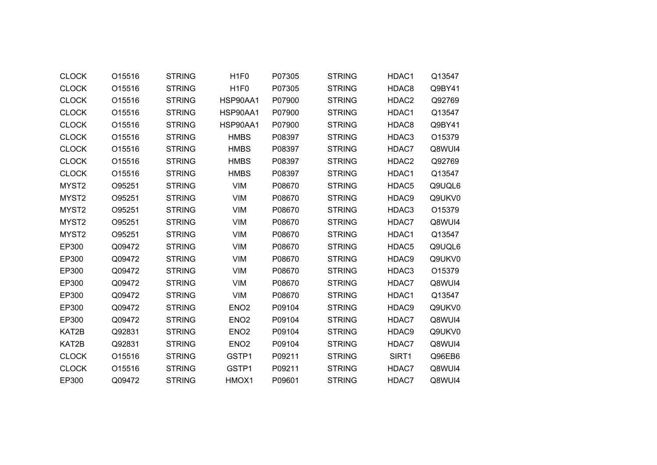| <b>CLOCK</b>      | O15516 | <b>STRING</b> | H <sub>1F0</sub>  | P07305 | <b>STRING</b> | HDAC1 | Q13547             |
|-------------------|--------|---------------|-------------------|--------|---------------|-------|--------------------|
| <b>CLOCK</b>      | O15516 | <b>STRING</b> | H <sub>1F0</sub>  | P07305 | <b>STRING</b> | HDAC8 | Q9BY41             |
| <b>CLOCK</b>      | O15516 | <b>STRING</b> | HSP90AA1          | P07900 | <b>STRING</b> | HDAC2 | Q92769             |
| <b>CLOCK</b>      | O15516 | <b>STRING</b> | HSP90AA1          | P07900 | <b>STRING</b> | HDAC1 | Q13547             |
| <b>CLOCK</b>      | O15516 | <b>STRING</b> | HSP90AA1          | P07900 | <b>STRING</b> | HDAC8 | Q9BY41             |
| <b>CLOCK</b>      | O15516 | <b>STRING</b> | <b>HMBS</b>       | P08397 | <b>STRING</b> | HDAC3 | O15379             |
| <b>CLOCK</b>      | O15516 | <b>STRING</b> | <b>HMBS</b>       | P08397 | <b>STRING</b> | HDAC7 | Q8WUI4             |
| <b>CLOCK</b>      | O15516 | <b>STRING</b> | <b>HMBS</b>       | P08397 | <b>STRING</b> | HDAC2 | Q92769             |
| <b>CLOCK</b>      | O15516 | <b>STRING</b> | <b>HMBS</b>       | P08397 | <b>STRING</b> | HDAC1 | Q13547             |
| MYST2             | O95251 | <b>STRING</b> | <b>VIM</b>        | P08670 | <b>STRING</b> | HDAC5 | Q9UQL6             |
| MYST <sub>2</sub> | O95251 | <b>STRING</b> | <b>VIM</b>        | P08670 | <b>STRING</b> | HDAC9 | Q9UKV0             |
| MYST <sub>2</sub> | O95251 | <b>STRING</b> | <b>VIM</b>        | P08670 | <b>STRING</b> | HDAC3 | O <sub>15379</sub> |
| MYST <sub>2</sub> | O95251 | <b>STRING</b> | VIM               | P08670 | <b>STRING</b> | HDAC7 | Q8WUI4             |
| MYST2             | O95251 | <b>STRING</b> | <b>VIM</b>        | P08670 | <b>STRING</b> | HDAC1 | Q13547             |
| EP300             | Q09472 | <b>STRING</b> | <b>VIM</b>        | P08670 | <b>STRING</b> | HDAC5 | Q9UQL6             |
| EP300             | Q09472 | <b>STRING</b> | <b>VIM</b>        | P08670 | <b>STRING</b> | HDAC9 | Q9UKV0             |
| EP300             | Q09472 | <b>STRING</b> | <b>VIM</b>        | P08670 | <b>STRING</b> | HDAC3 | O15379             |
| EP300             | Q09472 | <b>STRING</b> | VIM               | P08670 | <b>STRING</b> | HDAC7 | Q8WUI4             |
| EP300             | Q09472 | <b>STRING</b> | <b>VIM</b>        | P08670 | <b>STRING</b> | HDAC1 | Q13547             |
| EP300             | Q09472 | <b>STRING</b> | ENO <sub>2</sub>  | P09104 | <b>STRING</b> | HDAC9 | Q9UKV0             |
| EP300             | Q09472 | <b>STRING</b> | ENO <sub>2</sub>  | P09104 | <b>STRING</b> | HDAC7 | Q8WUI4             |
| KAT2B             | Q92831 | <b>STRING</b> | EN <sub>O</sub> 2 | P09104 | <b>STRING</b> | HDAC9 | Q9UKV0             |
| KAT2B             | Q92831 | <b>STRING</b> | EN <sub>O</sub> 2 | P09104 | <b>STRING</b> | HDAC7 | Q8WUI4             |
| <b>CLOCK</b>      | O15516 | <b>STRING</b> | GSTP1             | P09211 | <b>STRING</b> | SIRT1 | Q96EB6             |
| <b>CLOCK</b>      | O15516 | <b>STRING</b> | GSTP1             | P09211 | <b>STRING</b> | HDAC7 | Q8WUI4             |
| EP300             | Q09472 | <b>STRING</b> | HMOX1             | P09601 | <b>STRING</b> | HDAC7 | Q8WUI4             |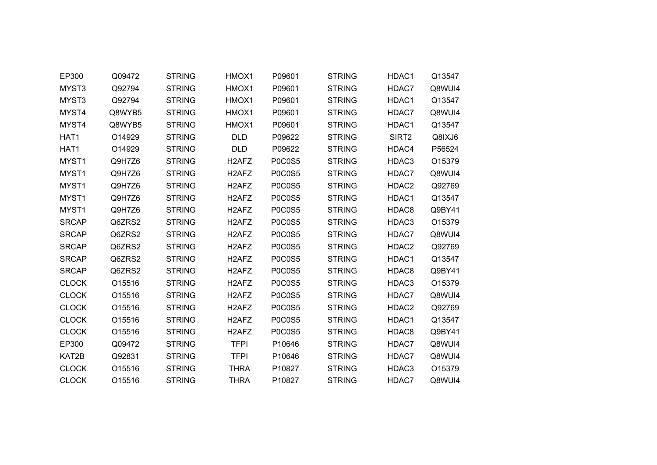| EP300        | Q09472 | <b>STRING</b> | HMOX1                          | P09601        | <b>STRING</b> | HDAC1 | Q13547 |
|--------------|--------|---------------|--------------------------------|---------------|---------------|-------|--------|
| MYST3        | Q92794 | <b>STRING</b> | HMOX1                          | P09601        | <b>STRING</b> | HDAC7 | Q8WUI4 |
| MYST3        | Q92794 | <b>STRING</b> | HMOX1                          | P09601        | <b>STRING</b> | HDAC1 | Q13547 |
| MYST4        | Q8WYB5 | <b>STRING</b> | HMOX1                          | P09601        | <b>STRING</b> | HDAC7 | Q8WUI4 |
| MYST4        | Q8WYB5 | <b>STRING</b> | HMOX1                          | P09601        | <b>STRING</b> | HDAC1 | Q13547 |
| HAT1         | O14929 | <b>STRING</b> | <b>DLD</b>                     | P09622        | <b>STRING</b> | SIRT2 | Q8IXJ6 |
| HAT1         | O14929 | <b>STRING</b> | <b>DLD</b>                     | P09622        | <b>STRING</b> | HDAC4 | P56524 |
| MYST1        | Q9H7Z6 | <b>STRING</b> | H <sub>2</sub> AF <sub>Z</sub> | <b>P0C0S5</b> | <b>STRING</b> | HDAC3 | O15379 |
| MYST1        | Q9H7Z6 | <b>STRING</b> | H <sub>2</sub> AF <sub>Z</sub> | <b>P0C0S5</b> | <b>STRING</b> | HDAC7 | Q8WUI4 |
| MYST1        | Q9H7Z6 | <b>STRING</b> | H <sub>2</sub> AF <sub>Z</sub> | <b>P0C0S5</b> | <b>STRING</b> | HDAC2 | Q92769 |
| MYST1        | Q9H7Z6 | <b>STRING</b> | H <sub>2</sub> AF <sub>Z</sub> | <b>P0C0S5</b> | <b>STRING</b> | HDAC1 | Q13547 |
| MYST1        | Q9H7Z6 | <b>STRING</b> | H <sub>2</sub> AF <sub>Z</sub> | <b>P0C0S5</b> | <b>STRING</b> | HDAC8 | Q9BY41 |
| <b>SRCAP</b> | Q6ZRS2 | <b>STRING</b> | H <sub>2</sub> AF <sub>Z</sub> | <b>P0C0S5</b> | <b>STRING</b> | HDAC3 | O15379 |
| <b>SRCAP</b> | Q6ZRS2 | <b>STRING</b> | H <sub>2</sub> AF <sub>Z</sub> | <b>P0C0S5</b> | <b>STRING</b> | HDAC7 | Q8WUI4 |
| <b>SRCAP</b> | Q6ZRS2 | <b>STRING</b> | H <sub>2</sub> AF <sub>Z</sub> | <b>P0C0S5</b> | <b>STRING</b> | HDAC2 | Q92769 |
| <b>SRCAP</b> | Q6ZRS2 | <b>STRING</b> | H <sub>2</sub> AF <sub>Z</sub> | P0C0S5        | <b>STRING</b> | HDAC1 | Q13547 |
| <b>SRCAP</b> | Q6ZRS2 | <b>STRING</b> | H <sub>2</sub> AF <sub>Z</sub> | <b>P0C0S5</b> | <b>STRING</b> | HDAC8 | Q9BY41 |
| <b>CLOCK</b> | O15516 | <b>STRING</b> | H <sub>2</sub> AF <sub>Z</sub> | <b>P0C0S5</b> | <b>STRING</b> | HDAC3 | O15379 |
| <b>CLOCK</b> | O15516 | <b>STRING</b> | H <sub>2</sub> AF <sub>Z</sub> | <b>P0C0S5</b> | <b>STRING</b> | HDAC7 | Q8WUI4 |
| <b>CLOCK</b> | O15516 | <b>STRING</b> | H <sub>2</sub> AF <sub>Z</sub> | <b>P0C0S5</b> | <b>STRING</b> | HDAC2 | Q92769 |
| <b>CLOCK</b> | O15516 | <b>STRING</b> | H <sub>2</sub> AF <sub>Z</sub> | <b>P0C0S5</b> | <b>STRING</b> | HDAC1 | Q13547 |
| <b>CLOCK</b> | O15516 | <b>STRING</b> | H <sub>2</sub> AF <sub>Z</sub> | <b>P0C0S5</b> | <b>STRING</b> | HDAC8 | Q9BY41 |
| EP300        | Q09472 | <b>STRING</b> | <b>TFPI</b>                    | P10646        | <b>STRING</b> | HDAC7 | Q8WUI4 |
| KAT2B        | Q92831 | <b>STRING</b> | <b>TFPI</b>                    | P10646        | <b>STRING</b> | HDAC7 | Q8WUI4 |
| <b>CLOCK</b> | O15516 | <b>STRING</b> | <b>THRA</b>                    | P10827        | <b>STRING</b> | HDAC3 | O15379 |
| <b>CLOCK</b> | O15516 | <b>STRING</b> | <b>THRA</b>                    | P10827        | <b>STRING</b> | HDAC7 | Q8WUI4 |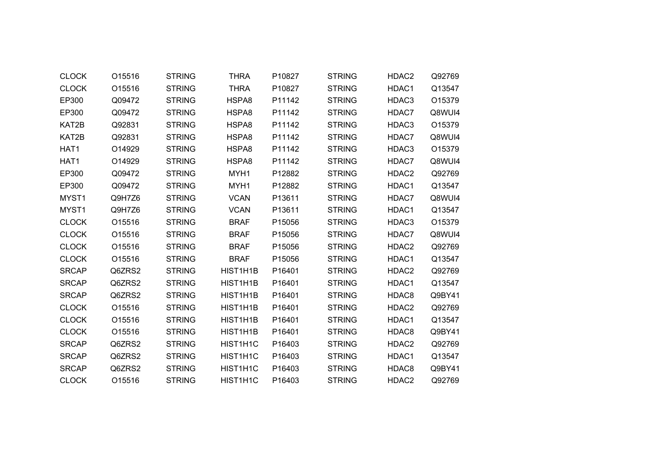| <b>CLOCK</b> | O15516 | <b>STRING</b> | <b>THRA</b> | P10827 | <b>STRING</b> | HDAC2 | Q92769 |
|--------------|--------|---------------|-------------|--------|---------------|-------|--------|
| <b>CLOCK</b> | O15516 | <b>STRING</b> | <b>THRA</b> | P10827 | <b>STRING</b> | HDAC1 | Q13547 |
| EP300        | Q09472 | <b>STRING</b> | HSPA8       | P11142 | <b>STRING</b> | HDAC3 | O15379 |
| EP300        | Q09472 | <b>STRING</b> | HSPA8       | P11142 | <b>STRING</b> | HDAC7 | Q8WUI4 |
| KAT2B        | Q92831 | <b>STRING</b> | HSPA8       | P11142 | <b>STRING</b> | HDAC3 | O15379 |
| KAT2B        | Q92831 | <b>STRING</b> | HSPA8       | P11142 | <b>STRING</b> | HDAC7 | Q8WUI4 |
| HAT1         | O14929 | <b>STRING</b> | HSPA8       | P11142 | <b>STRING</b> | HDAC3 | O15379 |
| HAT1         | O14929 | <b>STRING</b> | HSPA8       | P11142 | <b>STRING</b> | HDAC7 | Q8WUI4 |
| EP300        | Q09472 | <b>STRING</b> | MYH1        | P12882 | <b>STRING</b> | HDAC2 | Q92769 |
| EP300        | Q09472 | <b>STRING</b> | MYH1        | P12882 | <b>STRING</b> | HDAC1 | Q13547 |
| MYST1        | Q9H7Z6 | <b>STRING</b> | <b>VCAN</b> | P13611 | <b>STRING</b> | HDAC7 | Q8WUI4 |
| MYST1        | Q9H7Z6 | <b>STRING</b> | <b>VCAN</b> | P13611 | <b>STRING</b> | HDAC1 | Q13547 |
| <b>CLOCK</b> | O15516 | <b>STRING</b> | <b>BRAF</b> | P15056 | <b>STRING</b> | HDAC3 | O15379 |
| <b>CLOCK</b> | O15516 | <b>STRING</b> | <b>BRAF</b> | P15056 | <b>STRING</b> | HDAC7 | Q8WUI4 |
| <b>CLOCK</b> | O15516 | <b>STRING</b> | <b>BRAF</b> | P15056 | <b>STRING</b> | HDAC2 | Q92769 |
| <b>CLOCK</b> | O15516 | <b>STRING</b> | <b>BRAF</b> | P15056 | <b>STRING</b> | HDAC1 | Q13547 |
| <b>SRCAP</b> | Q6ZRS2 | <b>STRING</b> | HIST1H1B    | P16401 | <b>STRING</b> | HDAC2 | Q92769 |
| <b>SRCAP</b> | Q6ZRS2 | <b>STRING</b> | HIST1H1B    | P16401 | <b>STRING</b> | HDAC1 | Q13547 |
| <b>SRCAP</b> | Q6ZRS2 | <b>STRING</b> | HIST1H1B    | P16401 | <b>STRING</b> | HDAC8 | Q9BY41 |
| <b>CLOCK</b> | O15516 | <b>STRING</b> | HIST1H1B    | P16401 | <b>STRING</b> | HDAC2 | Q92769 |
| <b>CLOCK</b> | O15516 | <b>STRING</b> | HIST1H1B    | P16401 | <b>STRING</b> | HDAC1 | Q13547 |
| <b>CLOCK</b> | O15516 | <b>STRING</b> | HIST1H1B    | P16401 | <b>STRING</b> | HDAC8 | Q9BY41 |
| <b>SRCAP</b> | Q6ZRS2 | <b>STRING</b> | HIST1H1C    | P16403 | <b>STRING</b> | HDAC2 | Q92769 |
| <b>SRCAP</b> | Q6ZRS2 | <b>STRING</b> | HIST1H1C    | P16403 | <b>STRING</b> | HDAC1 | Q13547 |
| <b>SRCAP</b> | Q6ZRS2 | <b>STRING</b> | HIST1H1C    | P16403 | <b>STRING</b> | HDAC8 | Q9BY41 |
| <b>CLOCK</b> | O15516 | <b>STRING</b> | HIST1H1C    | P16403 | <b>STRING</b> | HDAC2 | Q92769 |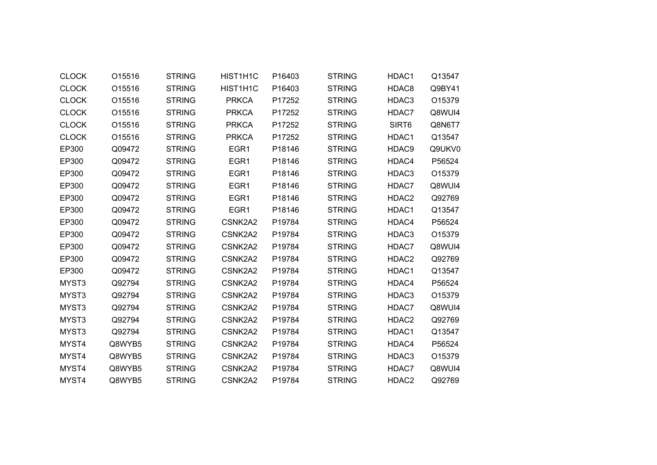| <b>CLOCK</b> | O15516 | <b>STRING</b> | HIST1H1C     | P16403 | <b>STRING</b> | HDAC1             | Q13547 |
|--------------|--------|---------------|--------------|--------|---------------|-------------------|--------|
| <b>CLOCK</b> | O15516 | <b>STRING</b> | HIST1H1C     | P16403 | <b>STRING</b> | HDAC8             | Q9BY41 |
| <b>CLOCK</b> | O15516 | <b>STRING</b> | <b>PRKCA</b> | P17252 | <b>STRING</b> | HDAC3             | O15379 |
| <b>CLOCK</b> | O15516 | <b>STRING</b> | <b>PRKCA</b> | P17252 | <b>STRING</b> | HDAC7             | Q8WUI4 |
| <b>CLOCK</b> | O15516 | <b>STRING</b> | <b>PRKCA</b> | P17252 | <b>STRING</b> | SIRT <sub>6</sub> | Q8N6T7 |
| <b>CLOCK</b> | O15516 | <b>STRING</b> | <b>PRKCA</b> | P17252 | <b>STRING</b> | HDAC1             | Q13547 |
| EP300        | Q09472 | <b>STRING</b> | EGR1         | P18146 | <b>STRING</b> | HDAC9             | Q9UKV0 |
| EP300        | Q09472 | <b>STRING</b> | EGR1         | P18146 | <b>STRING</b> | HDAC4             | P56524 |
| EP300        | Q09472 | <b>STRING</b> | EGR1         | P18146 | <b>STRING</b> | HDAC3             | O15379 |
| EP300        | Q09472 | <b>STRING</b> | EGR1         | P18146 | <b>STRING</b> | HDAC7             | Q8WUI4 |
| EP300        | Q09472 | <b>STRING</b> | EGR1         | P18146 | <b>STRING</b> | HDAC2             | Q92769 |
| EP300        | Q09472 | <b>STRING</b> | EGR1         | P18146 | <b>STRING</b> | HDAC1             | Q13547 |
| EP300        | Q09472 | <b>STRING</b> | CSNK2A2      | P19784 | <b>STRING</b> | HDAC4             | P56524 |
| EP300        | Q09472 | <b>STRING</b> | CSNK2A2      | P19784 | <b>STRING</b> | HDAC3             | O15379 |
| EP300        | Q09472 | <b>STRING</b> | CSNK2A2      | P19784 | <b>STRING</b> | HDAC7             | Q8WUI4 |
| EP300        | Q09472 | <b>STRING</b> | CSNK2A2      | P19784 | <b>STRING</b> | HDAC2             | Q92769 |
| EP300        | Q09472 | <b>STRING</b> | CSNK2A2      | P19784 | <b>STRING</b> | HDAC1             | Q13547 |
| MYST3        | Q92794 | <b>STRING</b> | CSNK2A2      | P19784 | <b>STRING</b> | HDAC4             | P56524 |
| MYST3        | Q92794 | <b>STRING</b> | CSNK2A2      | P19784 | <b>STRING</b> | HDAC3             | O15379 |
| MYST3        | Q92794 | <b>STRING</b> | CSNK2A2      | P19784 | <b>STRING</b> | HDAC7             | Q8WUI4 |
| MYST3        | Q92794 | <b>STRING</b> | CSNK2A2      | P19784 | <b>STRING</b> | HDAC2             | Q92769 |
| MYST3        | Q92794 | <b>STRING</b> | CSNK2A2      | P19784 | <b>STRING</b> | HDAC1             | Q13547 |
| MYST4        | Q8WYB5 | <b>STRING</b> | CSNK2A2      | P19784 | <b>STRING</b> | HDAC4             | P56524 |
| MYST4        | Q8WYB5 | <b>STRING</b> | CSNK2A2      | P19784 | <b>STRING</b> | HDAC3             | O15379 |
| MYST4        | Q8WYB5 | <b>STRING</b> | CSNK2A2      | P19784 | <b>STRING</b> | HDAC7             | Q8WUI4 |
| MYST4        | Q8WYB5 | <b>STRING</b> | CSNK2A2      | P19784 | <b>STRING</b> | HDAC2             | Q92769 |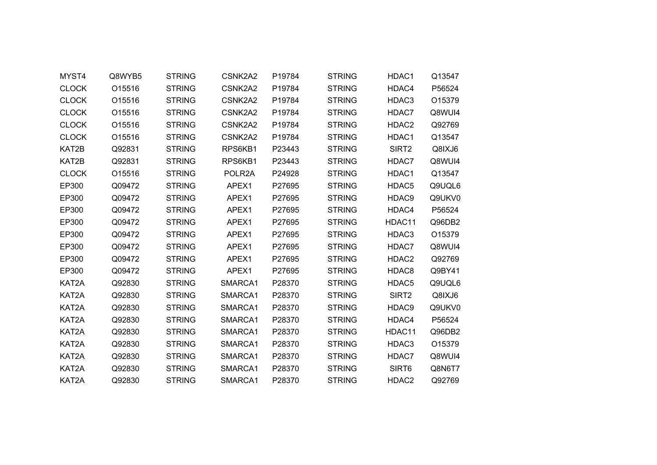| MYST4        | Q8WYB5 | <b>STRING</b> | CSNK2A2 | P19784 | <b>STRING</b> | HDAC1             | Q13547 |
|--------------|--------|---------------|---------|--------|---------------|-------------------|--------|
| <b>CLOCK</b> | O15516 | <b>STRING</b> | CSNK2A2 | P19784 | <b>STRING</b> | HDAC4             | P56524 |
| <b>CLOCK</b> | O15516 | <b>STRING</b> | CSNK2A2 | P19784 | <b>STRING</b> | HDAC3             | O15379 |
| <b>CLOCK</b> | O15516 | <b>STRING</b> | CSNK2A2 | P19784 | <b>STRING</b> | HDAC7             | Q8WUI4 |
| <b>CLOCK</b> | O15516 | <b>STRING</b> | CSNK2A2 | P19784 | <b>STRING</b> | HDAC2             | Q92769 |
| <b>CLOCK</b> | O15516 | <b>STRING</b> | CSNK2A2 | P19784 | <b>STRING</b> | HDAC1             | Q13547 |
| KAT2B        | Q92831 | <b>STRING</b> | RPS6KB1 | P23443 | <b>STRING</b> | SIRT <sub>2</sub> | Q8IXJ6 |
| KAT2B        | Q92831 | <b>STRING</b> | RPS6KB1 | P23443 | <b>STRING</b> | HDAC7             | Q8WUI4 |
| <b>CLOCK</b> | O15516 | <b>STRING</b> | POLR2A  | P24928 | <b>STRING</b> | HDAC1             | Q13547 |
| EP300        | Q09472 | <b>STRING</b> | APEX1   | P27695 | <b>STRING</b> | HDAC5             | Q9UQL6 |
| EP300        | Q09472 | <b>STRING</b> | APEX1   | P27695 | <b>STRING</b> | HDAC9             | Q9UKV0 |
| EP300        | Q09472 | <b>STRING</b> | APEX1   | P27695 | <b>STRING</b> | HDAC4             | P56524 |
| EP300        | Q09472 | <b>STRING</b> | APEX1   | P27695 | <b>STRING</b> | HDAC11            | Q96DB2 |
| EP300        | Q09472 | <b>STRING</b> | APEX1   | P27695 | <b>STRING</b> | HDAC3             | O15379 |
| EP300        | Q09472 | <b>STRING</b> | APEX1   | P27695 | <b>STRING</b> | HDAC7             | Q8WUI4 |
| EP300        | Q09472 | <b>STRING</b> | APEX1   | P27695 | <b>STRING</b> | HDAC2             | Q92769 |
| EP300        | Q09472 | <b>STRING</b> | APEX1   | P27695 | <b>STRING</b> | HDAC8             | Q9BY41 |
| KAT2A        | Q92830 | <b>STRING</b> | SMARCA1 | P28370 | <b>STRING</b> | HDAC5             | Q9UQL6 |
| KAT2A        | Q92830 | <b>STRING</b> | SMARCA1 | P28370 | <b>STRING</b> | SIRT2             | Q8IXJ6 |
| KAT2A        | Q92830 | <b>STRING</b> | SMARCA1 | P28370 | <b>STRING</b> | HDAC9             | Q9UKV0 |
| KAT2A        | Q92830 | <b>STRING</b> | SMARCA1 | P28370 | <b>STRING</b> | HDAC4             | P56524 |
| KAT2A        | Q92830 | <b>STRING</b> | SMARCA1 | P28370 | <b>STRING</b> | HDAC11            | Q96DB2 |
| KAT2A        | Q92830 | <b>STRING</b> | SMARCA1 | P28370 | <b>STRING</b> | HDAC3             | O15379 |
| KAT2A        | Q92830 | <b>STRING</b> | SMARCA1 | P28370 | <b>STRING</b> | HDAC7             | Q8WUI4 |
| KAT2A        | Q92830 | <b>STRING</b> | SMARCA1 | P28370 | <b>STRING</b> | SIRT6             | Q8N6T7 |
| KAT2A        | Q92830 | <b>STRING</b> | SMARCA1 | P28370 | <b>STRING</b> | HDAC2             | Q92769 |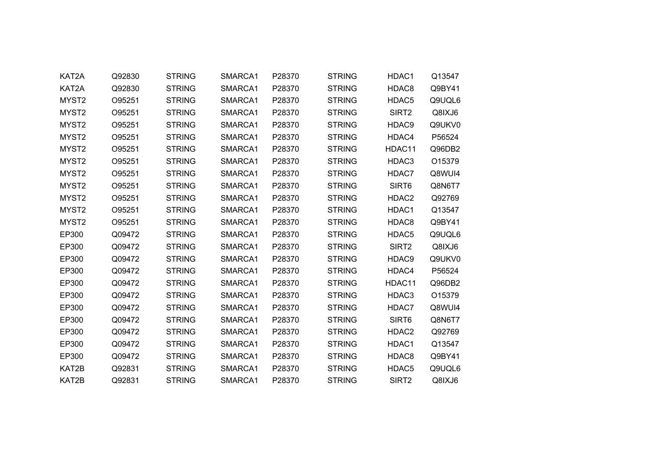| KAT2A             | Q92830 | <b>STRING</b> | SMARCA1 | P28370 | <b>STRING</b> | HDAC1             | Q13547 |  |
|-------------------|--------|---------------|---------|--------|---------------|-------------------|--------|--|
| KAT2A             | Q92830 | <b>STRING</b> | SMARCA1 | P28370 | <b>STRING</b> | HDAC8             | Q9BY41 |  |
| MYST2             | O95251 | <b>STRING</b> | SMARCA1 | P28370 | <b>STRING</b> | HDAC <sub>5</sub> | Q9UQL6 |  |
| MYST2             | O95251 | <b>STRING</b> | SMARCA1 | P28370 | <b>STRING</b> | SIRT2             | Q8IXJ6 |  |
| MYST <sub>2</sub> | O95251 | <b>STRING</b> | SMARCA1 | P28370 | <b>STRING</b> | HDAC9             | Q9UKV0 |  |
| MYST2             | O95251 | <b>STRING</b> | SMARCA1 | P28370 | <b>STRING</b> | HDAC4             | P56524 |  |
| MYST2             | O95251 | <b>STRING</b> | SMARCA1 | P28370 | <b>STRING</b> | HDAC11            | Q96DB2 |  |
| MYST <sub>2</sub> | O95251 | <b>STRING</b> | SMARCA1 | P28370 | <b>STRING</b> | HDAC3             | O15379 |  |
| MYST2             | O95251 | <b>STRING</b> | SMARCA1 | P28370 | <b>STRING</b> | HDAC7             | Q8WUI4 |  |
| MYST2             | O95251 | <b>STRING</b> | SMARCA1 | P28370 | <b>STRING</b> | SIRT6             | Q8N6T7 |  |
| MYST <sub>2</sub> | O95251 | <b>STRING</b> | SMARCA1 | P28370 | <b>STRING</b> | HDAC2             | Q92769 |  |
| MYST2             | O95251 | <b>STRING</b> | SMARCA1 | P28370 | <b>STRING</b> | HDAC1             | Q13547 |  |
| MYST <sub>2</sub> | O95251 | <b>STRING</b> | SMARCA1 | P28370 | <b>STRING</b> | HDAC8             | Q9BY41 |  |
| EP300             | Q09472 | <b>STRING</b> | SMARCA1 | P28370 | <b>STRING</b> | HDAC5             | Q9UQL6 |  |
| EP300             | Q09472 | <b>STRING</b> | SMARCA1 | P28370 | <b>STRING</b> | SIRT <sub>2</sub> | Q8IXJ6 |  |
| EP300             | Q09472 | <b>STRING</b> | SMARCA1 | P28370 | <b>STRING</b> | HDAC9             | Q9UKV0 |  |
| EP300             | Q09472 | <b>STRING</b> | SMARCA1 | P28370 | <b>STRING</b> | HDAC4             | P56524 |  |
| EP300             | Q09472 | <b>STRING</b> | SMARCA1 | P28370 | <b>STRING</b> | HDAC11            | Q96DB2 |  |
| EP300             | Q09472 | <b>STRING</b> | SMARCA1 | P28370 | <b>STRING</b> | HDAC3             | O15379 |  |
| EP300             | Q09472 | <b>STRING</b> | SMARCA1 | P28370 | <b>STRING</b> | HDAC7             | Q8WUI4 |  |
| EP300             | Q09472 | <b>STRING</b> | SMARCA1 | P28370 | <b>STRING</b> | SIRT6             | Q8N6T7 |  |
| EP300             | Q09472 | <b>STRING</b> | SMARCA1 | P28370 | <b>STRING</b> | HDAC2             | Q92769 |  |
| EP300             | Q09472 | <b>STRING</b> | SMARCA1 | P28370 | <b>STRING</b> | HDAC1             | Q13547 |  |
| EP300             | Q09472 | <b>STRING</b> | SMARCA1 | P28370 | <b>STRING</b> | HDAC8             | Q9BY41 |  |
| KAT2B             | Q92831 | <b>STRING</b> | SMARCA1 | P28370 | <b>STRING</b> | HDAC5             | Q9UQL6 |  |
| KAT2B             | Q92831 | <b>STRING</b> | SMARCA1 | P28370 | <b>STRING</b> | SIRT2             | Q8IXJ6 |  |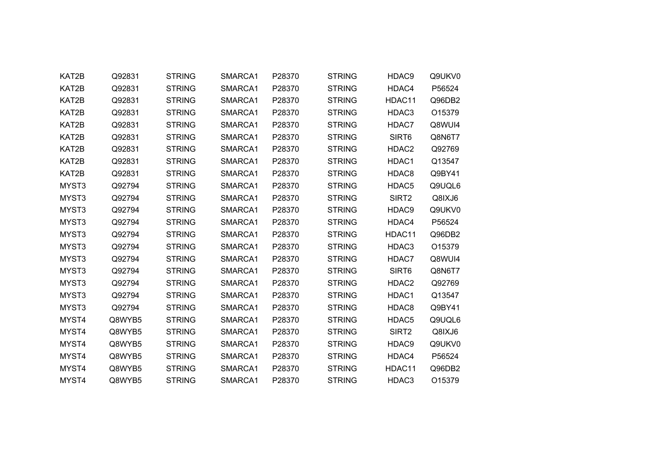| KAT2B | Q92831 | <b>STRING</b> | SMARCA1 | P28370 | <b>STRING</b> | HDAC9             | Q9UKV0 |
|-------|--------|---------------|---------|--------|---------------|-------------------|--------|
| KAT2B | Q92831 | <b>STRING</b> | SMARCA1 | P28370 | <b>STRING</b> | HDAC4             | P56524 |
| KAT2B | Q92831 | <b>STRING</b> | SMARCA1 | P28370 | <b>STRING</b> | HDAC11            | Q96DB2 |
| KAT2B | Q92831 | <b>STRING</b> | SMARCA1 | P28370 | <b>STRING</b> | HDAC3             | O15379 |
| KAT2B | Q92831 | <b>STRING</b> | SMARCA1 | P28370 | <b>STRING</b> | HDAC7             | Q8WUI4 |
| KAT2B | Q92831 | <b>STRING</b> | SMARCA1 | P28370 | <b>STRING</b> | SIRT6             | Q8N6T7 |
| KAT2B | Q92831 | <b>STRING</b> | SMARCA1 | P28370 | <b>STRING</b> | HDAC2             | Q92769 |
| KAT2B | Q92831 | <b>STRING</b> | SMARCA1 | P28370 | <b>STRING</b> | HDAC1             | Q13547 |
| KAT2B | Q92831 | <b>STRING</b> | SMARCA1 | P28370 | <b>STRING</b> | HDAC8             | Q9BY41 |
| MYST3 | Q92794 | <b>STRING</b> | SMARCA1 | P28370 | <b>STRING</b> | HDAC5             | Q9UQL6 |
| MYST3 | Q92794 | <b>STRING</b> | SMARCA1 | P28370 | <b>STRING</b> | SIRT <sub>2</sub> | Q8IXJ6 |
| MYST3 | Q92794 | <b>STRING</b> | SMARCA1 | P28370 | <b>STRING</b> | HDAC9             | Q9UKV0 |
| MYST3 | Q92794 | <b>STRING</b> | SMARCA1 | P28370 | <b>STRING</b> | HDAC4             | P56524 |
| MYST3 | Q92794 | <b>STRING</b> | SMARCA1 | P28370 | <b>STRING</b> | HDAC11            | Q96DB2 |
| MYST3 | Q92794 | <b>STRING</b> | SMARCA1 | P28370 | <b>STRING</b> | HDAC3             | O15379 |
| MYST3 | Q92794 | <b>STRING</b> | SMARCA1 | P28370 | <b>STRING</b> | HDAC7             | Q8WUI4 |
| MYST3 | Q92794 | <b>STRING</b> | SMARCA1 | P28370 | <b>STRING</b> | SIRT6             | Q8N6T7 |
| MYST3 | Q92794 | <b>STRING</b> | SMARCA1 | P28370 | <b>STRING</b> | HDAC2             | Q92769 |
| MYST3 | Q92794 | <b>STRING</b> | SMARCA1 | P28370 | <b>STRING</b> | HDAC1             | Q13547 |
| MYST3 | Q92794 | <b>STRING</b> | SMARCA1 | P28370 | <b>STRING</b> | HDAC8             | Q9BY41 |
| MYST4 | Q8WYB5 | <b>STRING</b> | SMARCA1 | P28370 | <b>STRING</b> | HDAC5             | Q9UQL6 |
| MYST4 | Q8WYB5 | <b>STRING</b> | SMARCA1 | P28370 | <b>STRING</b> | SIRT <sub>2</sub> | Q8IXJ6 |
| MYST4 | Q8WYB5 | <b>STRING</b> | SMARCA1 | P28370 | <b>STRING</b> | HDAC9             | Q9UKV0 |
| MYST4 | Q8WYB5 | <b>STRING</b> | SMARCA1 | P28370 | <b>STRING</b> | HDAC4             | P56524 |
| MYST4 | Q8WYB5 | <b>STRING</b> | SMARCA1 | P28370 | <b>STRING</b> | HDAC11            | Q96DB2 |
| MYST4 | Q8WYB5 | <b>STRING</b> | SMARCA1 | P28370 | <b>STRING</b> | HDAC3             | O15379 |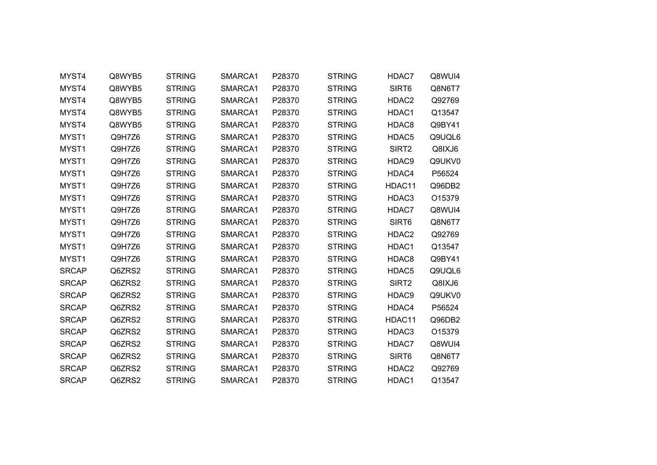| MYST4        | Q8WYB5 | <b>STRING</b> | SMARCA1 | P28370 | <b>STRING</b> | HDAC7             | Q8WUI4 |
|--------------|--------|---------------|---------|--------|---------------|-------------------|--------|
| MYST4        | Q8WYB5 | <b>STRING</b> | SMARCA1 | P28370 | <b>STRING</b> | SIRT6             | Q8N6T7 |
| MYST4        | Q8WYB5 | <b>STRING</b> | SMARCA1 | P28370 | <b>STRING</b> | HDAC2             | Q92769 |
| MYST4        | Q8WYB5 | <b>STRING</b> | SMARCA1 | P28370 | <b>STRING</b> | HDAC1             | Q13547 |
| MYST4        | Q8WYB5 | <b>STRING</b> | SMARCA1 | P28370 | <b>STRING</b> | HDAC8             | Q9BY41 |
| MYST1        | Q9H7Z6 | <b>STRING</b> | SMARCA1 | P28370 | <b>STRING</b> | HDAC5             | Q9UQL6 |
| MYST1        | Q9H7Z6 | <b>STRING</b> | SMARCA1 | P28370 | <b>STRING</b> | SIRT <sub>2</sub> | Q8IXJ6 |
| MYST1        | Q9H7Z6 | <b>STRING</b> | SMARCA1 | P28370 | <b>STRING</b> | HDAC9             | Q9UKV0 |
| MYST1        | Q9H7Z6 | <b>STRING</b> | SMARCA1 | P28370 | <b>STRING</b> | HDAC4             | P56524 |
| MYST1        | Q9H7Z6 | <b>STRING</b> | SMARCA1 | P28370 | <b>STRING</b> | HDAC11            | Q96DB2 |
| MYST1        | Q9H7Z6 | <b>STRING</b> | SMARCA1 | P28370 | <b>STRING</b> | HDAC3             | O15379 |
| MYST1        | Q9H7Z6 | <b>STRING</b> | SMARCA1 | P28370 | <b>STRING</b> | HDAC7             | Q8WUI4 |
| MYST1        | Q9H7Z6 | <b>STRING</b> | SMARCA1 | P28370 | <b>STRING</b> | SIRT <sub>6</sub> | Q8N6T7 |
| MYST1        | Q9H7Z6 | <b>STRING</b> | SMARCA1 | P28370 | <b>STRING</b> | HDAC2             | Q92769 |
| MYST1        | Q9H7Z6 | <b>STRING</b> | SMARCA1 | P28370 | <b>STRING</b> | HDAC1             | Q13547 |
| MYST1        | Q9H7Z6 | <b>STRING</b> | SMARCA1 | P28370 | <b>STRING</b> | HDAC8             | Q9BY41 |
| <b>SRCAP</b> | Q6ZRS2 | <b>STRING</b> | SMARCA1 | P28370 | <b>STRING</b> | HDAC5             | Q9UQL6 |
| <b>SRCAP</b> | Q6ZRS2 | <b>STRING</b> | SMARCA1 | P28370 | <b>STRING</b> | SIRT2             | Q8IXJ6 |
| <b>SRCAP</b> | Q6ZRS2 | <b>STRING</b> | SMARCA1 | P28370 | <b>STRING</b> | HDAC9             | Q9UKV0 |
| <b>SRCAP</b> | Q6ZRS2 | <b>STRING</b> | SMARCA1 | P28370 | <b>STRING</b> | HDAC4             | P56524 |
| <b>SRCAP</b> | Q6ZRS2 | <b>STRING</b> | SMARCA1 | P28370 | <b>STRING</b> | HDAC11            | Q96DB2 |
| <b>SRCAP</b> | Q6ZRS2 | <b>STRING</b> | SMARCA1 | P28370 | <b>STRING</b> | HDAC3             | O15379 |
| <b>SRCAP</b> | Q6ZRS2 | <b>STRING</b> | SMARCA1 | P28370 | <b>STRING</b> | HDAC7             | Q8WUI4 |
| <b>SRCAP</b> | Q6ZRS2 | <b>STRING</b> | SMARCA1 | P28370 | <b>STRING</b> | SIRT6             | Q8N6T7 |
| <b>SRCAP</b> | Q6ZRS2 | <b>STRING</b> | SMARCA1 | P28370 | <b>STRING</b> | HDAC2             | Q92769 |
| <b>SRCAP</b> | Q6ZRS2 | <b>STRING</b> | SMARCA1 | P28370 | <b>STRING</b> | HDAC1             | Q13547 |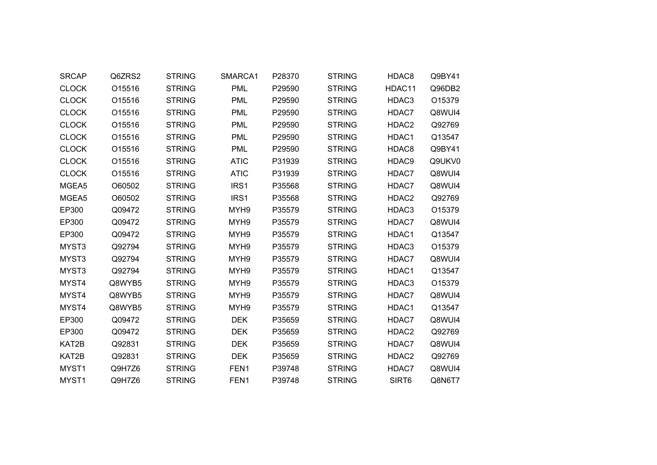| <b>SRCAP</b> | Q6ZRS2 | <b>STRING</b> | SMARCA1          | P28370 | <b>STRING</b> | HDAC8             | Q9BY41 |
|--------------|--------|---------------|------------------|--------|---------------|-------------------|--------|
| <b>CLOCK</b> | O15516 | <b>STRING</b> | <b>PML</b>       | P29590 | <b>STRING</b> | HDAC11            | Q96DB2 |
| <b>CLOCK</b> | O15516 | <b>STRING</b> | <b>PML</b>       | P29590 | <b>STRING</b> | HDAC3             | O15379 |
| <b>CLOCK</b> | O15516 | <b>STRING</b> | <b>PML</b>       | P29590 | <b>STRING</b> | HDAC7             | Q8WUI4 |
| <b>CLOCK</b> | O15516 | <b>STRING</b> | <b>PML</b>       | P29590 | <b>STRING</b> | HDAC2             | Q92769 |
| <b>CLOCK</b> | O15516 | <b>STRING</b> | <b>PML</b>       | P29590 | <b>STRING</b> | HDAC1             | Q13547 |
| <b>CLOCK</b> | O15516 | <b>STRING</b> | <b>PML</b>       | P29590 | <b>STRING</b> | HDAC8             | Q9BY41 |
| <b>CLOCK</b> | O15516 | <b>STRING</b> | <b>ATIC</b>      | P31939 | <b>STRING</b> | HDAC9             | Q9UKV0 |
| <b>CLOCK</b> | O15516 | <b>STRING</b> | <b>ATIC</b>      | P31939 | <b>STRING</b> | HDAC7             | Q8WUI4 |
| MGEA5        | O60502 | <b>STRING</b> | IRS1             | P35568 | <b>STRING</b> | HDAC7             | Q8WUI4 |
| MGEA5        | O60502 | <b>STRING</b> | IRS1             | P35568 | <b>STRING</b> | HDAC <sub>2</sub> | Q92769 |
| EP300        | Q09472 | <b>STRING</b> | MYH9             | P35579 | <b>STRING</b> | HDAC3             | O15379 |
| EP300        | Q09472 | <b>STRING</b> | MYH <sub>9</sub> | P35579 | <b>STRING</b> | HDAC7             | Q8WUI4 |
| EP300        | Q09472 | <b>STRING</b> | MYH <sub>9</sub> | P35579 | <b>STRING</b> | HDAC1             | Q13547 |
| MYST3        | Q92794 | <b>STRING</b> | MYH9             | P35579 | <b>STRING</b> | HDAC3             | O15379 |
| MYST3        | Q92794 | <b>STRING</b> | MYH <sub>9</sub> | P35579 | <b>STRING</b> | HDAC7             | Q8WUI4 |
| MYST3        | Q92794 | <b>STRING</b> | MYH9             | P35579 | <b>STRING</b> | HDAC1             | Q13547 |
| MYST4        | Q8WYB5 | <b>STRING</b> | MYH9             | P35579 | <b>STRING</b> | HDAC3             | O15379 |
| MYST4        | Q8WYB5 | <b>STRING</b> | MYH9             | P35579 | <b>STRING</b> | HDAC7             | Q8WUI4 |
| MYST4        | Q8WYB5 | <b>STRING</b> | MYH9             | P35579 | <b>STRING</b> | HDAC1             | Q13547 |
| EP300        | Q09472 | <b>STRING</b> | <b>DEK</b>       | P35659 | <b>STRING</b> | HDAC7             | Q8WUI4 |
| EP300        | Q09472 | <b>STRING</b> | <b>DEK</b>       | P35659 | <b>STRING</b> | HDAC2             | Q92769 |
| KAT2B        | Q92831 | <b>STRING</b> | <b>DEK</b>       | P35659 | <b>STRING</b> | HDAC7             | Q8WUI4 |
| KAT2B        | Q92831 | <b>STRING</b> | <b>DEK</b>       | P35659 | <b>STRING</b> | HDAC <sub>2</sub> | Q92769 |
| MYST1        | Q9H7Z6 | <b>STRING</b> | FEN1             | P39748 | <b>STRING</b> | HDAC7             | Q8WUI4 |
| MYST1        | Q9H7Z6 | <b>STRING</b> | FEN1             | P39748 | <b>STRING</b> | SIRT <sub>6</sub> | Q8N6T7 |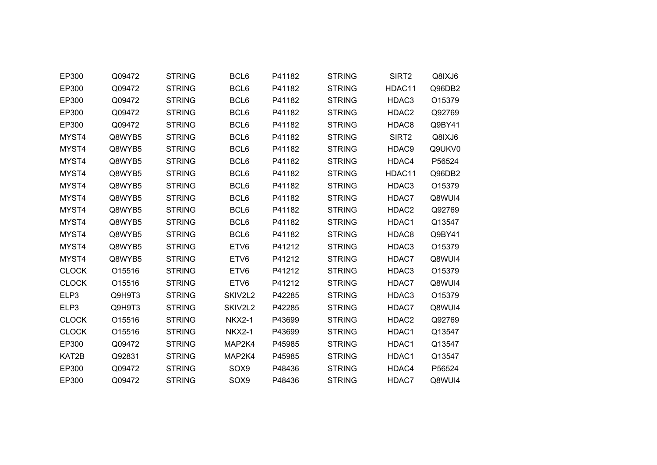| EP300        | Q09472 | <b>STRING</b> | BCL6             | P41182 | <b>STRING</b> | SIRT2             | Q8IXJ6 |
|--------------|--------|---------------|------------------|--------|---------------|-------------------|--------|
| EP300        | Q09472 | <b>STRING</b> | BCL6             | P41182 | <b>STRING</b> | HDAC11            | Q96DB2 |
| EP300        | Q09472 | <b>STRING</b> | BCL6             | P41182 | <b>STRING</b> | HDAC3             | O15379 |
| EP300        | Q09472 | <b>STRING</b> | BCL6             | P41182 | <b>STRING</b> | HDAC2             | Q92769 |
| EP300        | Q09472 | <b>STRING</b> | BCL6             | P41182 | <b>STRING</b> | HDAC8             | Q9BY41 |
| MYST4        | Q8WYB5 | <b>STRING</b> | BCL6             | P41182 | <b>STRING</b> | SIRT <sub>2</sub> | Q8IXJ6 |
| MYST4        | Q8WYB5 | <b>STRING</b> | BCL6             | P41182 | <b>STRING</b> | HDAC9             | Q9UKV0 |
| MYST4        | Q8WYB5 | <b>STRING</b> | BCL6             | P41182 | <b>STRING</b> | HDAC4             | P56524 |
| MYST4        | Q8WYB5 | <b>STRING</b> | BCL6             | P41182 | <b>STRING</b> | HDAC11            | Q96DB2 |
| MYST4        | Q8WYB5 | <b>STRING</b> | BCL6             | P41182 | <b>STRING</b> | HDAC3             | O15379 |
| MYST4        | Q8WYB5 | <b>STRING</b> | BCL6             | P41182 | <b>STRING</b> | HDAC7             | Q8WUI4 |
| MYST4        | Q8WYB5 | <b>STRING</b> | BCL6             | P41182 | <b>STRING</b> | HDAC2             | Q92769 |
| MYST4        | Q8WYB5 | <b>STRING</b> | BCL6             | P41182 | <b>STRING</b> | HDAC1             | Q13547 |
| MYST4        | Q8WYB5 | <b>STRING</b> | BCL6             | P41182 | <b>STRING</b> | HDAC8             | Q9BY41 |
| MYST4        | Q8WYB5 | <b>STRING</b> | ETV <sub>6</sub> | P41212 | <b>STRING</b> | HDAC3             | O15379 |
| MYST4        | Q8WYB5 | <b>STRING</b> | ETV <sub>6</sub> | P41212 | <b>STRING</b> | HDAC7             | Q8WUI4 |
| <b>CLOCK</b> | O15516 | <b>STRING</b> | ETV6             | P41212 | <b>STRING</b> | HDAC3             | O15379 |
| <b>CLOCK</b> | O15516 | <b>STRING</b> | ETV6             | P41212 | <b>STRING</b> | HDAC7             | Q8WUI4 |
| ELP3         | Q9H9T3 | <b>STRING</b> | SKIV2L2          | P42285 | <b>STRING</b> | HDAC3             | O15379 |
| ELP3         | Q9H9T3 | <b>STRING</b> | SKIV2L2          | P42285 | <b>STRING</b> | HDAC7             | Q8WUI4 |
| <b>CLOCK</b> | O15516 | <b>STRING</b> | <b>NKX2-1</b>    | P43699 | <b>STRING</b> | HDAC <sub>2</sub> | Q92769 |
| <b>CLOCK</b> | O15516 | <b>STRING</b> | <b>NKX2-1</b>    | P43699 | <b>STRING</b> | HDAC1             | Q13547 |
| EP300        | Q09472 | <b>STRING</b> | MAP2K4           | P45985 | <b>STRING</b> | HDAC1             | Q13547 |
| KAT2B        | Q92831 | <b>STRING</b> | MAP2K4           | P45985 | <b>STRING</b> | HDAC1             | Q13547 |
| EP300        | Q09472 | <b>STRING</b> | SOX9             | P48436 | <b>STRING</b> | HDAC4             | P56524 |
| EP300        | Q09472 | <b>STRING</b> | SOX9             | P48436 | <b>STRING</b> | HDAC7             | Q8WUI4 |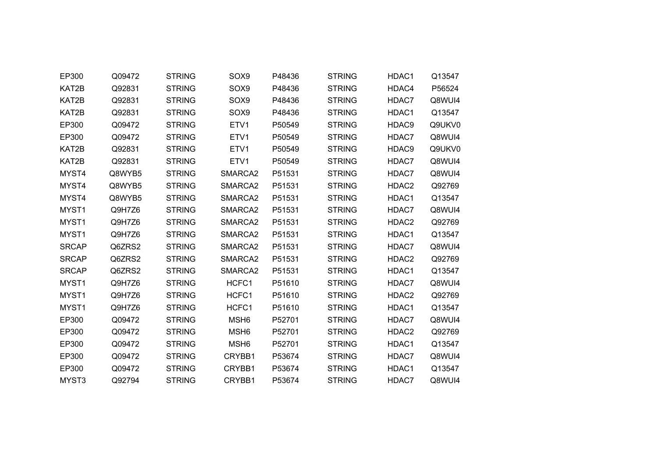| EP300        | Q09472 | <b>STRING</b> | SOX9                | P48436 | <b>STRING</b> | HDAC1             | Q13547 |
|--------------|--------|---------------|---------------------|--------|---------------|-------------------|--------|
| KAT2B        | Q92831 | <b>STRING</b> | SOX9                | P48436 | <b>STRING</b> | HDAC4             | P56524 |
| KAT2B        | Q92831 | <b>STRING</b> | SOX9                | P48436 | <b>STRING</b> | HDAC7             | Q8WUI4 |
| KAT2B        | Q92831 | <b>STRING</b> | SOX9                | P48436 | <b>STRING</b> | HDAC1             | Q13547 |
| EP300        | Q09472 | <b>STRING</b> | ETV1                | P50549 | <b>STRING</b> | HDAC9             | Q9UKV0 |
| EP300        | Q09472 | <b>STRING</b> | ETV1                | P50549 | <b>STRING</b> | HDAC7             | Q8WUI4 |
| KAT2B        | Q92831 | <b>STRING</b> | ETV1                | P50549 | <b>STRING</b> | HDAC9             | Q9UKV0 |
| KAT2B        | Q92831 | <b>STRING</b> | ETV1                | P50549 | <b>STRING</b> | HDAC7             | Q8WUI4 |
| MYST4        | Q8WYB5 | <b>STRING</b> | SMARCA <sub>2</sub> | P51531 | <b>STRING</b> | HDAC7             | Q8WUI4 |
| MYST4        | Q8WYB5 | <b>STRING</b> | SMARCA2             | P51531 | <b>STRING</b> | HDAC2             | Q92769 |
| MYST4        | Q8WYB5 | <b>STRING</b> | SMARCA2             | P51531 | <b>STRING</b> | HDAC1             | Q13547 |
| MYST1        | Q9H7Z6 | <b>STRING</b> | SMARCA2             | P51531 | <b>STRING</b> | HDAC7             | Q8WUI4 |
| MYST1        | Q9H7Z6 | <b>STRING</b> | SMARCA2             | P51531 | <b>STRING</b> | HDAC2             | Q92769 |
| MYST1        | Q9H7Z6 | <b>STRING</b> | SMARCA2             | P51531 | <b>STRING</b> | HDAC1             | Q13547 |
| <b>SRCAP</b> | Q6ZRS2 | <b>STRING</b> | SMARCA2             | P51531 | <b>STRING</b> | HDAC7             | Q8WUI4 |
| <b>SRCAP</b> | Q6ZRS2 | <b>STRING</b> | SMARCA2             | P51531 | <b>STRING</b> | HDAC <sub>2</sub> | Q92769 |
| <b>SRCAP</b> | Q6ZRS2 | <b>STRING</b> | SMARCA2             | P51531 | <b>STRING</b> | HDAC1             | Q13547 |
| MYST1        | Q9H7Z6 | <b>STRING</b> | HCFC1               | P51610 | <b>STRING</b> | HDAC7             | Q8WUI4 |
| MYST1        | Q9H7Z6 | <b>STRING</b> | HCFC1               | P51610 | <b>STRING</b> | HDAC2             | Q92769 |
| MYST1        | Q9H7Z6 | <b>STRING</b> | HCFC1               | P51610 | <b>STRING</b> | HDAC1             | Q13547 |
| EP300        | Q09472 | <b>STRING</b> | MSH <sub>6</sub>    | P52701 | <b>STRING</b> | HDAC7             | Q8WUI4 |
| EP300        | Q09472 | <b>STRING</b> | MSH <sub>6</sub>    | P52701 | <b>STRING</b> | HDAC2             | Q92769 |
| EP300        | Q09472 | <b>STRING</b> | MSH <sub>6</sub>    | P52701 | <b>STRING</b> | HDAC1             | Q13547 |
| EP300        | Q09472 | <b>STRING</b> | CRYBB1              | P53674 | <b>STRING</b> | HDAC7             | Q8WUI4 |
| EP300        | Q09472 | <b>STRING</b> | CRYBB1              | P53674 | <b>STRING</b> | HDAC1             | Q13547 |
| MYST3        | Q92794 | <b>STRING</b> | CRYBB1              | P53674 | <b>STRING</b> | HDAC7             | Q8WUI4 |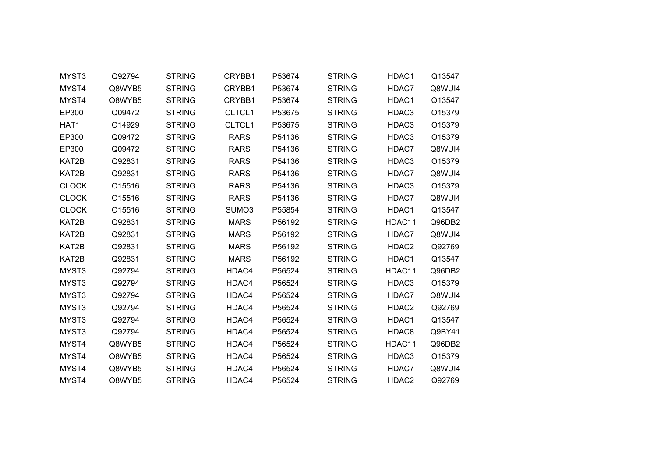| MYST3        | Q92794 | <b>STRING</b> | CRYBB1      | P53674 | <b>STRING</b> | HDAC1  | Q13547 |
|--------------|--------|---------------|-------------|--------|---------------|--------|--------|
| MYST4        | Q8WYB5 | <b>STRING</b> | CRYBB1      | P53674 | <b>STRING</b> | HDAC7  | Q8WUI4 |
| MYST4        | Q8WYB5 | <b>STRING</b> | CRYBB1      | P53674 | <b>STRING</b> | HDAC1  | Q13547 |
| EP300        | Q09472 | <b>STRING</b> | CLTCL1      | P53675 | <b>STRING</b> | HDAC3  | O15379 |
| HAT1         | O14929 | <b>STRING</b> | CLTCL1      | P53675 | <b>STRING</b> | HDAC3  | O15379 |
| EP300        | Q09472 | <b>STRING</b> | <b>RARS</b> | P54136 | <b>STRING</b> | HDAC3  | O15379 |
| EP300        | Q09472 | <b>STRING</b> | <b>RARS</b> | P54136 | <b>STRING</b> | HDAC7  | Q8WUI4 |
| KAT2B        | Q92831 | <b>STRING</b> | <b>RARS</b> | P54136 | <b>STRING</b> | HDAC3  | O15379 |
| KAT2B        | Q92831 | <b>STRING</b> | <b>RARS</b> | P54136 | <b>STRING</b> | HDAC7  | Q8WUI4 |
| <b>CLOCK</b> | O15516 | <b>STRING</b> | <b>RARS</b> | P54136 | <b>STRING</b> | HDAC3  | O15379 |
| <b>CLOCK</b> | O15516 | <b>STRING</b> | <b>RARS</b> | P54136 | <b>STRING</b> | HDAC7  | Q8WUI4 |
| <b>CLOCK</b> | O15516 | <b>STRING</b> | SUMO3       | P55854 | <b>STRING</b> | HDAC1  | Q13547 |
| KAT2B        | Q92831 | <b>STRING</b> | <b>MARS</b> | P56192 | <b>STRING</b> | HDAC11 | Q96DB2 |
| KAT2B        | Q92831 | <b>STRING</b> | <b>MARS</b> | P56192 | <b>STRING</b> | HDAC7  | Q8WUI4 |
| KAT2B        | Q92831 | <b>STRING</b> | <b>MARS</b> | P56192 | <b>STRING</b> | HDAC2  | Q92769 |
| KAT2B        | Q92831 | <b>STRING</b> | <b>MARS</b> | P56192 | <b>STRING</b> | HDAC1  | Q13547 |
| MYST3        | Q92794 | <b>STRING</b> | HDAC4       | P56524 | <b>STRING</b> | HDAC11 | Q96DB2 |
| MYST3        | Q92794 | <b>STRING</b> | HDAC4       | P56524 | <b>STRING</b> | HDAC3  | O15379 |
| MYST3        | Q92794 | <b>STRING</b> | HDAC4       | P56524 | <b>STRING</b> | HDAC7  | Q8WUI4 |
| MYST3        | Q92794 | <b>STRING</b> | HDAC4       | P56524 | <b>STRING</b> | HDAC2  | Q92769 |
| MYST3        | Q92794 | <b>STRING</b> | HDAC4       | P56524 | <b>STRING</b> | HDAC1  | Q13547 |
| MYST3        | Q92794 | <b>STRING</b> | HDAC4       | P56524 | <b>STRING</b> | HDAC8  | Q9BY41 |
| MYST4        | Q8WYB5 | <b>STRING</b> | HDAC4       | P56524 | <b>STRING</b> | HDAC11 | Q96DB2 |
| MYST4        | Q8WYB5 | <b>STRING</b> | HDAC4       | P56524 | <b>STRING</b> | HDAC3  | O15379 |
| MYST4        | Q8WYB5 | <b>STRING</b> | HDAC4       | P56524 | <b>STRING</b> | HDAC7  | Q8WUI4 |
| MYST4        | Q8WYB5 | <b>STRING</b> | HDAC4       | P56524 | <b>STRING</b> | HDAC2  | Q92769 |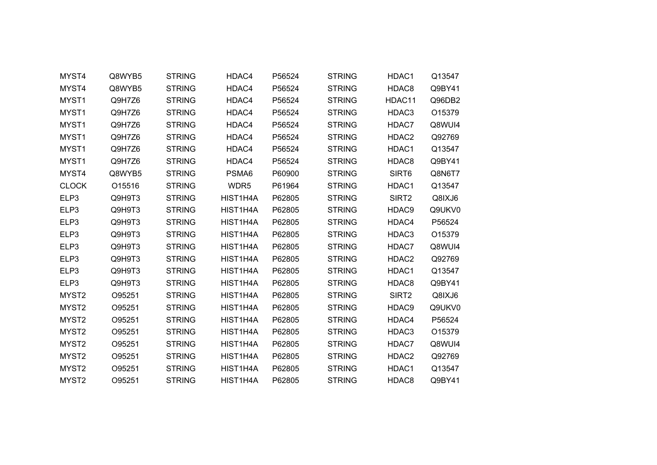| MYST4             | Q8WYB5 | <b>STRING</b> | HDAC4    | P56524 | <b>STRING</b> | HDAC1             | Q13547 |  |
|-------------------|--------|---------------|----------|--------|---------------|-------------------|--------|--|
| MYST4             | Q8WYB5 | <b>STRING</b> | HDAC4    | P56524 | <b>STRING</b> | HDAC8             | Q9BY41 |  |
| MYST1             | Q9H7Z6 | <b>STRING</b> | HDAC4    | P56524 | <b>STRING</b> | HDAC11            | Q96DB2 |  |
| MYST1             | Q9H7Z6 | <b>STRING</b> | HDAC4    | P56524 | <b>STRING</b> | HDAC3             | O15379 |  |
| MYST1             | Q9H7Z6 | <b>STRING</b> | HDAC4    | P56524 | <b>STRING</b> | HDAC7             | Q8WUI4 |  |
| MYST1             | Q9H7Z6 | <b>STRING</b> | HDAC4    | P56524 | <b>STRING</b> | HDAC2             | Q92769 |  |
| MYST1             | Q9H7Z6 | <b>STRING</b> | HDAC4    | P56524 | <b>STRING</b> | HDAC1             | Q13547 |  |
| MYST1             | Q9H7Z6 | <b>STRING</b> | HDAC4    | P56524 | <b>STRING</b> | HDAC8             | Q9BY41 |  |
| MYST4             | Q8WYB5 | <b>STRING</b> | PSMA6    | P60900 | <b>STRING</b> | SIRT6             | Q8N6T7 |  |
| <b>CLOCK</b>      | O15516 | <b>STRING</b> | WDR5     | P61964 | <b>STRING</b> | HDAC1             | Q13547 |  |
| ELP3              | Q9H9T3 | <b>STRING</b> | HIST1H4A | P62805 | <b>STRING</b> | SIRT <sub>2</sub> | Q8IXJ6 |  |
| ELP3              | Q9H9T3 | <b>STRING</b> | HIST1H4A | P62805 | <b>STRING</b> | HDAC9             | Q9UKV0 |  |
| ELP3              | Q9H9T3 | <b>STRING</b> | HIST1H4A | P62805 | <b>STRING</b> | HDAC4             | P56524 |  |
| ELP3              | Q9H9T3 | <b>STRING</b> | HIST1H4A | P62805 | <b>STRING</b> | HDAC3             | O15379 |  |
| ELP3              | Q9H9T3 | <b>STRING</b> | HIST1H4A | P62805 | <b>STRING</b> | HDAC7             | Q8WUI4 |  |
| ELP3              | Q9H9T3 | <b>STRING</b> | HIST1H4A | P62805 | <b>STRING</b> | HDAC2             | Q92769 |  |
| ELP3              | Q9H9T3 | <b>STRING</b> | HIST1H4A | P62805 | <b>STRING</b> | HDAC1             | Q13547 |  |
| ELP3              | Q9H9T3 | <b>STRING</b> | HIST1H4A | P62805 | <b>STRING</b> | HDAC8             | Q9BY41 |  |
| MYST2             | O95251 | <b>STRING</b> | HIST1H4A | P62805 | <b>STRING</b> | SIRT <sub>2</sub> | Q8IXJ6 |  |
| MYST2             | O95251 | <b>STRING</b> | HIST1H4A | P62805 | <b>STRING</b> | HDAC9             | Q9UKV0 |  |
| MYST <sub>2</sub> | O95251 | <b>STRING</b> | HIST1H4A | P62805 | <b>STRING</b> | HDAC4             | P56524 |  |
| MYST2             | O95251 | <b>STRING</b> | HIST1H4A | P62805 | <b>STRING</b> | HDAC3             | O15379 |  |
| MYST <sub>2</sub> | O95251 | <b>STRING</b> | HIST1H4A | P62805 | <b>STRING</b> | HDAC7             | Q8WUI4 |  |
| MYST2             | O95251 | <b>STRING</b> | HIST1H4A | P62805 | <b>STRING</b> | HDAC <sub>2</sub> | Q92769 |  |
| MYST2             | O95251 | <b>STRING</b> | HIST1H4A | P62805 | <b>STRING</b> | HDAC1             | Q13547 |  |
| MYST2             | O95251 | <b>STRING</b> | HIST1H4A | P62805 | <b>STRING</b> | HDAC8             | Q9BY41 |  |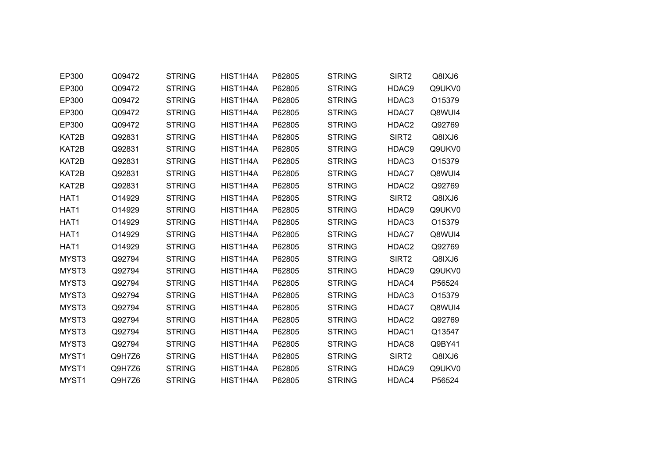| EP300             | Q09472 | <b>STRING</b> | HIST1H4A | P62805 | <b>STRING</b> | SIRT <sub>2</sub> | Q8IXJ6 |
|-------------------|--------|---------------|----------|--------|---------------|-------------------|--------|
| EP300             | Q09472 | <b>STRING</b> | HIST1H4A | P62805 | <b>STRING</b> | HDAC9             | Q9UKV0 |
| EP300             | Q09472 | <b>STRING</b> | HIST1H4A | P62805 | <b>STRING</b> | HDAC3             | O15379 |
| EP300             | Q09472 | <b>STRING</b> | HIST1H4A | P62805 | <b>STRING</b> | HDAC7             | Q8WUI4 |
| EP300             | Q09472 | <b>STRING</b> | HIST1H4A | P62805 | <b>STRING</b> | HDAC2             | Q92769 |
| KAT2B             | Q92831 | <b>STRING</b> | HIST1H4A | P62805 | <b>STRING</b> | SIRT <sub>2</sub> | Q8IXJ6 |
| KAT2B             | Q92831 | <b>STRING</b> | HIST1H4A | P62805 | <b>STRING</b> | HDAC9             | Q9UKV0 |
| KAT2B             | Q92831 | <b>STRING</b> | HIST1H4A | P62805 | <b>STRING</b> | HDAC3             | O15379 |
| KAT2B             | Q92831 | <b>STRING</b> | HIST1H4A | P62805 | <b>STRING</b> | HDAC7             | Q8WUI4 |
| KAT2B             | Q92831 | <b>STRING</b> | HIST1H4A | P62805 | <b>STRING</b> | HDAC2             | Q92769 |
| HAT1              | O14929 | <b>STRING</b> | HIST1H4A | P62805 | <b>STRING</b> | SIRT <sub>2</sub> | Q8IXJ6 |
| HAT1              | O14929 | <b>STRING</b> | HIST1H4A | P62805 | <b>STRING</b> | HDAC9             | Q9UKV0 |
| HAT1              | O14929 | <b>STRING</b> | HIST1H4A | P62805 | <b>STRING</b> | HDAC3             | O15379 |
| HAT1              | O14929 | <b>STRING</b> | HIST1H4A | P62805 | <b>STRING</b> | HDAC7             | Q8WUI4 |
| HAT1              | O14929 | <b>STRING</b> | HIST1H4A | P62805 | <b>STRING</b> | HDAC2             | Q92769 |
| MYST3             | Q92794 | <b>STRING</b> | HIST1H4A | P62805 | <b>STRING</b> | SIRT <sub>2</sub> | Q8IXJ6 |
| MYST3             | Q92794 | <b>STRING</b> | HIST1H4A | P62805 | <b>STRING</b> | HDAC9             | Q9UKV0 |
| MYST3             | Q92794 | <b>STRING</b> | HIST1H4A | P62805 | <b>STRING</b> | HDAC4             | P56524 |
| MYST3             | Q92794 | <b>STRING</b> | HIST1H4A | P62805 | <b>STRING</b> | HDAC3             | O15379 |
| MYST3             | Q92794 | <b>STRING</b> | HIST1H4A | P62805 | <b>STRING</b> | HDAC7             | Q8WUI4 |
| MYST3             | Q92794 | <b>STRING</b> | HIST1H4A | P62805 | <b>STRING</b> | HDAC2             | Q92769 |
| MYST3             | Q92794 | <b>STRING</b> | HIST1H4A | P62805 | <b>STRING</b> | HDAC1             | Q13547 |
| MYST3             | Q92794 | <b>STRING</b> | HIST1H4A | P62805 | <b>STRING</b> | HDAC8             | Q9BY41 |
| MYST1             | Q9H7Z6 | <b>STRING</b> | HIST1H4A | P62805 | <b>STRING</b> | SIRT <sub>2</sub> | Q8IXJ6 |
| MYST1             | Q9H7Z6 | <b>STRING</b> | HIST1H4A | P62805 | <b>STRING</b> | HDAC9             | Q9UKV0 |
| MYST <sub>1</sub> | Q9H7Z6 | <b>STRING</b> | HIST1H4A | P62805 | <b>STRING</b> | HDAC4             | P56524 |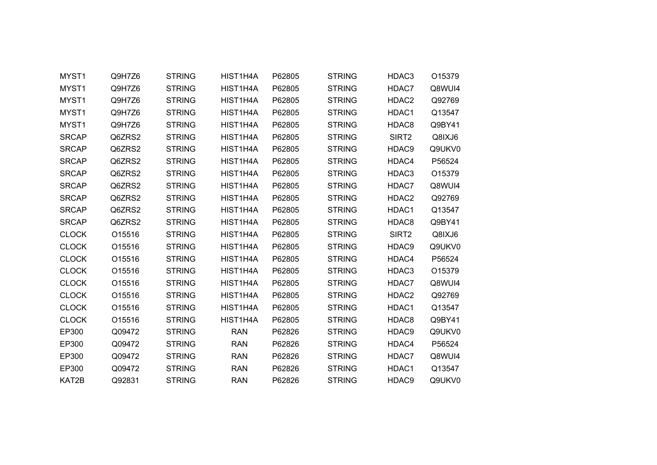| MYST1        | Q9H7Z6 | <b>STRING</b> | HIST1H4A   | P62805 | <b>STRING</b> | HDAC3             | O15379 |
|--------------|--------|---------------|------------|--------|---------------|-------------------|--------|
| MYST1        | Q9H7Z6 | <b>STRING</b> | HIST1H4A   | P62805 | <b>STRING</b> | HDAC7             | Q8WUI4 |
| MYST1        | Q9H7Z6 | <b>STRING</b> | HIST1H4A   | P62805 | <b>STRING</b> | HDAC2             | Q92769 |
| MYST1        | Q9H7Z6 | <b>STRING</b> | HIST1H4A   | P62805 | <b>STRING</b> | HDAC1             | Q13547 |
| MYST1        | Q9H7Z6 | <b>STRING</b> | HIST1H4A   | P62805 | <b>STRING</b> | HDAC8             | Q9BY41 |
| <b>SRCAP</b> | Q6ZRS2 | <b>STRING</b> | HIST1H4A   | P62805 | <b>STRING</b> | SIRT <sub>2</sub> | Q8IXJ6 |
| <b>SRCAP</b> | Q6ZRS2 | <b>STRING</b> | HIST1H4A   | P62805 | <b>STRING</b> | HDAC9             | Q9UKV0 |
| <b>SRCAP</b> | Q6ZRS2 | <b>STRING</b> | HIST1H4A   | P62805 | <b>STRING</b> | HDAC4             | P56524 |
| <b>SRCAP</b> | Q6ZRS2 | <b>STRING</b> | HIST1H4A   | P62805 | <b>STRING</b> | HDAC3             | O15379 |
| <b>SRCAP</b> | Q6ZRS2 | <b>STRING</b> | HIST1H4A   | P62805 | <b>STRING</b> | HDAC7             | Q8WUI4 |
| <b>SRCAP</b> | Q6ZRS2 | <b>STRING</b> | HIST1H4A   | P62805 | <b>STRING</b> | HDAC2             | Q92769 |
| <b>SRCAP</b> | Q6ZRS2 | <b>STRING</b> | HIST1H4A   | P62805 | <b>STRING</b> | HDAC1             | Q13547 |
| <b>SRCAP</b> | Q6ZRS2 | <b>STRING</b> | HIST1H4A   | P62805 | <b>STRING</b> | HDAC8             | Q9BY41 |
| <b>CLOCK</b> | O15516 | <b>STRING</b> | HIST1H4A   | P62805 | <b>STRING</b> | SIRT <sub>2</sub> | Q8IXJ6 |
| <b>CLOCK</b> | O15516 | <b>STRING</b> | HIST1H4A   | P62805 | <b>STRING</b> | HDAC9             | Q9UKV0 |
| <b>CLOCK</b> | O15516 | <b>STRING</b> | HIST1H4A   | P62805 | <b>STRING</b> | HDAC4             | P56524 |
| <b>CLOCK</b> | O15516 | <b>STRING</b> | HIST1H4A   | P62805 | <b>STRING</b> | HDAC3             | O15379 |
| <b>CLOCK</b> | O15516 | <b>STRING</b> | HIST1H4A   | P62805 | <b>STRING</b> | HDAC7             | Q8WUI4 |
| <b>CLOCK</b> | O15516 | <b>STRING</b> | HIST1H4A   | P62805 | <b>STRING</b> | HDAC2             | Q92769 |
| <b>CLOCK</b> | O15516 | <b>STRING</b> | HIST1H4A   | P62805 | <b>STRING</b> | HDAC1             | Q13547 |
| <b>CLOCK</b> | O15516 | <b>STRING</b> | HIST1H4A   | P62805 | <b>STRING</b> | HDAC8             | Q9BY41 |
| EP300        | Q09472 | <b>STRING</b> | <b>RAN</b> | P62826 | <b>STRING</b> | HDAC9             | Q9UKV0 |
| EP300        | Q09472 | <b>STRING</b> | <b>RAN</b> | P62826 | <b>STRING</b> | HDAC4             | P56524 |
| EP300        | Q09472 | <b>STRING</b> | <b>RAN</b> | P62826 | <b>STRING</b> | HDAC7             | Q8WUI4 |
| EP300        | Q09472 | <b>STRING</b> | <b>RAN</b> | P62826 | <b>STRING</b> | HDAC1             | Q13547 |
| KAT2B        | Q92831 | <b>STRING</b> | <b>RAN</b> | P62826 | <b>STRING</b> | HDAC9             | Q9UKV0 |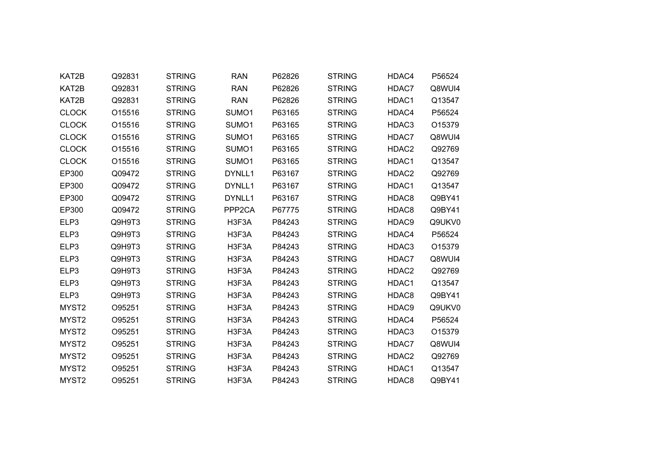| KAT2B             | Q92831 | <b>STRING</b> | <b>RAN</b>         | P62826 | <b>STRING</b> | HDAC4             | P56524 |  |
|-------------------|--------|---------------|--------------------|--------|---------------|-------------------|--------|--|
| KAT2B             | Q92831 | <b>STRING</b> | <b>RAN</b>         | P62826 | <b>STRING</b> | HDAC7             | Q8WUI4 |  |
| KAT2B             | Q92831 | <b>STRING</b> | <b>RAN</b>         | P62826 | <b>STRING</b> | HDAC1             | Q13547 |  |
| <b>CLOCK</b>      | O15516 | <b>STRING</b> | SUMO1              | P63165 | <b>STRING</b> | HDAC4             | P56524 |  |
| <b>CLOCK</b>      | O15516 | <b>STRING</b> | SUMO1              | P63165 | <b>STRING</b> | HDAC3             | O15379 |  |
| <b>CLOCK</b>      | O15516 | <b>STRING</b> | SUMO1              | P63165 | <b>STRING</b> | HDAC7             | Q8WUI4 |  |
| <b>CLOCK</b>      | O15516 | <b>STRING</b> | SUMO <sub>1</sub>  | P63165 | <b>STRING</b> | HDAC2             | Q92769 |  |
| <b>CLOCK</b>      | O15516 | <b>STRING</b> | SUMO1              | P63165 | <b>STRING</b> | HDAC1             | Q13547 |  |
| EP300             | Q09472 | <b>STRING</b> | DYNLL1             | P63167 | <b>STRING</b> | HDAC2             | Q92769 |  |
| EP300             | Q09472 | <b>STRING</b> | DYNLL1             | P63167 | <b>STRING</b> | HDAC1             | Q13547 |  |
| EP300             | Q09472 | <b>STRING</b> | DYNLL1             | P63167 | <b>STRING</b> | HDAC8             | Q9BY41 |  |
| EP300             | Q09472 | <b>STRING</b> | PPP <sub>2CA</sub> | P67775 | <b>STRING</b> | HDAC8             | Q9BY41 |  |
| ELP3              | Q9H9T3 | <b>STRING</b> | H3F3A              | P84243 | <b>STRING</b> | HDAC9             | Q9UKV0 |  |
| ELP3              | Q9H9T3 | <b>STRING</b> | H3F3A              | P84243 | <b>STRING</b> | HDAC4             | P56524 |  |
| ELP3              | Q9H9T3 | <b>STRING</b> | H3F3A              | P84243 | <b>STRING</b> | HDAC3             | O15379 |  |
| ELP3              | Q9H9T3 | <b>STRING</b> | H3F3A              | P84243 | <b>STRING</b> | HDAC7             | Q8WUI4 |  |
| ELP3              | Q9H9T3 | <b>STRING</b> | H3F3A              | P84243 | <b>STRING</b> | HDAC2             | Q92769 |  |
| ELP3              | Q9H9T3 | <b>STRING</b> | H3F3A              | P84243 | <b>STRING</b> | HDAC1             | Q13547 |  |
| ELP3              | Q9H9T3 | <b>STRING</b> | H3F3A              | P84243 | <b>STRING</b> | HDAC8             | Q9BY41 |  |
| MYST2             | O95251 | <b>STRING</b> | H3F3A              | P84243 | <b>STRING</b> | HDAC9             | Q9UKV0 |  |
| MYST <sub>2</sub> | O95251 | <b>STRING</b> | H3F3A              | P84243 | <b>STRING</b> | HDAC4             | P56524 |  |
| MYST2             | O95251 | <b>STRING</b> | H3F3A              | P84243 | <b>STRING</b> | HDAC3             | O15379 |  |
| MYST <sub>2</sub> | O95251 | <b>STRING</b> | H3F3A              | P84243 | <b>STRING</b> | HDAC7             | Q8WUI4 |  |
| MYST2             | O95251 | <b>STRING</b> | H3F3A              | P84243 | <b>STRING</b> | HDAC <sub>2</sub> | Q92769 |  |
| MYST2             | O95251 | <b>STRING</b> | H3F3A              | P84243 | <b>STRING</b> | HDAC1             | Q13547 |  |
| MYST <sub>2</sub> | O95251 | <b>STRING</b> | H3F3A              | P84243 | <b>STRING</b> | HDAC8             | Q9BY41 |  |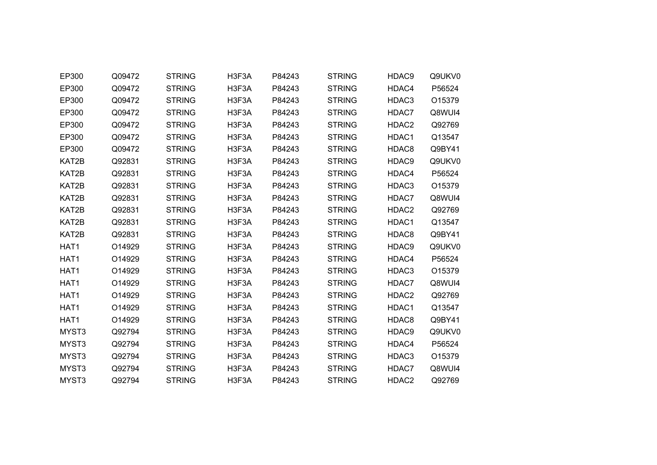| EP300 | Q09472 | <b>STRING</b> | H3F3A | P84243 | <b>STRING</b> | HDAC9 | Q9UKV0 |
|-------|--------|---------------|-------|--------|---------------|-------|--------|
| EP300 | Q09472 | <b>STRING</b> | H3F3A | P84243 | <b>STRING</b> | HDAC4 | P56524 |
| EP300 | Q09472 | <b>STRING</b> | H3F3A | P84243 | <b>STRING</b> | HDAC3 | O15379 |
| EP300 | Q09472 | <b>STRING</b> | H3F3A | P84243 | <b>STRING</b> | HDAC7 | Q8WUI4 |
| EP300 | Q09472 | <b>STRING</b> | H3F3A | P84243 | <b>STRING</b> | HDAC2 | Q92769 |
| EP300 | Q09472 | <b>STRING</b> | H3F3A | P84243 | <b>STRING</b> | HDAC1 | Q13547 |
| EP300 | Q09472 | <b>STRING</b> | H3F3A | P84243 | <b>STRING</b> | HDAC8 | Q9BY41 |
| KAT2B | Q92831 | <b>STRING</b> | H3F3A | P84243 | <b>STRING</b> | HDAC9 | Q9UKV0 |
| KAT2B | Q92831 | <b>STRING</b> | H3F3A | P84243 | <b>STRING</b> | HDAC4 | P56524 |
| KAT2B | Q92831 | <b>STRING</b> | H3F3A | P84243 | <b>STRING</b> | HDAC3 | O15379 |
| KAT2B | Q92831 | <b>STRING</b> | H3F3A | P84243 | <b>STRING</b> | HDAC7 | Q8WUI4 |
| KAT2B | Q92831 | <b>STRING</b> | H3F3A | P84243 | <b>STRING</b> | HDAC2 | Q92769 |
| KAT2B | Q92831 | <b>STRING</b> | H3F3A | P84243 | <b>STRING</b> | HDAC1 | Q13547 |
| KAT2B | Q92831 | <b>STRING</b> | H3F3A | P84243 | <b>STRING</b> | HDAC8 | Q9BY41 |
| HAT1  | O14929 | <b>STRING</b> | H3F3A | P84243 | <b>STRING</b> | HDAC9 | Q9UKV0 |
| HAT1  | O14929 | <b>STRING</b> | H3F3A | P84243 | <b>STRING</b> | HDAC4 | P56524 |
| HAT1  | O14929 | <b>STRING</b> | H3F3A | P84243 | <b>STRING</b> | HDAC3 | O15379 |
| HAT1  | O14929 | <b>STRING</b> | H3F3A | P84243 | <b>STRING</b> | HDAC7 | Q8WUI4 |
| HAT1  | O14929 | <b>STRING</b> | H3F3A | P84243 | <b>STRING</b> | HDAC2 | Q92769 |
| HAT1  | O14929 | <b>STRING</b> | H3F3A | P84243 | <b>STRING</b> | HDAC1 | Q13547 |
| HAT1  | O14929 | <b>STRING</b> | H3F3A | P84243 | <b>STRING</b> | HDAC8 | Q9BY41 |
| MYST3 | Q92794 | <b>STRING</b> | H3F3A | P84243 | <b>STRING</b> | HDAC9 | Q9UKV0 |
| MYST3 | Q92794 | <b>STRING</b> | H3F3A | P84243 | <b>STRING</b> | HDAC4 | P56524 |
| MYST3 | Q92794 | <b>STRING</b> | H3F3A | P84243 | <b>STRING</b> | HDAC3 | O15379 |
| MYST3 | Q92794 | <b>STRING</b> | H3F3A | P84243 | <b>STRING</b> | HDAC7 | Q8WUI4 |
| MYST3 | Q92794 | <b>STRING</b> | H3F3A | P84243 | <b>STRING</b> | HDAC2 | Q92769 |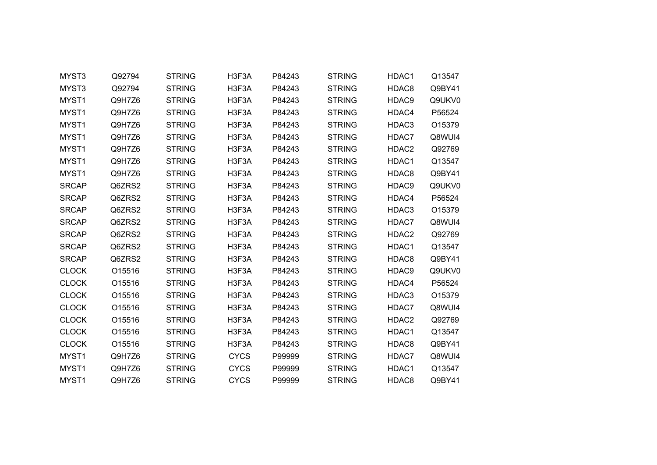| MYST3        | Q92794 | <b>STRING</b> | H3F3A       | P84243 | <b>STRING</b> | HDAC1 | Q13547 |  |
|--------------|--------|---------------|-------------|--------|---------------|-------|--------|--|
| MYST3        | Q92794 | <b>STRING</b> | H3F3A       | P84243 | <b>STRING</b> | HDAC8 | Q9BY41 |  |
| MYST1        | Q9H7Z6 | <b>STRING</b> | H3F3A       | P84243 | <b>STRING</b> | HDAC9 | Q9UKV0 |  |
| MYST1        | Q9H7Z6 | <b>STRING</b> | H3F3A       | P84243 | <b>STRING</b> | HDAC4 | P56524 |  |
| MYST1        | Q9H7Z6 | <b>STRING</b> | H3F3A       | P84243 | <b>STRING</b> | HDAC3 | O15379 |  |
| MYST1        | Q9H7Z6 | <b>STRING</b> | H3F3A       | P84243 | <b>STRING</b> | HDAC7 | Q8WUI4 |  |
| MYST1        | Q9H7Z6 | <b>STRING</b> | H3F3A       | P84243 | <b>STRING</b> | HDAC2 | Q92769 |  |
| MYST1        | Q9H7Z6 | <b>STRING</b> | H3F3A       | P84243 | <b>STRING</b> | HDAC1 | Q13547 |  |
| MYST1        | Q9H7Z6 | <b>STRING</b> | H3F3A       | P84243 | <b>STRING</b> | HDAC8 | Q9BY41 |  |
| <b>SRCAP</b> | Q6ZRS2 | <b>STRING</b> | H3F3A       | P84243 | <b>STRING</b> | HDAC9 | Q9UKV0 |  |
| <b>SRCAP</b> | Q6ZRS2 | <b>STRING</b> | H3F3A       | P84243 | <b>STRING</b> | HDAC4 | P56524 |  |
| <b>SRCAP</b> | Q6ZRS2 | <b>STRING</b> | H3F3A       | P84243 | <b>STRING</b> | HDAC3 | O15379 |  |
| <b>SRCAP</b> | Q6ZRS2 | <b>STRING</b> | H3F3A       | P84243 | <b>STRING</b> | HDAC7 | Q8WUI4 |  |
| <b>SRCAP</b> | Q6ZRS2 | <b>STRING</b> | H3F3A       | P84243 | <b>STRING</b> | HDAC2 | Q92769 |  |
| <b>SRCAP</b> | Q6ZRS2 | <b>STRING</b> | H3F3A       | P84243 | <b>STRING</b> | HDAC1 | Q13547 |  |
| <b>SRCAP</b> | Q6ZRS2 | <b>STRING</b> | H3F3A       | P84243 | <b>STRING</b> | HDAC8 | Q9BY41 |  |
| <b>CLOCK</b> | O15516 | <b>STRING</b> | H3F3A       | P84243 | <b>STRING</b> | HDAC9 | Q9UKV0 |  |
| <b>CLOCK</b> | O15516 | <b>STRING</b> | H3F3A       | P84243 | <b>STRING</b> | HDAC4 | P56524 |  |
| <b>CLOCK</b> | O15516 | <b>STRING</b> | H3F3A       | P84243 | <b>STRING</b> | HDAC3 | O15379 |  |
| <b>CLOCK</b> | O15516 | <b>STRING</b> | H3F3A       | P84243 | <b>STRING</b> | HDAC7 | Q8WUI4 |  |
| <b>CLOCK</b> | O15516 | <b>STRING</b> | H3F3A       | P84243 | <b>STRING</b> | HDAC2 | Q92769 |  |
| <b>CLOCK</b> | O15516 | <b>STRING</b> | H3F3A       | P84243 | <b>STRING</b> | HDAC1 | Q13547 |  |
| <b>CLOCK</b> | O15516 | <b>STRING</b> | H3F3A       | P84243 | <b>STRING</b> | HDAC8 | Q9BY41 |  |
| MYST1        | Q9H7Z6 | <b>STRING</b> | <b>CYCS</b> | P99999 | <b>STRING</b> | HDAC7 | Q8WUI4 |  |
| MYST1        | Q9H7Z6 | <b>STRING</b> | <b>CYCS</b> | P99999 | <b>STRING</b> | HDAC1 | Q13547 |  |
| MYST1        | Q9H7Z6 | <b>STRING</b> | <b>CYCS</b> | P99999 | <b>STRING</b> | HDAC8 | Q9BY41 |  |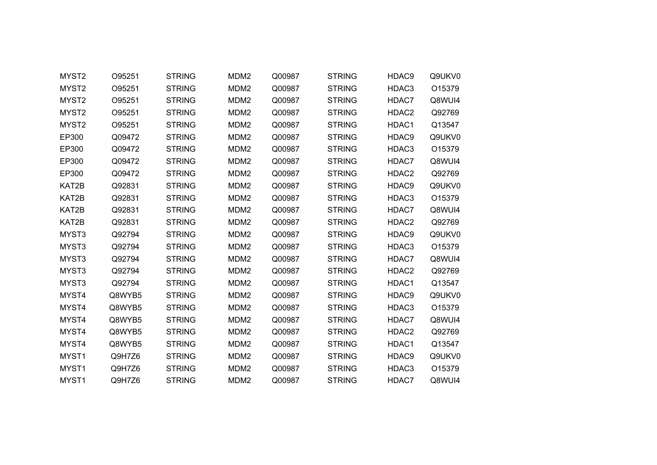| MYST2             | O95251 | <b>STRING</b> | MDM <sub>2</sub> | Q00987 | <b>STRING</b> | HDAC9             | Q9UKV0 |
|-------------------|--------|---------------|------------------|--------|---------------|-------------------|--------|
| MYST2             | O95251 | <b>STRING</b> | MDM <sub>2</sub> | Q00987 | <b>STRING</b> | HDAC3             | O15379 |
| MYST <sub>2</sub> | O95251 | <b>STRING</b> | MDM <sub>2</sub> | Q00987 | <b>STRING</b> | HDAC7             | Q8WUI4 |
| MYST <sub>2</sub> | O95251 | <b>STRING</b> | MDM <sub>2</sub> | Q00987 | <b>STRING</b> | HDAC2             | Q92769 |
| MYST <sub>2</sub> | O95251 | <b>STRING</b> | MDM <sub>2</sub> | Q00987 | <b>STRING</b> | HDAC1             | Q13547 |
| EP300             | Q09472 | <b>STRING</b> | MDM <sub>2</sub> | Q00987 | <b>STRING</b> | HDAC9             | Q9UKV0 |
| EP300             | Q09472 | <b>STRING</b> | MDM <sub>2</sub> | Q00987 | <b>STRING</b> | HDAC3             | O15379 |
| EP300             | Q09472 | <b>STRING</b> | MDM <sub>2</sub> | Q00987 | <b>STRING</b> | HDAC7             | Q8WUI4 |
| EP300             | Q09472 | <b>STRING</b> | MDM <sub>2</sub> | Q00987 | <b>STRING</b> | HDAC2             | Q92769 |
| KAT2B             | Q92831 | <b>STRING</b> | MDM <sub>2</sub> | Q00987 | <b>STRING</b> | HDAC9             | Q9UKV0 |
| KAT2B             | Q92831 | <b>STRING</b> | MDM <sub>2</sub> | Q00987 | <b>STRING</b> | HDAC3             | O15379 |
| KAT2B             | Q92831 | <b>STRING</b> | MDM <sub>2</sub> | Q00987 | <b>STRING</b> | HDAC7             | Q8WUI4 |
| KAT2B             | Q92831 | <b>STRING</b> | MDM <sub>2</sub> | Q00987 | <b>STRING</b> | HDAC <sub>2</sub> | Q92769 |
| MYST3             | Q92794 | <b>STRING</b> | MDM <sub>2</sub> | Q00987 | <b>STRING</b> | HDAC9             | Q9UKV0 |
| MYST3             | Q92794 | <b>STRING</b> | MDM <sub>2</sub> | Q00987 | <b>STRING</b> | HDAC3             | O15379 |
| MYST3             | Q92794 | <b>STRING</b> | MDM <sub>2</sub> | Q00987 | <b>STRING</b> | HDAC7             | Q8WUI4 |
| MYST3             | Q92794 | <b>STRING</b> | MDM <sub>2</sub> | Q00987 | <b>STRING</b> | HDAC2             | Q92769 |
| MYST3             | Q92794 | <b>STRING</b> | MDM <sub>2</sub> | Q00987 | <b>STRING</b> | HDAC1             | Q13547 |
| MYST4             | Q8WYB5 | <b>STRING</b> | MDM <sub>2</sub> | Q00987 | <b>STRING</b> | HDAC9             | Q9UKV0 |
| MYST4             | Q8WYB5 | <b>STRING</b> | MDM <sub>2</sub> | Q00987 | <b>STRING</b> | HDAC3             | O15379 |
| MYST4             | Q8WYB5 | <b>STRING</b> | MDM <sub>2</sub> | Q00987 | <b>STRING</b> | HDAC7             | Q8WUI4 |
| MYST4             | Q8WYB5 | <b>STRING</b> | MDM <sub>2</sub> | Q00987 | <b>STRING</b> | HDAC2             | Q92769 |
| MYST4             | Q8WYB5 | <b>STRING</b> | MDM <sub>2</sub> | Q00987 | <b>STRING</b> | HDAC1             | Q13547 |
| MYST1             | Q9H7Z6 | <b>STRING</b> | MDM <sub>2</sub> | Q00987 | <b>STRING</b> | HDAC9             | Q9UKV0 |
| MYST1             | Q9H7Z6 | <b>STRING</b> | MDM <sub>2</sub> | Q00987 | <b>STRING</b> | HDAC3             | O15379 |
| MYST <sub>1</sub> | Q9H7Z6 | <b>STRING</b> | MDM <sub>2</sub> | Q00987 | <b>STRING</b> | HDAC7             | Q8WUI4 |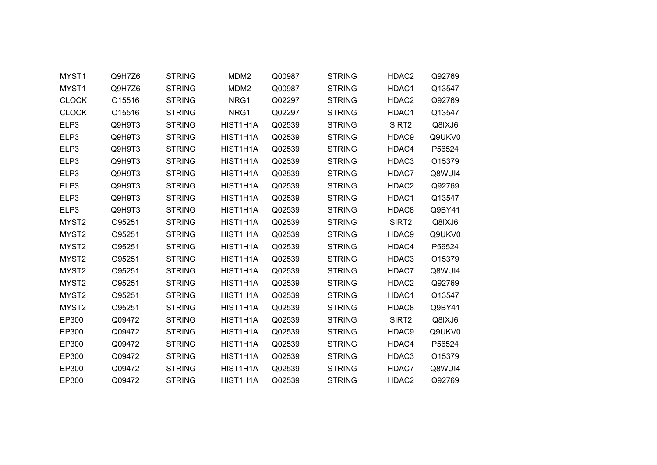| MYST1             | Q9H7Z6 | <b>STRING</b> | MDM <sub>2</sub> | Q00987 | <b>STRING</b> | HDAC2             | Q92769 |
|-------------------|--------|---------------|------------------|--------|---------------|-------------------|--------|
| MYST1             | Q9H7Z6 | <b>STRING</b> | MDM <sub>2</sub> | Q00987 | <b>STRING</b> | HDAC1             | Q13547 |
| <b>CLOCK</b>      | O15516 | <b>STRING</b> | NRG1             | Q02297 | <b>STRING</b> | HDAC2             | Q92769 |
| <b>CLOCK</b>      | O15516 | <b>STRING</b> | NRG1             | Q02297 | <b>STRING</b> | HDAC1             | Q13547 |
| ELP3              | Q9H9T3 | <b>STRING</b> | HIST1H1A         | Q02539 | <b>STRING</b> | SIRT2             | Q8IXJ6 |
| ELP3              | Q9H9T3 | <b>STRING</b> | HIST1H1A         | Q02539 | <b>STRING</b> | HDAC9             | Q9UKV0 |
| ELP3              | Q9H9T3 | <b>STRING</b> | HIST1H1A         | Q02539 | <b>STRING</b> | HDAC4             | P56524 |
| ELP3              | Q9H9T3 | <b>STRING</b> | HIST1H1A         | Q02539 | <b>STRING</b> | HDAC3             | O15379 |
| ELP3              | Q9H9T3 | <b>STRING</b> | HIST1H1A         | Q02539 | <b>STRING</b> | HDAC7             | Q8WUI4 |
| ELP3              | Q9H9T3 | <b>STRING</b> | HIST1H1A         | Q02539 | <b>STRING</b> | HDAC <sub>2</sub> | Q92769 |
| ELP3              | Q9H9T3 | <b>STRING</b> | HIST1H1A         | Q02539 | <b>STRING</b> | HDAC1             | Q13547 |
| ELP3              | Q9H9T3 | <b>STRING</b> | HIST1H1A         | Q02539 | <b>STRING</b> | HDAC8             | Q9BY41 |
| MYST <sub>2</sub> | O95251 | <b>STRING</b> | HIST1H1A         | Q02539 | <b>STRING</b> | SIRT <sub>2</sub> | Q8IXJ6 |
| MYST2             | O95251 | <b>STRING</b> | HIST1H1A         | Q02539 | <b>STRING</b> | HDAC9             | Q9UKV0 |
| MYST2             | O95251 | <b>STRING</b> | HIST1H1A         | Q02539 | <b>STRING</b> | HDAC4             | P56524 |
| MYST2             | O95251 | <b>STRING</b> | HIST1H1A         | Q02539 | <b>STRING</b> | HDAC3             | O15379 |
| MYST2             | O95251 | <b>STRING</b> | HIST1H1A         | Q02539 | <b>STRING</b> | HDAC7             | Q8WUI4 |
| MYST2             | O95251 | <b>STRING</b> | HIST1H1A         | Q02539 | <b>STRING</b> | HDAC <sub>2</sub> | Q92769 |
| MYST2             | O95251 | <b>STRING</b> | HIST1H1A         | Q02539 | <b>STRING</b> | HDAC1             | Q13547 |
| MYST2             | O95251 | <b>STRING</b> | HIST1H1A         | Q02539 | <b>STRING</b> | HDAC8             | Q9BY41 |
| EP300             | Q09472 | <b>STRING</b> | HIST1H1A         | Q02539 | <b>STRING</b> | SIRT <sub>2</sub> | Q8IXJ6 |
| EP300             | Q09472 | <b>STRING</b> | HIST1H1A         | Q02539 | <b>STRING</b> | HDAC9             | Q9UKV0 |
| EP300             | Q09472 | <b>STRING</b> | HIST1H1A         | Q02539 | <b>STRING</b> | HDAC4             | P56524 |
| EP300             | Q09472 | <b>STRING</b> | HIST1H1A         | Q02539 | <b>STRING</b> | HDAC3             | O15379 |
| EP300             | Q09472 | <b>STRING</b> | HIST1H1A         | Q02539 | <b>STRING</b> | HDAC7             | Q8WUI4 |
| EP300             | Q09472 | <b>STRING</b> | HIST1H1A         | Q02539 | <b>STRING</b> | HDAC2             | Q92769 |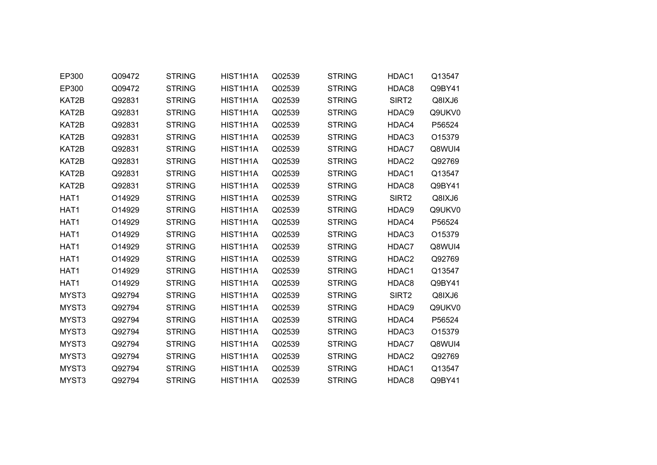| EP300 | Q09472 | <b>STRING</b> | HIST1H1A | Q02539 | <b>STRING</b> | HDAC1             | Q13547 |  |
|-------|--------|---------------|----------|--------|---------------|-------------------|--------|--|
| EP300 | Q09472 | <b>STRING</b> | HIST1H1A | Q02539 | <b>STRING</b> | HDAC8             | Q9BY41 |  |
| KAT2B | Q92831 | <b>STRING</b> | HIST1H1A | Q02539 | <b>STRING</b> | SIRT <sub>2</sub> | Q8IXJ6 |  |
| KAT2B | Q92831 | <b>STRING</b> | HIST1H1A | Q02539 | <b>STRING</b> | HDAC9             | Q9UKV0 |  |
| KAT2B | Q92831 | <b>STRING</b> | HIST1H1A | Q02539 | <b>STRING</b> | HDAC4             | P56524 |  |
| KAT2B | Q92831 | <b>STRING</b> | HIST1H1A | Q02539 | <b>STRING</b> | HDAC3             | O15379 |  |
| KAT2B | Q92831 | <b>STRING</b> | HIST1H1A | Q02539 | <b>STRING</b> | HDAC7             | Q8WUI4 |  |
| KAT2B | Q92831 | <b>STRING</b> | HIST1H1A | Q02539 | <b>STRING</b> | HDAC2             | Q92769 |  |
| KAT2B | Q92831 | <b>STRING</b> | HIST1H1A | Q02539 | <b>STRING</b> | HDAC1             | Q13547 |  |
| KAT2B | Q92831 | <b>STRING</b> | HIST1H1A | Q02539 | <b>STRING</b> | HDAC8             | Q9BY41 |  |
| HAT1  | O14929 | <b>STRING</b> | HIST1H1A | Q02539 | <b>STRING</b> | SIRT <sub>2</sub> | Q8IXJ6 |  |
| HAT1  | O14929 | <b>STRING</b> | HIST1H1A | Q02539 | <b>STRING</b> | HDAC9             | Q9UKV0 |  |
| HAT1  | O14929 | <b>STRING</b> | HIST1H1A | Q02539 | <b>STRING</b> | HDAC4             | P56524 |  |
| HAT1  | O14929 | <b>STRING</b> | HIST1H1A | Q02539 | <b>STRING</b> | HDAC3             | O15379 |  |
| HAT1  | O14929 | <b>STRING</b> | HIST1H1A | Q02539 | <b>STRING</b> | HDAC7             | Q8WUI4 |  |
| HAT1  | O14929 | <b>STRING</b> | HIST1H1A | Q02539 | <b>STRING</b> | HDAC2             | Q92769 |  |
| HAT1  | O14929 | <b>STRING</b> | HIST1H1A | Q02539 | <b>STRING</b> | HDAC1             | Q13547 |  |
| HAT1  | O14929 | <b>STRING</b> | HIST1H1A | Q02539 | <b>STRING</b> | HDAC8             | Q9BY41 |  |
| MYST3 | Q92794 | <b>STRING</b> | HIST1H1A | Q02539 | <b>STRING</b> | SIRT <sub>2</sub> | Q8IXJ6 |  |
| MYST3 | Q92794 | <b>STRING</b> | HIST1H1A | Q02539 | <b>STRING</b> | HDAC9             | Q9UKV0 |  |
| MYST3 | Q92794 | <b>STRING</b> | HIST1H1A | Q02539 | <b>STRING</b> | HDAC4             | P56524 |  |
| MYST3 | Q92794 | <b>STRING</b> | HIST1H1A | Q02539 | <b>STRING</b> | HDAC3             | O15379 |  |
| MYST3 | Q92794 | <b>STRING</b> | HIST1H1A | Q02539 | <b>STRING</b> | HDAC7             | Q8WUI4 |  |
| MYST3 | Q92794 | <b>STRING</b> | HIST1H1A | Q02539 | <b>STRING</b> | HDAC2             | Q92769 |  |
| MYST3 | Q92794 | <b>STRING</b> | HIST1H1A | Q02539 | <b>STRING</b> | HDAC1             | Q13547 |  |
| MYST3 | Q92794 | <b>STRING</b> | HIST1H1A | Q02539 | <b>STRING</b> | HDAC8             | Q9BY41 |  |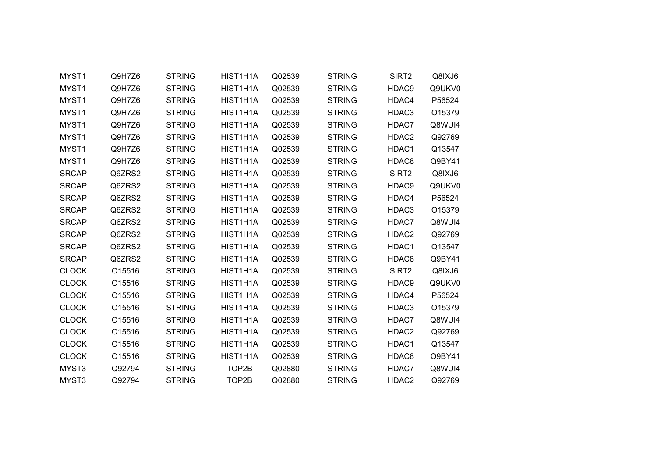| MYST1        | Q9H7Z6 | <b>STRING</b> | HIST1H1A | Q02539 | <b>STRING</b> | SIRT <sub>2</sub> | Q8IXJ6 |
|--------------|--------|---------------|----------|--------|---------------|-------------------|--------|
| MYST1        | Q9H7Z6 | <b>STRING</b> | HIST1H1A | Q02539 | <b>STRING</b> | HDAC9             | Q9UKV0 |
| MYST1        | Q9H7Z6 | <b>STRING</b> | HIST1H1A | Q02539 | <b>STRING</b> | HDAC4             | P56524 |
| MYST1        | Q9H7Z6 | <b>STRING</b> | HIST1H1A | Q02539 | <b>STRING</b> | HDAC3             | O15379 |
| MYST1        | Q9H7Z6 | <b>STRING</b> | HIST1H1A | Q02539 | <b>STRING</b> | HDAC7             | Q8WUI4 |
| MYST1        | Q9H7Z6 | <b>STRING</b> | HIST1H1A | Q02539 | <b>STRING</b> | HDAC2             | Q92769 |
| MYST1        | Q9H7Z6 | <b>STRING</b> | HIST1H1A | Q02539 | <b>STRING</b> | HDAC1             | Q13547 |
| MYST1        | Q9H7Z6 | <b>STRING</b> | HIST1H1A | Q02539 | <b>STRING</b> | HDAC8             | Q9BY41 |
| <b>SRCAP</b> | Q6ZRS2 | <b>STRING</b> | HIST1H1A | Q02539 | <b>STRING</b> | SIRT2             | Q8IXJ6 |
| <b>SRCAP</b> | Q6ZRS2 | <b>STRING</b> | HIST1H1A | Q02539 | <b>STRING</b> | HDAC9             | Q9UKV0 |
| <b>SRCAP</b> | Q6ZRS2 | <b>STRING</b> | HIST1H1A | Q02539 | <b>STRING</b> | HDAC4             | P56524 |
| <b>SRCAP</b> | Q6ZRS2 | <b>STRING</b> | HIST1H1A | Q02539 | <b>STRING</b> | HDAC3             | O15379 |
| <b>SRCAP</b> | Q6ZRS2 | <b>STRING</b> | HIST1H1A | Q02539 | <b>STRING</b> | HDAC7             | Q8WUI4 |
| <b>SRCAP</b> | Q6ZRS2 | <b>STRING</b> | HIST1H1A | Q02539 | <b>STRING</b> | HDAC2             | Q92769 |
| <b>SRCAP</b> | Q6ZRS2 | <b>STRING</b> | HIST1H1A | Q02539 | <b>STRING</b> | HDAC1             | Q13547 |
| <b>SRCAP</b> | Q6ZRS2 | <b>STRING</b> | HIST1H1A | Q02539 | <b>STRING</b> | HDAC8             | Q9BY41 |
| <b>CLOCK</b> | O15516 | <b>STRING</b> | HIST1H1A | Q02539 | <b>STRING</b> | SIRT <sub>2</sub> | Q8IXJ6 |
| <b>CLOCK</b> | O15516 | <b>STRING</b> | HIST1H1A | Q02539 | <b>STRING</b> | HDAC9             | Q9UKV0 |
| <b>CLOCK</b> | O15516 | <b>STRING</b> | HIST1H1A | Q02539 | <b>STRING</b> | HDAC4             | P56524 |
| <b>CLOCK</b> | O15516 | <b>STRING</b> | HIST1H1A | Q02539 | <b>STRING</b> | HDAC3             | O15379 |
| <b>CLOCK</b> | O15516 | <b>STRING</b> | HIST1H1A | Q02539 | <b>STRING</b> | HDAC7             | Q8WUI4 |
| <b>CLOCK</b> | O15516 | <b>STRING</b> | HIST1H1A | Q02539 | <b>STRING</b> | HDAC2             | Q92769 |
| <b>CLOCK</b> | O15516 | <b>STRING</b> | HIST1H1A | Q02539 | <b>STRING</b> | HDAC1             | Q13547 |
| <b>CLOCK</b> | O15516 | <b>STRING</b> | HIST1H1A | Q02539 | <b>STRING</b> | HDAC8             | Q9BY41 |
| MYST3        | Q92794 | <b>STRING</b> | TOP2B    | Q02880 | <b>STRING</b> | HDAC7             | Q8WUI4 |
| MYST3        | Q92794 | <b>STRING</b> | TOP2B    | Q02880 | <b>STRING</b> | HDAC2             | Q92769 |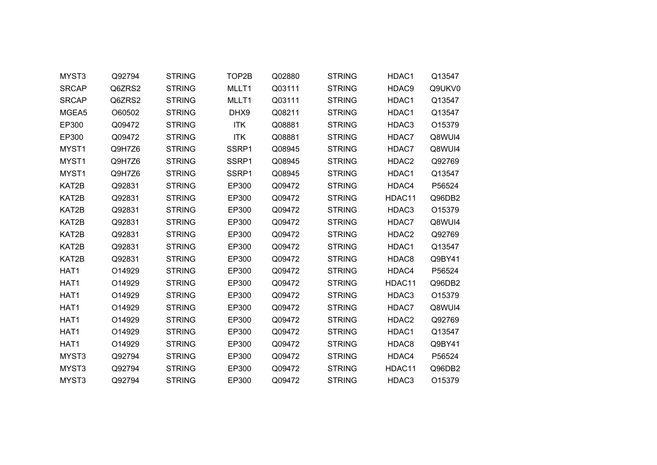| MYST3            | Q92794 | <b>STRING</b> | TOP2B      | Q02880 | <b>STRING</b> | HDAC1  | Q13547 |  |
|------------------|--------|---------------|------------|--------|---------------|--------|--------|--|
| <b>SRCAP</b>     | Q6ZRS2 | <b>STRING</b> | MLLT1      | Q03111 | <b>STRING</b> | HDAC9  | Q9UKV0 |  |
| <b>SRCAP</b>     | Q6ZRS2 | <b>STRING</b> | MLLT1      | Q03111 | <b>STRING</b> | HDAC1  | Q13547 |  |
| MGEA5            | O60502 | <b>STRING</b> | DHX9       | Q08211 | <b>STRING</b> | HDAC1  | Q13547 |  |
| EP300            | Q09472 | <b>STRING</b> | <b>ITK</b> | Q08881 | <b>STRING</b> | HDAC3  | O15379 |  |
| EP300            | Q09472 | <b>STRING</b> | <b>ITK</b> | Q08881 | <b>STRING</b> | HDAC7  | Q8WUI4 |  |
| MYST1            | Q9H7Z6 | <b>STRING</b> | SSRP1      | Q08945 | <b>STRING</b> | HDAC7  | Q8WUI4 |  |
| MYST1            | Q9H7Z6 | <b>STRING</b> | SSRP1      | Q08945 | <b>STRING</b> | HDAC2  | Q92769 |  |
| MYST1            | Q9H7Z6 | <b>STRING</b> | SSRP1      | Q08945 | <b>STRING</b> | HDAC1  | Q13547 |  |
| KAT2B            | Q92831 | <b>STRING</b> | EP300      | Q09472 | <b>STRING</b> | HDAC4  | P56524 |  |
| KAT2B            | Q92831 | <b>STRING</b> | EP300      | Q09472 | <b>STRING</b> | HDAC11 | Q96DB2 |  |
| KAT2B            | Q92831 | <b>STRING</b> | EP300      | Q09472 | <b>STRING</b> | HDAC3  | O15379 |  |
| KAT2B            | Q92831 | <b>STRING</b> | EP300      | Q09472 | <b>STRING</b> | HDAC7  | Q8WUI4 |  |
| KAT2B            | Q92831 | <b>STRING</b> | EP300      | Q09472 | <b>STRING</b> | HDAC2  | Q92769 |  |
| KAT2B            | Q92831 | <b>STRING</b> | EP300      | Q09472 | <b>STRING</b> | HDAC1  | Q13547 |  |
| KAT2B            | Q92831 | <b>STRING</b> | EP300      | Q09472 | <b>STRING</b> | HDAC8  | Q9BY41 |  |
| HAT1             | O14929 | <b>STRING</b> | EP300      | Q09472 | <b>STRING</b> | HDAC4  | P56524 |  |
| HAT1             | O14929 | <b>STRING</b> | EP300      | Q09472 | <b>STRING</b> | HDAC11 | Q96DB2 |  |
| HAT1             | O14929 | <b>STRING</b> | EP300      | Q09472 | <b>STRING</b> | HDAC3  | O15379 |  |
| HAT1             | O14929 | <b>STRING</b> | EP300      | Q09472 | <b>STRING</b> | HDAC7  | Q8WUI4 |  |
| HAT <sub>1</sub> | O14929 | <b>STRING</b> | EP300      | Q09472 | <b>STRING</b> | HDAC2  | Q92769 |  |
| HAT1             | O14929 | <b>STRING</b> | EP300      | Q09472 | <b>STRING</b> | HDAC1  | Q13547 |  |
| HAT1             | O14929 | <b>STRING</b> | EP300      | Q09472 | <b>STRING</b> | HDAC8  | Q9BY41 |  |
| MYST3            | Q92794 | <b>STRING</b> | EP300      | Q09472 | <b>STRING</b> | HDAC4  | P56524 |  |
| MYST3            | Q92794 | <b>STRING</b> | EP300      | Q09472 | <b>STRING</b> | HDAC11 | Q96DB2 |  |
| MYST3            | Q92794 | <b>STRING</b> | EP300      | Q09472 | <b>STRING</b> | HDAC3  | O15379 |  |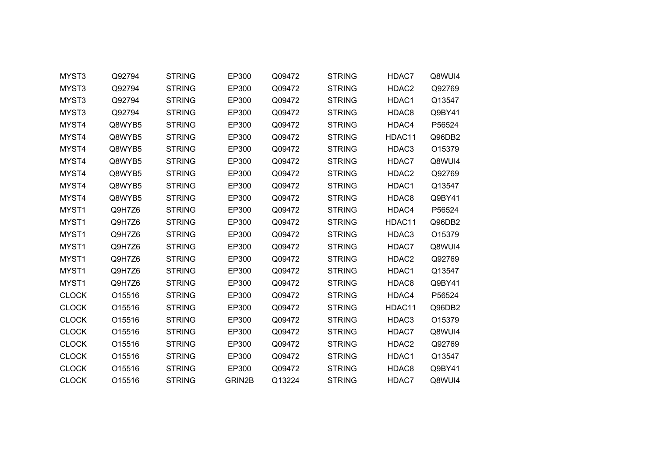| MYST3        | Q92794 | <b>STRING</b> | EP300  | Q09472 | <b>STRING</b> | HDAC7  | Q8WUI4 |
|--------------|--------|---------------|--------|--------|---------------|--------|--------|
| MYST3        | Q92794 | <b>STRING</b> | EP300  | Q09472 | <b>STRING</b> | HDAC2  | Q92769 |
| MYST3        | Q92794 | <b>STRING</b> | EP300  | Q09472 | <b>STRING</b> | HDAC1  | Q13547 |
| MYST3        | Q92794 | <b>STRING</b> | EP300  | Q09472 | <b>STRING</b> | HDAC8  | Q9BY41 |
| MYST4        | Q8WYB5 | <b>STRING</b> | EP300  | Q09472 | <b>STRING</b> | HDAC4  | P56524 |
| MYST4        | Q8WYB5 | <b>STRING</b> | EP300  | Q09472 | <b>STRING</b> | HDAC11 | Q96DB2 |
| MYST4        | Q8WYB5 | <b>STRING</b> | EP300  | Q09472 | <b>STRING</b> | HDAC3  | O15379 |
| MYST4        | Q8WYB5 | <b>STRING</b> | EP300  | Q09472 | <b>STRING</b> | HDAC7  | Q8WUI4 |
| MYST4        | Q8WYB5 | <b>STRING</b> | EP300  | Q09472 | <b>STRING</b> | HDAC2  | Q92769 |
| MYST4        | Q8WYB5 | <b>STRING</b> | EP300  | Q09472 | <b>STRING</b> | HDAC1  | Q13547 |
| MYST4        | Q8WYB5 | <b>STRING</b> | EP300  | Q09472 | <b>STRING</b> | HDAC8  | Q9BY41 |
| MYST1        | Q9H7Z6 | <b>STRING</b> | EP300  | Q09472 | <b>STRING</b> | HDAC4  | P56524 |
| MYST1        | Q9H7Z6 | <b>STRING</b> | EP300  | Q09472 | <b>STRING</b> | HDAC11 | Q96DB2 |
| MYST1        | Q9H7Z6 | <b>STRING</b> | EP300  | Q09472 | <b>STRING</b> | HDAC3  | O15379 |
| MYST1        | Q9H7Z6 | <b>STRING</b> | EP300  | Q09472 | <b>STRING</b> | HDAC7  | Q8WUI4 |
| MYST1        | Q9H7Z6 | <b>STRING</b> | EP300  | Q09472 | <b>STRING</b> | HDAC2  | Q92769 |
| MYST1        | Q9H7Z6 | <b>STRING</b> | EP300  | Q09472 | <b>STRING</b> | HDAC1  | Q13547 |
| MYST1        | Q9H7Z6 | <b>STRING</b> | EP300  | Q09472 | <b>STRING</b> | HDAC8  | Q9BY41 |
| <b>CLOCK</b> | O15516 | <b>STRING</b> | EP300  | Q09472 | <b>STRING</b> | HDAC4  | P56524 |
| <b>CLOCK</b> | O15516 | <b>STRING</b> | EP300  | Q09472 | <b>STRING</b> | HDAC11 | Q96DB2 |
| <b>CLOCK</b> | O15516 | <b>STRING</b> | EP300  | Q09472 | <b>STRING</b> | HDAC3  | O15379 |
| <b>CLOCK</b> | O15516 | <b>STRING</b> | EP300  | Q09472 | <b>STRING</b> | HDAC7  | Q8WUI4 |
| <b>CLOCK</b> | O15516 | <b>STRING</b> | EP300  | Q09472 | <b>STRING</b> | HDAC2  | Q92769 |
| <b>CLOCK</b> | O15516 | <b>STRING</b> | EP300  | Q09472 | <b>STRING</b> | HDAC1  | Q13547 |
| <b>CLOCK</b> | O15516 | <b>STRING</b> | EP300  | Q09472 | <b>STRING</b> | HDAC8  | Q9BY41 |
| <b>CLOCK</b> | O15516 | <b>STRING</b> | GRIN2B | Q13224 | <b>STRING</b> | HDAC7  | Q8WUI4 |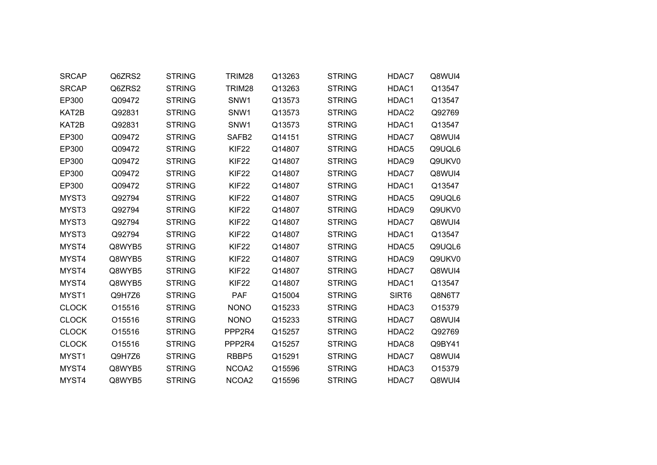| <b>SRCAP</b> | Q6ZRS2 | <b>STRING</b> | TRIM28            | Q13263 | <b>STRING</b> | HDAC7             | Q8WUI4 |
|--------------|--------|---------------|-------------------|--------|---------------|-------------------|--------|
| <b>SRCAP</b> | Q6ZRS2 | <b>STRING</b> | TRIM28            | Q13263 | <b>STRING</b> | HDAC1             | Q13547 |
| EP300        | Q09472 | <b>STRING</b> | SNW1              | Q13573 | <b>STRING</b> | HDAC1             | Q13547 |
| KAT2B        | Q92831 | <b>STRING</b> | SNW <sub>1</sub>  | Q13573 | <b>STRING</b> | HDAC2             | Q92769 |
| KAT2B        | Q92831 | <b>STRING</b> | SNW1              | Q13573 | <b>STRING</b> | HDAC1             | Q13547 |
| EP300        | Q09472 | <b>STRING</b> | SAFB <sub>2</sub> | Q14151 | <b>STRING</b> | HDAC7             | Q8WUI4 |
| EP300        | Q09472 | <b>STRING</b> | KIF <sub>22</sub> | Q14807 | <b>STRING</b> | HDAC <sub>5</sub> | Q9UQL6 |
| EP300        | Q09472 | <b>STRING</b> | KIF <sub>22</sub> | Q14807 | <b>STRING</b> | HDAC9             | Q9UKV0 |
| EP300        | Q09472 | <b>STRING</b> | KIF <sub>22</sub> | Q14807 | <b>STRING</b> | HDAC7             | Q8WUI4 |
| EP300        | Q09472 | <b>STRING</b> | KIF <sub>22</sub> | Q14807 | <b>STRING</b> | HDAC1             | Q13547 |
| MYST3        | Q92794 | <b>STRING</b> | KIF <sub>22</sub> | Q14807 | <b>STRING</b> | HDAC5             | Q9UQL6 |
| MYST3        | Q92794 | <b>STRING</b> | KIF <sub>22</sub> | Q14807 | <b>STRING</b> | HDAC9             | Q9UKV0 |
| MYST3        | Q92794 | <b>STRING</b> | KIF <sub>22</sub> | Q14807 | <b>STRING</b> | HDAC7             | Q8WUI4 |
| MYST3        | Q92794 | <b>STRING</b> | KIF <sub>22</sub> | Q14807 | <b>STRING</b> | HDAC1             | Q13547 |
| MYST4        | Q8WYB5 | <b>STRING</b> | KIF <sub>22</sub> | Q14807 | <b>STRING</b> | HDAC5             | Q9UQL6 |
| MYST4        | Q8WYB5 | <b>STRING</b> | KIF <sub>22</sub> | Q14807 | <b>STRING</b> | HDAC9             | Q9UKV0 |
| MYST4        | Q8WYB5 | <b>STRING</b> | KIF <sub>22</sub> | Q14807 | <b>STRING</b> | HDAC7             | Q8WUI4 |
| MYST4        | Q8WYB5 | <b>STRING</b> | KIF <sub>22</sub> | Q14807 | <b>STRING</b> | HDAC1             | Q13547 |
| MYST1        | Q9H7Z6 | <b>STRING</b> | <b>PAF</b>        | Q15004 | <b>STRING</b> | SIRT6             | Q8N6T7 |
| <b>CLOCK</b> | O15516 | <b>STRING</b> | <b>NONO</b>       | Q15233 | <b>STRING</b> | HDAC3             | O15379 |
| <b>CLOCK</b> | O15516 | <b>STRING</b> | <b>NONO</b>       | Q15233 | <b>STRING</b> | HDAC7             | Q8WUI4 |
| <b>CLOCK</b> | O15516 | <b>STRING</b> | PPP2R4            | Q15257 | <b>STRING</b> | HDAC2             | Q92769 |
| <b>CLOCK</b> | O15516 | <b>STRING</b> | PPP2R4            | Q15257 | <b>STRING</b> | HDAC8             | Q9BY41 |
| MYST1        | Q9H7Z6 | <b>STRING</b> | RBBP5             | Q15291 | <b>STRING</b> | HDAC7             | Q8WUI4 |
| MYST4        | Q8WYB5 | <b>STRING</b> | NCOA2             | Q15596 | <b>STRING</b> | HDAC3             | O15379 |
| MYST4        | Q8WYB5 | <b>STRING</b> | NCOA <sub>2</sub> | Q15596 | <b>STRING</b> | HDAC7             | Q8WUI4 |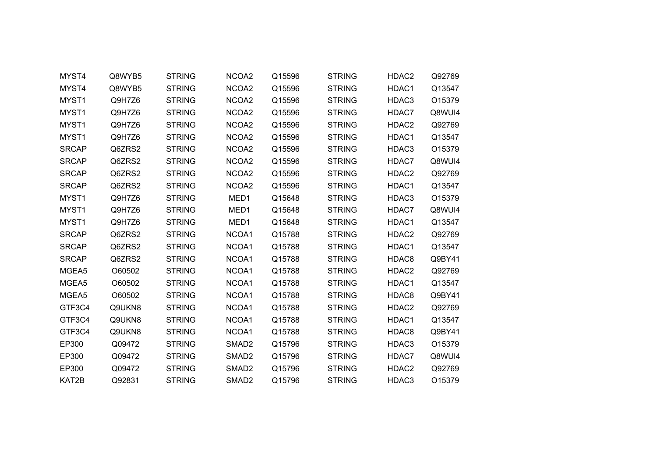| MYST4        | Q8WYB5 | <b>STRING</b> | NCOA2             | Q15596 | <b>STRING</b> | HDAC2 | Q92769 |  |
|--------------|--------|---------------|-------------------|--------|---------------|-------|--------|--|
| MYST4        | Q8WYB5 | <b>STRING</b> | NCOA2             | Q15596 | <b>STRING</b> | HDAC1 | Q13547 |  |
| MYST1        | Q9H7Z6 | <b>STRING</b> | NCOA <sub>2</sub> | Q15596 | <b>STRING</b> | HDAC3 | O15379 |  |
| MYST1        | Q9H7Z6 | <b>STRING</b> | NCOA2             | Q15596 | <b>STRING</b> | HDAC7 | Q8WUI4 |  |
| MYST1        | Q9H7Z6 | <b>STRING</b> | NCOA2             | Q15596 | <b>STRING</b> | HDAC2 | Q92769 |  |
| MYST1        | Q9H7Z6 | <b>STRING</b> | NCOA2             | Q15596 | <b>STRING</b> | HDAC1 | Q13547 |  |
| <b>SRCAP</b> | Q6ZRS2 | <b>STRING</b> | NCOA2             | Q15596 | <b>STRING</b> | HDAC3 | O15379 |  |
| <b>SRCAP</b> | Q6ZRS2 | <b>STRING</b> | NCOA2             | Q15596 | <b>STRING</b> | HDAC7 | Q8WUI4 |  |
| <b>SRCAP</b> | Q6ZRS2 | <b>STRING</b> | NCOA2             | Q15596 | <b>STRING</b> | HDAC2 | Q92769 |  |
| <b>SRCAP</b> | Q6ZRS2 | <b>STRING</b> | NCOA2             | Q15596 | <b>STRING</b> | HDAC1 | Q13547 |  |
| MYST1        | Q9H7Z6 | <b>STRING</b> | MED1              | Q15648 | <b>STRING</b> | HDAC3 | O15379 |  |
| MYST1        | Q9H7Z6 | <b>STRING</b> | MED <sub>1</sub>  | Q15648 | <b>STRING</b> | HDAC7 | Q8WUI4 |  |
| MYST1        | Q9H7Z6 | <b>STRING</b> | MED1              | Q15648 | <b>STRING</b> | HDAC1 | Q13547 |  |
| <b>SRCAP</b> | Q6ZRS2 | <b>STRING</b> | NCOA1             | Q15788 | <b>STRING</b> | HDAC2 | Q92769 |  |
| <b>SRCAP</b> | Q6ZRS2 | <b>STRING</b> | NCOA1             | Q15788 | <b>STRING</b> | HDAC1 | Q13547 |  |
| <b>SRCAP</b> | Q6ZRS2 | <b>STRING</b> | NCOA1             | Q15788 | <b>STRING</b> | HDAC8 | Q9BY41 |  |
| MGEA5        | O60502 | <b>STRING</b> | NCOA1             | Q15788 | <b>STRING</b> | HDAC2 | Q92769 |  |
| MGEA5        | O60502 | <b>STRING</b> | NCOA1             | Q15788 | <b>STRING</b> | HDAC1 | Q13547 |  |
| MGEA5        | O60502 | <b>STRING</b> | NCOA1             | Q15788 | <b>STRING</b> | HDAC8 | Q9BY41 |  |
| GTF3C4       | Q9UKN8 | <b>STRING</b> | NCOA1             | Q15788 | <b>STRING</b> | HDAC2 | Q92769 |  |
| GTF3C4       | Q9UKN8 | <b>STRING</b> | NCOA1             | Q15788 | <b>STRING</b> | HDAC1 | Q13547 |  |
| GTF3C4       | Q9UKN8 | <b>STRING</b> | NCOA1             | Q15788 | <b>STRING</b> | HDAC8 | Q9BY41 |  |
| EP300        | Q09472 | <b>STRING</b> | SMAD <sub>2</sub> | Q15796 | <b>STRING</b> | HDAC3 | O15379 |  |
| EP300        | Q09472 | <b>STRING</b> | SMAD <sub>2</sub> | Q15796 | <b>STRING</b> | HDAC7 | Q8WUI4 |  |
| EP300        | Q09472 | <b>STRING</b> | SMAD <sub>2</sub> | Q15796 | <b>STRING</b> | HDAC2 | Q92769 |  |
| KAT2B        | Q92831 | <b>STRING</b> | SMAD <sub>2</sub> | Q15796 | <b>STRING</b> | HDAC3 | O15379 |  |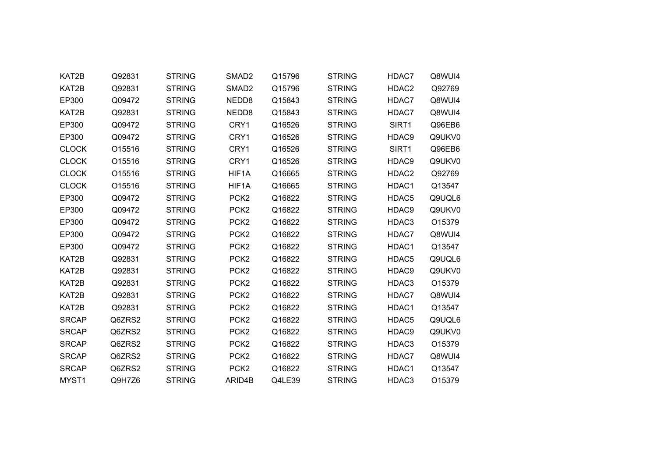| KAT2B             | Q92831 | <b>STRING</b> | SMAD <sub>2</sub> | Q15796 | <b>STRING</b> | HDAC7             | Q8WUI4 |
|-------------------|--------|---------------|-------------------|--------|---------------|-------------------|--------|
| KAT2B             | Q92831 | <b>STRING</b> | SMAD <sub>2</sub> | Q15796 | <b>STRING</b> | HDAC2             | Q92769 |
| EP300             | Q09472 | <b>STRING</b> | NEDD8             | Q15843 | <b>STRING</b> | HDAC7             | Q8WUI4 |
| KAT2B             | Q92831 | <b>STRING</b> | NEDD8             | Q15843 | <b>STRING</b> | HDAC7             | Q8WUI4 |
| EP300             | Q09472 | <b>STRING</b> | CRY1              | Q16526 | <b>STRING</b> | SIRT1             | Q96EB6 |
| EP300             | Q09472 | <b>STRING</b> | CRY1              | Q16526 | <b>STRING</b> | HDAC9             | Q9UKV0 |
| <b>CLOCK</b>      | O15516 | <b>STRING</b> | CRY1              | Q16526 | <b>STRING</b> | SIRT1             | Q96EB6 |
| <b>CLOCK</b>      | O15516 | <b>STRING</b> | CRY1              | Q16526 | <b>STRING</b> | HDAC9             | Q9UKV0 |
| <b>CLOCK</b>      | O15516 | <b>STRING</b> | HIF1A             | Q16665 | <b>STRING</b> | HDAC2             | Q92769 |
| <b>CLOCK</b>      | O15516 | <b>STRING</b> | HIF1A             | Q16665 | <b>STRING</b> | HDAC1             | Q13547 |
| EP300             | Q09472 | <b>STRING</b> | PCK <sub>2</sub>  | Q16822 | <b>STRING</b> | HDAC5             | Q9UQL6 |
| EP300             | Q09472 | <b>STRING</b> | PCK <sub>2</sub>  | Q16822 | <b>STRING</b> | HDAC9             | Q9UKV0 |
| EP300             | Q09472 | <b>STRING</b> | PCK <sub>2</sub>  | Q16822 | <b>STRING</b> | HDAC3             | O15379 |
| EP300             | Q09472 | <b>STRING</b> | PCK <sub>2</sub>  | Q16822 | <b>STRING</b> | HDAC7             | Q8WUI4 |
| EP300             | Q09472 | <b>STRING</b> | PCK <sub>2</sub>  | Q16822 | <b>STRING</b> | HDAC1             | Q13547 |
| KAT2B             | Q92831 | <b>STRING</b> | PCK <sub>2</sub>  | Q16822 | <b>STRING</b> | HDAC <sub>5</sub> | Q9UQL6 |
| KAT2B             | Q92831 | <b>STRING</b> | PCK <sub>2</sub>  | Q16822 | <b>STRING</b> | HDAC9             | Q9UKV0 |
| KAT2B             | Q92831 | <b>STRING</b> | PCK <sub>2</sub>  | Q16822 | <b>STRING</b> | HDAC3             | O15379 |
| KAT2B             | Q92831 | <b>STRING</b> | PCK <sub>2</sub>  | Q16822 | <b>STRING</b> | HDAC7             | Q8WUI4 |
| KAT2B             | Q92831 | <b>STRING</b> | PCK <sub>2</sub>  | Q16822 | <b>STRING</b> | HDAC1             | Q13547 |
| <b>SRCAP</b>      | Q6ZRS2 | <b>STRING</b> | PCK <sub>2</sub>  | Q16822 | <b>STRING</b> | HDAC5             | Q9UQL6 |
| <b>SRCAP</b>      | Q6ZRS2 | <b>STRING</b> | PCK <sub>2</sub>  | Q16822 | <b>STRING</b> | HDAC9             | Q9UKV0 |
| <b>SRCAP</b>      | Q6ZRS2 | <b>STRING</b> | PCK <sub>2</sub>  | Q16822 | <b>STRING</b> | HDAC3             | O15379 |
| <b>SRCAP</b>      | Q6ZRS2 | <b>STRING</b> | PCK <sub>2</sub>  | Q16822 | <b>STRING</b> | HDAC7             | Q8WUI4 |
| <b>SRCAP</b>      | Q6ZRS2 | <b>STRING</b> | PCK <sub>2</sub>  | Q16822 | <b>STRING</b> | HDAC1             | Q13547 |
| MYST <sub>1</sub> | Q9H7Z6 | <b>STRING</b> | ARID4B            | Q4LE39 | <b>STRING</b> | HDAC3             | O15379 |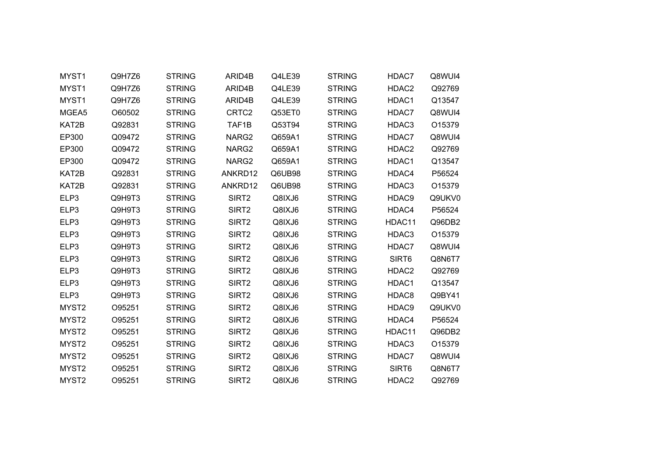| MYST1             | Q9H7Z6 | <b>STRING</b> | ARID4B            | Q4LE39 | <b>STRING</b> | HDAC7  | Q8WUI4 |
|-------------------|--------|---------------|-------------------|--------|---------------|--------|--------|
| MYST1             | Q9H7Z6 | <b>STRING</b> | ARID4B            | Q4LE39 | <b>STRING</b> | HDAC2  | Q92769 |
| MYST1             | Q9H7Z6 | <b>STRING</b> | ARID4B            | Q4LE39 | <b>STRING</b> | HDAC1  | Q13547 |
| MGEA5             | O60502 | <b>STRING</b> | CRTC <sub>2</sub> | Q53ET0 | <b>STRING</b> | HDAC7  | Q8WUI4 |
| KAT2B             | Q92831 | <b>STRING</b> | TAF1B             | Q53T94 | <b>STRING</b> | HDAC3  | O15379 |
| EP300             | Q09472 | <b>STRING</b> | NARG2             | Q659A1 | <b>STRING</b> | HDAC7  | Q8WUI4 |
| EP300             | Q09472 | <b>STRING</b> | NARG2             | Q659A1 | <b>STRING</b> | HDAC2  | Q92769 |
| EP300             | Q09472 | <b>STRING</b> | NARG2             | Q659A1 | <b>STRING</b> | HDAC1  | Q13547 |
| KAT2B             | Q92831 | <b>STRING</b> | ANKRD12           | Q6UB98 | <b>STRING</b> | HDAC4  | P56524 |
| KAT2B             | Q92831 | <b>STRING</b> | ANKRD12           | Q6UB98 | <b>STRING</b> | HDAC3  | O15379 |
| ELP3              | Q9H9T3 | <b>STRING</b> | SIRT2             | Q8IXJ6 | <b>STRING</b> | HDAC9  | Q9UKV0 |
| ELP3              | Q9H9T3 | <b>STRING</b> | SIRT <sub>2</sub> | Q8IXJ6 | <b>STRING</b> | HDAC4  | P56524 |
| ELP3              | Q9H9T3 | <b>STRING</b> | SIRT <sub>2</sub> | Q8IXJ6 | <b>STRING</b> | HDAC11 | Q96DB2 |
| ELP3              | Q9H9T3 | <b>STRING</b> | SIRT <sub>2</sub> | Q8IXJ6 | <b>STRING</b> | HDAC3  | O15379 |
| ELP3              | Q9H9T3 | <b>STRING</b> | SIRT <sub>2</sub> | Q8IXJ6 | <b>STRING</b> | HDAC7  | Q8WUI4 |
| ELP3              | Q9H9T3 | <b>STRING</b> | SIRT2             | Q8IXJ6 | <b>STRING</b> | SIRT6  | Q8N6T7 |
| ELP3              | Q9H9T3 | <b>STRING</b> | SIRT2             | Q8IXJ6 | <b>STRING</b> | HDAC2  | Q92769 |
| ELP3              | Q9H9T3 | <b>STRING</b> | SIRT2             | Q8IXJ6 | <b>STRING</b> | HDAC1  | Q13547 |
| ELP3              | Q9H9T3 | <b>STRING</b> | SIRT <sub>2</sub> | Q8IXJ6 | <b>STRING</b> | HDAC8  | Q9BY41 |
| MYST2             | O95251 | <b>STRING</b> | SIRT <sub>2</sub> | Q8IXJ6 | <b>STRING</b> | HDAC9  | Q9UKV0 |
| MYST <sub>2</sub> | O95251 | <b>STRING</b> | SIRT <sub>2</sub> | Q8IXJ6 | <b>STRING</b> | HDAC4  | P56524 |
| MYST2             | O95251 | <b>STRING</b> | SIRT <sub>2</sub> | Q8IXJ6 | <b>STRING</b> | HDAC11 | Q96DB2 |
| MYST <sub>2</sub> | O95251 | <b>STRING</b> | SIRT <sub>2</sub> | Q8IXJ6 | <b>STRING</b> | HDAC3  | O15379 |
| MYST <sub>2</sub> | O95251 | <b>STRING</b> | SIRT2             | Q8IXJ6 | <b>STRING</b> | HDAC7  | Q8WUI4 |
| MYST2             | O95251 | <b>STRING</b> | SIRT2             | Q8IXJ6 | <b>STRING</b> | SIRT6  | Q8N6T7 |
| MYST <sub>2</sub> | O95251 | <b>STRING</b> | SIRT <sub>2</sub> | Q8IXJ6 | <b>STRING</b> | HDAC2  | Q92769 |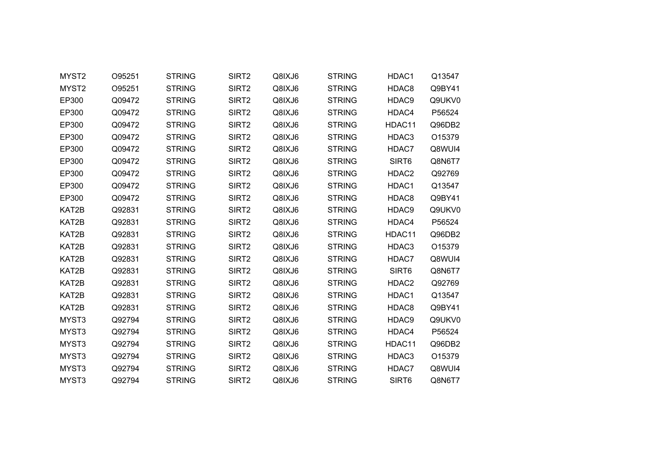| MYST2 | O95251 | <b>STRING</b> | SIRT2             | Q8IXJ6 | <b>STRING</b> | HDAC1  | Q13547 |
|-------|--------|---------------|-------------------|--------|---------------|--------|--------|
| MYST2 | O95251 | <b>STRING</b> | SIRT <sub>2</sub> | Q8IXJ6 | <b>STRING</b> | HDAC8  | Q9BY41 |
| EP300 | Q09472 | <b>STRING</b> | SIRT2             | Q8IXJ6 | <b>STRING</b> | HDAC9  | Q9UKV0 |
| EP300 | Q09472 | <b>STRING</b> | SIRT <sub>2</sub> | Q8IXJ6 | <b>STRING</b> | HDAC4  | P56524 |
| EP300 | Q09472 | <b>STRING</b> | SIRT <sub>2</sub> | Q8IXJ6 | <b>STRING</b> | HDAC11 | Q96DB2 |
| EP300 | Q09472 | <b>STRING</b> | SIRT2             | Q8IXJ6 | <b>STRING</b> | HDAC3  | O15379 |
| EP300 | Q09472 | <b>STRING</b> | SIRT <sub>2</sub> | Q8IXJ6 | <b>STRING</b> | HDAC7  | Q8WUI4 |
| EP300 | Q09472 | <b>STRING</b> | SIRT <sub>2</sub> | Q8IXJ6 | <b>STRING</b> | SIRT6  | Q8N6T7 |
| EP300 | Q09472 | <b>STRING</b> | SIRT2             | Q8IXJ6 | <b>STRING</b> | HDAC2  | Q92769 |
| EP300 | Q09472 | <b>STRING</b> | SIRT <sub>2</sub> | Q8IXJ6 | <b>STRING</b> | HDAC1  | Q13547 |
| EP300 | Q09472 | <b>STRING</b> | SIRT <sub>2</sub> | Q8IXJ6 | <b>STRING</b> | HDAC8  | Q9BY41 |
| KAT2B | Q92831 | <b>STRING</b> | SIRT <sub>2</sub> | Q8IXJ6 | <b>STRING</b> | HDAC9  | Q9UKV0 |
| KAT2B | Q92831 | <b>STRING</b> | SIRT <sub>2</sub> | Q8IXJ6 | <b>STRING</b> | HDAC4  | P56524 |
| KAT2B | Q92831 | <b>STRING</b> | SIRT <sub>2</sub> | Q8IXJ6 | <b>STRING</b> | HDAC11 | Q96DB2 |
| KAT2B | Q92831 | <b>STRING</b> | SIRT <sub>2</sub> | Q8IXJ6 | <b>STRING</b> | HDAC3  | O15379 |
| KAT2B | Q92831 | <b>STRING</b> | SIRT2             | Q8IXJ6 | <b>STRING</b> | HDAC7  | Q8WUI4 |
| KAT2B | Q92831 | <b>STRING</b> | SIRT2             | Q8IXJ6 | <b>STRING</b> | SIRT6  | Q8N6T7 |
| KAT2B | Q92831 | <b>STRING</b> | SIRT2             | Q8IXJ6 | <b>STRING</b> | HDAC2  | Q92769 |
| KAT2B | Q92831 | <b>STRING</b> | SIRT2             | Q8IXJ6 | <b>STRING</b> | HDAC1  | Q13547 |
| KAT2B | Q92831 | <b>STRING</b> | SIRT2             | Q8IXJ6 | <b>STRING</b> | HDAC8  | Q9BY41 |
| MYST3 | Q92794 | <b>STRING</b> | SIRT <sub>2</sub> | Q8IXJ6 | <b>STRING</b> | HDAC9  | Q9UKV0 |
| MYST3 | Q92794 | <b>STRING</b> | SIRT <sub>2</sub> | Q8IXJ6 | <b>STRING</b> | HDAC4  | P56524 |
| MYST3 | Q92794 | <b>STRING</b> | SIRT <sub>2</sub> | Q8IXJ6 | <b>STRING</b> | HDAC11 | Q96DB2 |
| MYST3 | Q92794 | <b>STRING</b> | SIRT2             | Q8IXJ6 | <b>STRING</b> | HDAC3  | O15379 |
| MYST3 | Q92794 | <b>STRING</b> | SIRT2             | Q8IXJ6 | <b>STRING</b> | HDAC7  | Q8WUI4 |
| MYST3 | Q92794 | <b>STRING</b> | SIRT <sub>2</sub> | Q8IXJ6 | <b>STRING</b> | SIRT6  | Q8N6T7 |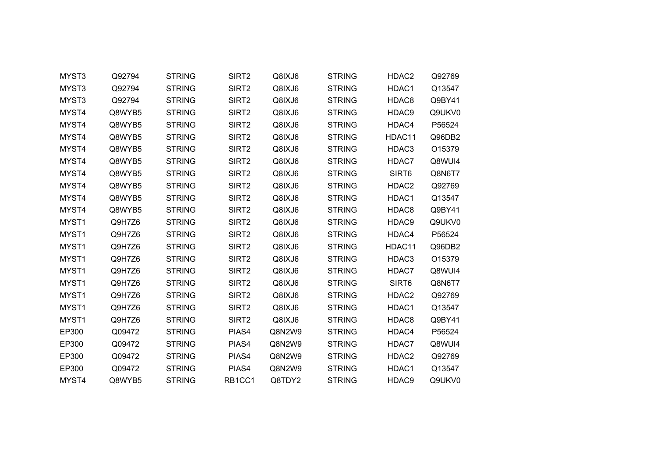| MYST3 | Q92794 | <b>STRING</b> | SIRT2             | Q8IXJ6 | <b>STRING</b> | HDAC2             | Q92769 |  |
|-------|--------|---------------|-------------------|--------|---------------|-------------------|--------|--|
| MYST3 | Q92794 | <b>STRING</b> | SIRT <sub>2</sub> | Q8IXJ6 | <b>STRING</b> | HDAC1             | Q13547 |  |
| MYST3 | Q92794 | <b>STRING</b> | SIRT <sub>2</sub> | Q8IXJ6 | <b>STRING</b> | HDAC8             | Q9BY41 |  |
| MYST4 | Q8WYB5 | <b>STRING</b> | SIRT <sub>2</sub> | Q8IXJ6 | <b>STRING</b> | HDAC9             | Q9UKV0 |  |
| MYST4 | Q8WYB5 | <b>STRING</b> | SIRT <sub>2</sub> | Q8IXJ6 | <b>STRING</b> | HDAC4             | P56524 |  |
| MYST4 | Q8WYB5 | <b>STRING</b> | SIRT <sub>2</sub> | Q8IXJ6 | <b>STRING</b> | HDAC11            | Q96DB2 |  |
| MYST4 | Q8WYB5 | <b>STRING</b> | SIRT <sub>2</sub> | Q8IXJ6 | <b>STRING</b> | HDAC3             | O15379 |  |
| MYST4 | Q8WYB5 | <b>STRING</b> | SIRT <sub>2</sub> | Q8IXJ6 | <b>STRING</b> | HDAC7             | Q8WUI4 |  |
| MYST4 | Q8WYB5 | <b>STRING</b> | SIRT2             | Q8IXJ6 | <b>STRING</b> | SIRT6             | Q8N6T7 |  |
| MYST4 | Q8WYB5 | <b>STRING</b> | SIRT <sub>2</sub> | Q8IXJ6 | <b>STRING</b> | HDAC2             | Q92769 |  |
| MYST4 | Q8WYB5 | <b>STRING</b> | SIRT <sub>2</sub> | Q8IXJ6 | <b>STRING</b> | HDAC1             | Q13547 |  |
| MYST4 | Q8WYB5 | <b>STRING</b> | SIRT <sub>2</sub> | Q8IXJ6 | <b>STRING</b> | HDAC8             | Q9BY41 |  |
| MYST1 | Q9H7Z6 | <b>STRING</b> | SIRT <sub>2</sub> | Q8IXJ6 | <b>STRING</b> | HDAC9             | Q9UKV0 |  |
| MYST1 | Q9H7Z6 | <b>STRING</b> | SIRT <sub>2</sub> | Q8IXJ6 | <b>STRING</b> | HDAC4             | P56524 |  |
| MYST1 | Q9H7Z6 | <b>STRING</b> | SIRT <sub>2</sub> | Q8IXJ6 | <b>STRING</b> | HDAC11            | Q96DB2 |  |
| MYST1 | Q9H7Z6 | <b>STRING</b> | SIRT <sub>2</sub> | Q8IXJ6 | <b>STRING</b> | HDAC3             | O15379 |  |
| MYST1 | Q9H7Z6 | <b>STRING</b> | SIRT <sub>2</sub> | Q8IXJ6 | <b>STRING</b> | HDAC7             | Q8WUI4 |  |
| MYST1 | Q9H7Z6 | <b>STRING</b> | SIRT2             | Q8IXJ6 | <b>STRING</b> | SIRT6             | Q8N6T7 |  |
| MYST1 | Q9H7Z6 | <b>STRING</b> | SIRT <sub>2</sub> | Q8IXJ6 | <b>STRING</b> | HDAC <sub>2</sub> | Q92769 |  |
| MYST1 | Q9H7Z6 | <b>STRING</b> | SIRT <sub>2</sub> | Q8IXJ6 | <b>STRING</b> | HDAC1             | Q13547 |  |
| MYST1 | Q9H7Z6 | <b>STRING</b> | SIRT <sub>2</sub> | Q8IXJ6 | <b>STRING</b> | HDAC8             | Q9BY41 |  |
| EP300 | Q09472 | <b>STRING</b> | PIAS4             | Q8N2W9 | <b>STRING</b> | HDAC4             | P56524 |  |
| EP300 | Q09472 | <b>STRING</b> | PIAS4             | Q8N2W9 | <b>STRING</b> | HDAC7             | Q8WUI4 |  |
| EP300 | Q09472 | <b>STRING</b> | PIAS4             | Q8N2W9 | <b>STRING</b> | HDAC <sub>2</sub> | Q92769 |  |
| EP300 | Q09472 | <b>STRING</b> | PIAS4             | Q8N2W9 | <b>STRING</b> | HDAC1             | Q13547 |  |
| MYST4 | Q8WYB5 | <b>STRING</b> | RB1CC1            | Q8TDY2 | <b>STRING</b> | HDAC9             | Q9UKV0 |  |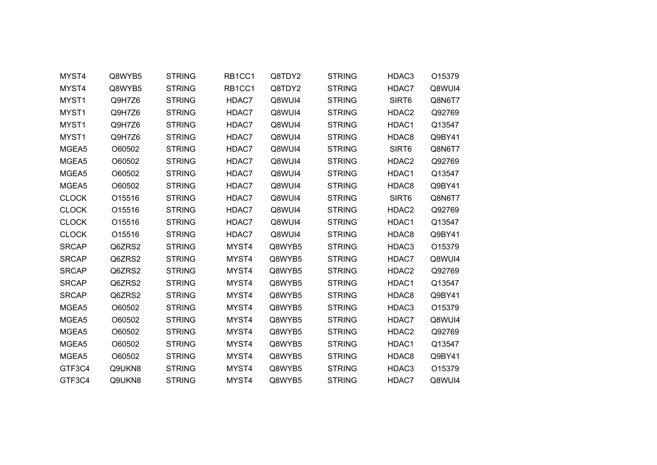| MYST4        | Q8WYB5 | <b>STRING</b> | RB1CC1 | Q8TDY2 | <b>STRING</b> | HDAC3             | O15379 |  |
|--------------|--------|---------------|--------|--------|---------------|-------------------|--------|--|
| MYST4        | Q8WYB5 | <b>STRING</b> | RB1CC1 | Q8TDY2 | <b>STRING</b> | HDAC7             | Q8WUI4 |  |
| MYST1        | Q9H7Z6 | <b>STRING</b> | HDAC7  | Q8WUI4 | <b>STRING</b> | SIRT6             | Q8N6T7 |  |
| MYST1        | Q9H7Z6 | <b>STRING</b> | HDAC7  | Q8WUI4 | <b>STRING</b> | HDAC2             | Q92769 |  |
| MYST1        | Q9H7Z6 | <b>STRING</b> | HDAC7  | Q8WUI4 | <b>STRING</b> | HDAC1             | Q13547 |  |
| MYST1        | Q9H7Z6 | <b>STRING</b> | HDAC7  | Q8WUI4 | <b>STRING</b> | HDAC8             | Q9BY41 |  |
| MGEA5        | O60502 | <b>STRING</b> | HDAC7  | Q8WUI4 | <b>STRING</b> | SIRT6             | Q8N6T7 |  |
| MGEA5        | O60502 | <b>STRING</b> | HDAC7  | Q8WUI4 | <b>STRING</b> | HDAC <sub>2</sub> | Q92769 |  |
| MGEA5        | O60502 | <b>STRING</b> | HDAC7  | Q8WUI4 | <b>STRING</b> | HDAC1             | Q13547 |  |
| MGEA5        | O60502 | <b>STRING</b> | HDAC7  | Q8WUI4 | <b>STRING</b> | HDAC8             | Q9BY41 |  |
| <b>CLOCK</b> | O15516 | <b>STRING</b> | HDAC7  | Q8WUI4 | <b>STRING</b> | SIRT6             | Q8N6T7 |  |
| <b>CLOCK</b> | O15516 | <b>STRING</b> | HDAC7  | Q8WUI4 | <b>STRING</b> | HDAC2             | Q92769 |  |
| <b>CLOCK</b> | O15516 | <b>STRING</b> | HDAC7  | Q8WUI4 | <b>STRING</b> | HDAC1             | Q13547 |  |
| <b>CLOCK</b> | O15516 | <b>STRING</b> | HDAC7  | Q8WUI4 | <b>STRING</b> | HDAC8             | Q9BY41 |  |
| <b>SRCAP</b> | Q6ZRS2 | <b>STRING</b> | MYST4  | Q8WYB5 | <b>STRING</b> | HDAC3             | O15379 |  |
| <b>SRCAP</b> | Q6ZRS2 | <b>STRING</b> | MYST4  | Q8WYB5 | <b>STRING</b> | HDAC7             | Q8WUI4 |  |
| <b>SRCAP</b> | Q6ZRS2 | <b>STRING</b> | MYST4  | Q8WYB5 | <b>STRING</b> | HDAC2             | Q92769 |  |
| <b>SRCAP</b> | Q6ZRS2 | <b>STRING</b> | MYST4  | Q8WYB5 | <b>STRING</b> | HDAC1             | Q13547 |  |
| <b>SRCAP</b> | Q6ZRS2 | <b>STRING</b> | MYST4  | Q8WYB5 | <b>STRING</b> | HDAC8             | Q9BY41 |  |
| MGEA5        | O60502 | <b>STRING</b> | MYST4  | Q8WYB5 | <b>STRING</b> | HDAC3             | O15379 |  |
| MGEA5        | O60502 | <b>STRING</b> | MYST4  | Q8WYB5 | <b>STRING</b> | HDAC7             | Q8WUI4 |  |
| MGEA5        | O60502 | <b>STRING</b> | MYST4  | Q8WYB5 | <b>STRING</b> | HDAC2             | Q92769 |  |
| MGEA5        | O60502 | <b>STRING</b> | MYST4  | Q8WYB5 | <b>STRING</b> | HDAC1             | Q13547 |  |
| MGEA5        | O60502 | <b>STRING</b> | MYST4  | Q8WYB5 | <b>STRING</b> | HDAC8             | Q9BY41 |  |
| GTF3C4       | Q9UKN8 | <b>STRING</b> | MYST4  | Q8WYB5 | <b>STRING</b> | HDAC3             | O15379 |  |
| GTF3C4       | Q9UKN8 | <b>STRING</b> | MYST4  | Q8WYB5 | <b>STRING</b> | HDAC7             | Q8WUI4 |  |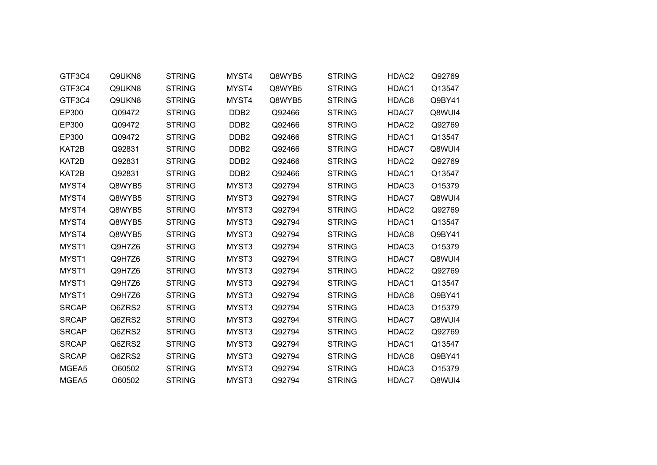| GTF3C4       | Q9UKN8 | <b>STRING</b> | MYST4            | Q8WYB5 | <b>STRING</b> | HDAC2             | Q92769 |
|--------------|--------|---------------|------------------|--------|---------------|-------------------|--------|
| GTF3C4       | Q9UKN8 | <b>STRING</b> | MYST4            | Q8WYB5 | <b>STRING</b> | HDAC1             | Q13547 |
| GTF3C4       | Q9UKN8 | <b>STRING</b> | MYST4            | Q8WYB5 | <b>STRING</b> | HDAC8             | Q9BY41 |
| EP300        | Q09472 | <b>STRING</b> | DDB <sub>2</sub> | Q92466 | <b>STRING</b> | HDAC7             | Q8WUI4 |
| EP300        | Q09472 | <b>STRING</b> | DDB <sub>2</sub> | Q92466 | <b>STRING</b> | HDAC2             | Q92769 |
| EP300        | Q09472 | <b>STRING</b> | DDB <sub>2</sub> | Q92466 | <b>STRING</b> | HDAC1             | Q13547 |
| KAT2B        | Q92831 | <b>STRING</b> | DDB <sub>2</sub> | Q92466 | <b>STRING</b> | HDAC7             | Q8WUI4 |
| KAT2B        | Q92831 | <b>STRING</b> | DDB <sub>2</sub> | Q92466 | <b>STRING</b> | HDAC <sub>2</sub> | Q92769 |
| KAT2B        | Q92831 | <b>STRING</b> | DDB <sub>2</sub> | Q92466 | <b>STRING</b> | HDAC1             | Q13547 |
| MYST4        | Q8WYB5 | <b>STRING</b> | MYST3            | Q92794 | <b>STRING</b> | HDAC3             | O15379 |
| MYST4        | Q8WYB5 | <b>STRING</b> | MYST3            | Q92794 | <b>STRING</b> | HDAC7             | Q8WUI4 |
| MYST4        | Q8WYB5 | <b>STRING</b> | MYST3            | Q92794 | <b>STRING</b> | HDAC2             | Q92769 |
| MYST4        | Q8WYB5 | <b>STRING</b> | MYST3            | Q92794 | <b>STRING</b> | HDAC1             | Q13547 |
| MYST4        | Q8WYB5 | <b>STRING</b> | MYST3            | Q92794 | <b>STRING</b> | HDAC8             | Q9BY41 |
| MYST1        | Q9H7Z6 | <b>STRING</b> | MYST3            | Q92794 | <b>STRING</b> | HDAC3             | O15379 |
| MYST1        | Q9H7Z6 | <b>STRING</b> | MYST3            | Q92794 | <b>STRING</b> | HDAC7             | Q8WUI4 |
| MYST1        | Q9H7Z6 | <b>STRING</b> | MYST3            | Q92794 | <b>STRING</b> | HDAC2             | Q92769 |
| MYST1        | Q9H7Z6 | <b>STRING</b> | MYST3            | Q92794 | <b>STRING</b> | HDAC1             | Q13547 |
| MYST1        | Q9H7Z6 | <b>STRING</b> | MYST3            | Q92794 | <b>STRING</b> | HDAC8             | Q9BY41 |
| <b>SRCAP</b> | Q6ZRS2 | <b>STRING</b> | MYST3            | Q92794 | <b>STRING</b> | HDAC3             | O15379 |
| <b>SRCAP</b> | Q6ZRS2 | <b>STRING</b> | MYST3            | Q92794 | <b>STRING</b> | HDAC7             | Q8WUI4 |
| <b>SRCAP</b> | Q6ZRS2 | <b>STRING</b> | MYST3            | Q92794 | <b>STRING</b> | HDAC2             | Q92769 |
| <b>SRCAP</b> | Q6ZRS2 | <b>STRING</b> | MYST3            | Q92794 | <b>STRING</b> | HDAC1             | Q13547 |
| <b>SRCAP</b> | Q6ZRS2 | <b>STRING</b> | MYST3            | Q92794 | <b>STRING</b> | HDAC8             | Q9BY41 |
| MGEA5        | O60502 | <b>STRING</b> | MYST3            | Q92794 | <b>STRING</b> | HDAC3             | O15379 |
| MGEA5        | O60502 | <b>STRING</b> | MYST3            | Q92794 | <b>STRING</b> | HDAC7             | Q8WUI4 |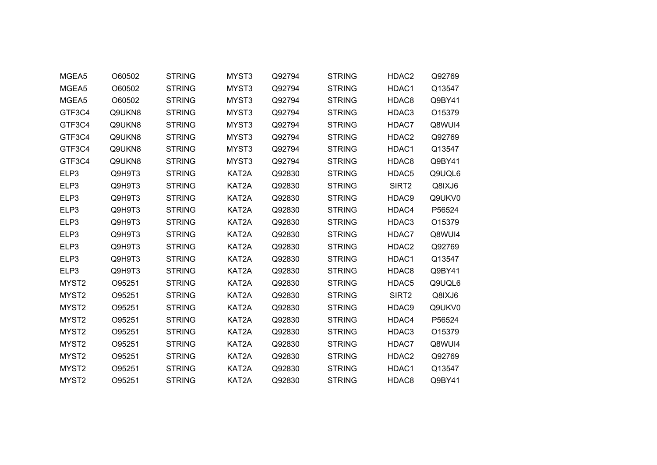| MGEA5             | O60502 | <b>STRING</b> | MYST3 | Q92794 | <b>STRING</b> | HDAC2             | Q92769 |
|-------------------|--------|---------------|-------|--------|---------------|-------------------|--------|
| MGEA5             | O60502 | <b>STRING</b> | MYST3 | Q92794 | <b>STRING</b> | HDAC1             | Q13547 |
| MGEA5             | O60502 | <b>STRING</b> | MYST3 | Q92794 | <b>STRING</b> | HDAC8             | Q9BY41 |
| GTF3C4            | Q9UKN8 | <b>STRING</b> | MYST3 | Q92794 | <b>STRING</b> | HDAC3             | O15379 |
| GTF3C4            | Q9UKN8 | <b>STRING</b> | MYST3 | Q92794 | <b>STRING</b> | HDAC7             | Q8WUI4 |
| GTF3C4            | Q9UKN8 | <b>STRING</b> | MYST3 | Q92794 | <b>STRING</b> | HDAC2             | Q92769 |
| GTF3C4            | Q9UKN8 | <b>STRING</b> | MYST3 | Q92794 | <b>STRING</b> | HDAC1             | Q13547 |
| GTF3C4            | Q9UKN8 | <b>STRING</b> | MYST3 | Q92794 | <b>STRING</b> | HDAC8             | Q9BY41 |
| ELP3              | Q9H9T3 | <b>STRING</b> | KAT2A | Q92830 | <b>STRING</b> | HDAC5             | Q9UQL6 |
| ELP3              | Q9H9T3 | <b>STRING</b> | KAT2A | Q92830 | <b>STRING</b> | SIRT2             | Q8IXJ6 |
| ELP3              | Q9H9T3 | <b>STRING</b> | KAT2A | Q92830 | <b>STRING</b> | HDAC9             | Q9UKV0 |
| ELP3              | Q9H9T3 | <b>STRING</b> | KAT2A | Q92830 | <b>STRING</b> | HDAC4             | P56524 |
| ELP3              | Q9H9T3 | <b>STRING</b> | KAT2A | Q92830 | <b>STRING</b> | HDAC3             | O15379 |
| ELP3              | Q9H9T3 | <b>STRING</b> | KAT2A | Q92830 | <b>STRING</b> | HDAC7             | Q8WUI4 |
| ELP3              | Q9H9T3 | <b>STRING</b> | KAT2A | Q92830 | <b>STRING</b> | HDAC2             | Q92769 |
| ELP3              | Q9H9T3 | <b>STRING</b> | KAT2A | Q92830 | <b>STRING</b> | HDAC1             | Q13547 |
| ELP3              | Q9H9T3 | <b>STRING</b> | KAT2A | Q92830 | <b>STRING</b> | HDAC8             | Q9BY41 |
| MYST <sub>2</sub> | O95251 | <b>STRING</b> | KAT2A | Q92830 | <b>STRING</b> | HDAC5             | Q9UQL6 |
| MYST2             | O95251 | <b>STRING</b> | KAT2A | Q92830 | <b>STRING</b> | SIRT2             | Q8IXJ6 |
| MYST2             | O95251 | <b>STRING</b> | KAT2A | Q92830 | <b>STRING</b> | HDAC9             | Q9UKV0 |
| MYST <sub>2</sub> | O95251 | <b>STRING</b> | KAT2A | Q92830 | <b>STRING</b> | HDAC4             | P56524 |
| MYST2             | O95251 | <b>STRING</b> | KAT2A | Q92830 | <b>STRING</b> | HDAC3             | O15379 |
| MYST <sub>2</sub> | O95251 | <b>STRING</b> | KAT2A | Q92830 | <b>STRING</b> | HDAC7             | Q8WUI4 |
| MYST2             | O95251 | <b>STRING</b> | KAT2A | Q92830 | <b>STRING</b> | HDAC <sub>2</sub> | Q92769 |
| MYST2             | O95251 | <b>STRING</b> | KAT2A | Q92830 | <b>STRING</b> | HDAC1             | Q13547 |
| MYST <sub>2</sub> | O95251 | <b>STRING</b> | KAT2A | Q92830 | <b>STRING</b> | HDAC8             | Q9BY41 |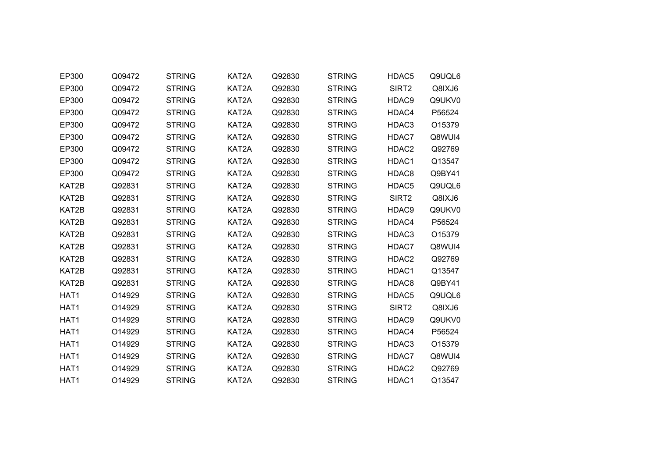| EP300            | Q09472 | <b>STRING</b> | KAT2A | Q92830 | <b>STRING</b> | HDAC5             | Q9UQL6 |
|------------------|--------|---------------|-------|--------|---------------|-------------------|--------|
| EP300            | Q09472 | <b>STRING</b> | KAT2A | Q92830 | <b>STRING</b> | SIRT2             | Q8IXJ6 |
| EP300            | Q09472 | <b>STRING</b> | KAT2A | Q92830 | <b>STRING</b> | HDAC9             | Q9UKV0 |
| EP300            | Q09472 | <b>STRING</b> | KAT2A | Q92830 | <b>STRING</b> | HDAC4             | P56524 |
| EP300            | Q09472 | <b>STRING</b> | KAT2A | Q92830 | <b>STRING</b> | HDAC3             | O15379 |
| EP300            | Q09472 | <b>STRING</b> | KAT2A | Q92830 | <b>STRING</b> | HDAC7             | Q8WUI4 |
| EP300            | Q09472 | <b>STRING</b> | KAT2A | Q92830 | <b>STRING</b> | HDAC2             | Q92769 |
| EP300            | Q09472 | <b>STRING</b> | KAT2A | Q92830 | <b>STRING</b> | HDAC1             | Q13547 |
| EP300            | Q09472 | <b>STRING</b> | KAT2A | Q92830 | <b>STRING</b> | HDAC8             | Q9BY41 |
| KAT2B            | Q92831 | <b>STRING</b> | KAT2A | Q92830 | <b>STRING</b> | HDAC <sub>5</sub> | Q9UQL6 |
| KAT2B            | Q92831 | <b>STRING</b> | KAT2A | Q92830 | <b>STRING</b> | SIRT <sub>2</sub> | Q8IXJ6 |
| KAT2B            | Q92831 | <b>STRING</b> | KAT2A | Q92830 | <b>STRING</b> | HDAC9             | Q9UKV0 |
| KAT2B            | Q92831 | <b>STRING</b> | KAT2A | Q92830 | <b>STRING</b> | HDAC4             | P56524 |
| KAT2B            | Q92831 | <b>STRING</b> | KAT2A | Q92830 | <b>STRING</b> | HDAC3             | O15379 |
| KAT2B            | Q92831 | <b>STRING</b> | KAT2A | Q92830 | <b>STRING</b> | HDAC7             | Q8WUI4 |
| KAT2B            | Q92831 | <b>STRING</b> | KAT2A | Q92830 | <b>STRING</b> | HDAC2             | Q92769 |
| KAT2B            | Q92831 | <b>STRING</b> | KAT2A | Q92830 | <b>STRING</b> | HDAC1             | Q13547 |
| KAT2B            | Q92831 | <b>STRING</b> | KAT2A | Q92830 | <b>STRING</b> | HDAC8             | Q9BY41 |
| HAT1             | O14929 | <b>STRING</b> | KAT2A | Q92830 | <b>STRING</b> | HDAC5             | Q9UQL6 |
| HAT1             | O14929 | <b>STRING</b> | KAT2A | Q92830 | <b>STRING</b> | SIRT <sub>2</sub> | Q8IXJ6 |
| HAT <sub>1</sub> | O14929 | <b>STRING</b> | KAT2A | Q92830 | <b>STRING</b> | HDAC9             | Q9UKV0 |
| HAT1             | O14929 | <b>STRING</b> | KAT2A | Q92830 | <b>STRING</b> | HDAC4             | P56524 |
| HAT <sub>1</sub> | O14929 | <b>STRING</b> | KAT2A | Q92830 | <b>STRING</b> | HDAC3             | O15379 |
| HAT1             | O14929 | <b>STRING</b> | KAT2A | Q92830 | <b>STRING</b> | HDAC7             | Q8WUI4 |
| HAT1             | O14929 | <b>STRING</b> | KAT2A | Q92830 | <b>STRING</b> | HDAC2             | Q92769 |
| HAT1             | O14929 | <b>STRING</b> | KAT2A | Q92830 | <b>STRING</b> | HDAC1             | Q13547 |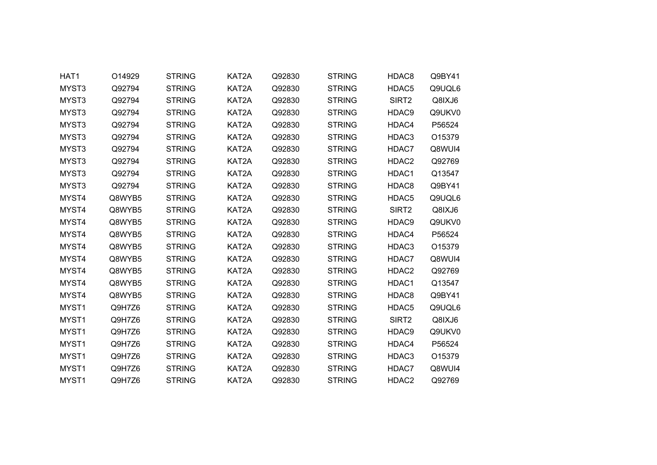| HAT1              | O14929 | <b>STRING</b> | KAT2A | Q92830 | <b>STRING</b> | HDAC8             | Q9BY41 |
|-------------------|--------|---------------|-------|--------|---------------|-------------------|--------|
| MYST3             | Q92794 | <b>STRING</b> | KAT2A | Q92830 | <b>STRING</b> | HDAC5             | Q9UQL6 |
| MYST3             | Q92794 | <b>STRING</b> | KAT2A | Q92830 | <b>STRING</b> | SIRT2             | Q8IXJ6 |
| MYST3             | Q92794 | <b>STRING</b> | KAT2A | Q92830 | <b>STRING</b> | HDAC9             | Q9UKV0 |
| MYST3             | Q92794 | <b>STRING</b> | KAT2A | Q92830 | <b>STRING</b> | HDAC4             | P56524 |
| MYST3             | Q92794 | <b>STRING</b> | KAT2A | Q92830 | <b>STRING</b> | HDAC3             | O15379 |
| MYST3             | Q92794 | <b>STRING</b> | KAT2A | Q92830 | <b>STRING</b> | HDAC7             | Q8WUI4 |
| MYST3             | Q92794 | <b>STRING</b> | KAT2A | Q92830 | <b>STRING</b> | HDAC <sub>2</sub> | Q92769 |
| MYST3             | Q92794 | <b>STRING</b> | KAT2A | Q92830 | <b>STRING</b> | HDAC1             | Q13547 |
| MYST3             | Q92794 | <b>STRING</b> | KAT2A | Q92830 | <b>STRING</b> | HDAC8             | Q9BY41 |
| MYST4             | Q8WYB5 | <b>STRING</b> | KAT2A | Q92830 | <b>STRING</b> | HDAC5             | Q9UQL6 |
| MYST4             | Q8WYB5 | <b>STRING</b> | KAT2A | Q92830 | <b>STRING</b> | SIRT <sub>2</sub> | Q8IXJ6 |
| MYST4             | Q8WYB5 | <b>STRING</b> | KAT2A | Q92830 | <b>STRING</b> | HDAC9             | Q9UKV0 |
| MYST4             | Q8WYB5 | <b>STRING</b> | KAT2A | Q92830 | <b>STRING</b> | HDAC4             | P56524 |
| MYST4             | Q8WYB5 | <b>STRING</b> | KAT2A | Q92830 | <b>STRING</b> | HDAC3             | O15379 |
| MYST4             | Q8WYB5 | <b>STRING</b> | KAT2A | Q92830 | <b>STRING</b> | HDAC7             | Q8WUI4 |
| MYST4             | Q8WYB5 | <b>STRING</b> | KAT2A | Q92830 | <b>STRING</b> | HDAC2             | Q92769 |
| MYST4             | Q8WYB5 | <b>STRING</b> | KAT2A | Q92830 | <b>STRING</b> | HDAC1             | Q13547 |
| MYST4             | Q8WYB5 | <b>STRING</b> | KAT2A | Q92830 | <b>STRING</b> | HDAC8             | Q9BY41 |
| MYST1             | Q9H7Z6 | <b>STRING</b> | KAT2A | Q92830 | <b>STRING</b> | HDAC5             | Q9UQL6 |
| MYST1             | Q9H7Z6 | <b>STRING</b> | KAT2A | Q92830 | <b>STRING</b> | SIRT <sub>2</sub> | Q8IXJ6 |
| MYST1             | Q9H7Z6 | <b>STRING</b> | KAT2A | Q92830 | <b>STRING</b> | HDAC9             | Q9UKV0 |
| MYST1             | Q9H7Z6 | <b>STRING</b> | KAT2A | Q92830 | <b>STRING</b> | HDAC4             | P56524 |
| MYST1             | Q9H7Z6 | <b>STRING</b> | KAT2A | Q92830 | <b>STRING</b> | HDAC3             | O15379 |
| MYST1             | Q9H7Z6 | <b>STRING</b> | KAT2A | Q92830 | <b>STRING</b> | HDAC7             | Q8WUI4 |
| MYST <sub>1</sub> | Q9H7Z6 | <b>STRING</b> | KAT2A | Q92830 | <b>STRING</b> | HDAC2             | Q92769 |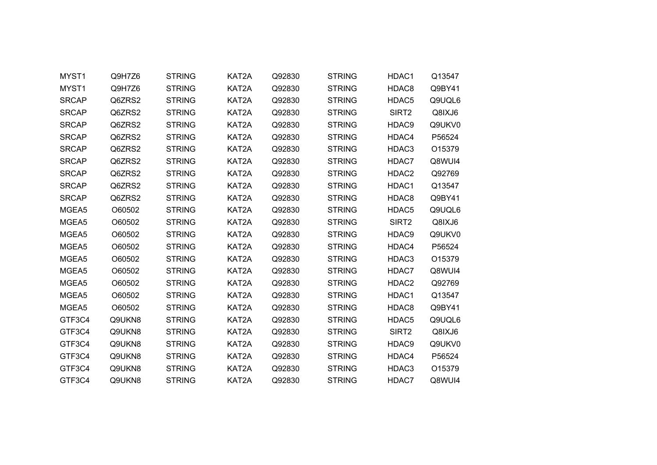| MYST1        | Q9H7Z6 | <b>STRING</b> | KAT2A | Q92830 | <b>STRING</b> | HDAC1             | Q13547 |  |
|--------------|--------|---------------|-------|--------|---------------|-------------------|--------|--|
| MYST1        | Q9H7Z6 | <b>STRING</b> | KAT2A | Q92830 | <b>STRING</b> | HDAC8             | Q9BY41 |  |
| <b>SRCAP</b> | Q6ZRS2 | <b>STRING</b> | KAT2A | Q92830 | <b>STRING</b> | HDAC5             | Q9UQL6 |  |
| <b>SRCAP</b> | Q6ZRS2 | <b>STRING</b> | KAT2A | Q92830 | <b>STRING</b> | SIRT <sub>2</sub> | Q8IXJ6 |  |
| <b>SRCAP</b> | Q6ZRS2 | <b>STRING</b> | KAT2A | Q92830 | <b>STRING</b> | HDAC9             | Q9UKV0 |  |
| <b>SRCAP</b> | Q6ZRS2 | <b>STRING</b> | KAT2A | Q92830 | <b>STRING</b> | HDAC4             | P56524 |  |
| <b>SRCAP</b> | Q6ZRS2 | <b>STRING</b> | KAT2A | Q92830 | <b>STRING</b> | HDAC3             | O15379 |  |
| <b>SRCAP</b> | Q6ZRS2 | <b>STRING</b> | KAT2A | Q92830 | <b>STRING</b> | HDAC7             | Q8WUI4 |  |
| <b>SRCAP</b> | Q6ZRS2 | <b>STRING</b> | KAT2A | Q92830 | <b>STRING</b> | HDAC2             | Q92769 |  |
| <b>SRCAP</b> | Q6ZRS2 | <b>STRING</b> | KAT2A | Q92830 | <b>STRING</b> | HDAC1             | Q13547 |  |
| <b>SRCAP</b> | Q6ZRS2 | <b>STRING</b> | KAT2A | Q92830 | <b>STRING</b> | HDAC8             | Q9BY41 |  |
| MGEA5        | O60502 | <b>STRING</b> | KAT2A | Q92830 | <b>STRING</b> | HDAC <sub>5</sub> | Q9UQL6 |  |
| MGEA5        | O60502 | <b>STRING</b> | KAT2A | Q92830 | <b>STRING</b> | SIRT <sub>2</sub> | Q8IXJ6 |  |
| MGEA5        | O60502 | <b>STRING</b> | KAT2A | Q92830 | <b>STRING</b> | HDAC9             | Q9UKV0 |  |
| MGEA5        | O60502 | <b>STRING</b> | KAT2A | Q92830 | <b>STRING</b> | HDAC4             | P56524 |  |
| MGEA5        | O60502 | <b>STRING</b> | KAT2A | Q92830 | <b>STRING</b> | HDAC3             | O15379 |  |
| MGEA5        | O60502 | <b>STRING</b> | KAT2A | Q92830 | <b>STRING</b> | HDAC7             | Q8WUI4 |  |
| MGEA5        | O60502 | <b>STRING</b> | KAT2A | Q92830 | <b>STRING</b> | HDAC2             | Q92769 |  |
| MGEA5        | O60502 | <b>STRING</b> | KAT2A | Q92830 | <b>STRING</b> | HDAC1             | Q13547 |  |
| MGEA5        | O60502 | <b>STRING</b> | KAT2A | Q92830 | <b>STRING</b> | HDAC8             | Q9BY41 |  |
| GTF3C4       | Q9UKN8 | <b>STRING</b> | KAT2A | Q92830 | <b>STRING</b> | HDAC5             | Q9UQL6 |  |
| GTF3C4       | Q9UKN8 | <b>STRING</b> | KAT2A | Q92830 | <b>STRING</b> | SIRT <sub>2</sub> | Q8IXJ6 |  |
| GTF3C4       | Q9UKN8 | <b>STRING</b> | KAT2A | Q92830 | <b>STRING</b> | HDAC9             | Q9UKV0 |  |
| GTF3C4       | Q9UKN8 | <b>STRING</b> | KAT2A | Q92830 | <b>STRING</b> | HDAC4             | P56524 |  |
| GTF3C4       | Q9UKN8 | <b>STRING</b> | KAT2A | Q92830 | <b>STRING</b> | HDAC3             | O15379 |  |
| GTF3C4       | Q9UKN8 | <b>STRING</b> | KAT2A | Q92830 | <b>STRING</b> | HDAC7             | Q8WUI4 |  |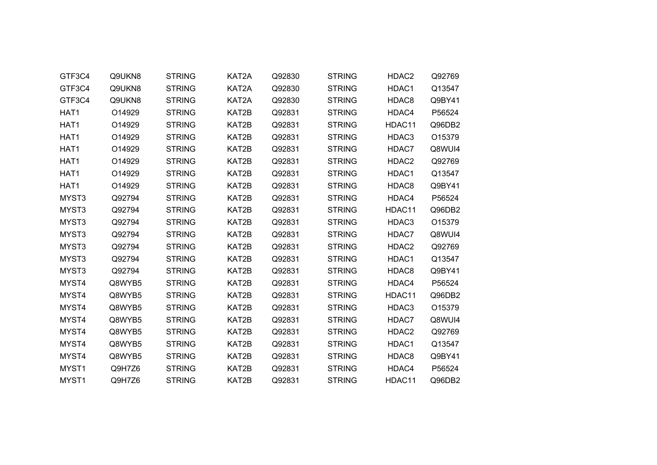| GTF3C4           | Q9UKN8 | <b>STRING</b> | KAT2A | Q92830 | <b>STRING</b> | HDAC2             | Q92769 |  |
|------------------|--------|---------------|-------|--------|---------------|-------------------|--------|--|
| GTF3C4           | Q9UKN8 | <b>STRING</b> | KAT2A | Q92830 | <b>STRING</b> | HDAC1             | Q13547 |  |
| GTF3C4           | Q9UKN8 | <b>STRING</b> | KAT2A | Q92830 | <b>STRING</b> | HDAC8             | Q9BY41 |  |
| HAT <sub>1</sub> | O14929 | <b>STRING</b> | KAT2B | Q92831 | <b>STRING</b> | HDAC4             | P56524 |  |
| HAT1             | O14929 | <b>STRING</b> | KAT2B | Q92831 | <b>STRING</b> | HDAC11            | Q96DB2 |  |
| HAT1             | O14929 | <b>STRING</b> | KAT2B | Q92831 | <b>STRING</b> | HDAC3             | O15379 |  |
| HAT1             | O14929 | <b>STRING</b> | KAT2B | Q92831 | <b>STRING</b> | HDAC7             | Q8WUI4 |  |
| HAT1             | O14929 | <b>STRING</b> | KAT2B | Q92831 | <b>STRING</b> | HDAC <sub>2</sub> | Q92769 |  |
| HAT1             | O14929 | <b>STRING</b> | KAT2B | Q92831 | <b>STRING</b> | HDAC1             | Q13547 |  |
| HAT1             | O14929 | <b>STRING</b> | KAT2B | Q92831 | <b>STRING</b> | HDAC8             | Q9BY41 |  |
| MYST3            | Q92794 | <b>STRING</b> | KAT2B | Q92831 | <b>STRING</b> | HDAC4             | P56524 |  |
| MYST3            | Q92794 | <b>STRING</b> | KAT2B | Q92831 | <b>STRING</b> | HDAC11            | Q96DB2 |  |
| MYST3            | Q92794 | <b>STRING</b> | KAT2B | Q92831 | <b>STRING</b> | HDAC3             | O15379 |  |
| MYST3            | Q92794 | <b>STRING</b> | KAT2B | Q92831 | <b>STRING</b> | HDAC7             | Q8WUI4 |  |
| MYST3            | Q92794 | <b>STRING</b> | KAT2B | Q92831 | <b>STRING</b> | HDAC2             | Q92769 |  |
| MYST3            | Q92794 | <b>STRING</b> | KAT2B | Q92831 | <b>STRING</b> | HDAC1             | Q13547 |  |
| MYST3            | Q92794 | <b>STRING</b> | KAT2B | Q92831 | <b>STRING</b> | HDAC8             | Q9BY41 |  |
| MYST4            | Q8WYB5 | <b>STRING</b> | KAT2B | Q92831 | <b>STRING</b> | HDAC4             | P56524 |  |
| MYST4            | Q8WYB5 | <b>STRING</b> | KAT2B | Q92831 | <b>STRING</b> | HDAC11            | Q96DB2 |  |
| MYST4            | Q8WYB5 | <b>STRING</b> | KAT2B | Q92831 | <b>STRING</b> | HDAC3             | O15379 |  |
| MYST4            | Q8WYB5 | <b>STRING</b> | KAT2B | Q92831 | <b>STRING</b> | HDAC7             | Q8WUI4 |  |
| MYST4            | Q8WYB5 | <b>STRING</b> | KAT2B | Q92831 | <b>STRING</b> | HDAC2             | Q92769 |  |
| MYST4            | Q8WYB5 | <b>STRING</b> | KAT2B | Q92831 | <b>STRING</b> | HDAC1             | Q13547 |  |
| MYST4            | Q8WYB5 | <b>STRING</b> | KAT2B | Q92831 | <b>STRING</b> | HDAC8             | Q9BY41 |  |
| MYST1            | Q9H7Z6 | <b>STRING</b> | KAT2B | Q92831 | <b>STRING</b> | HDAC4             | P56524 |  |
| MYST1            | Q9H7Z6 | <b>STRING</b> | KAT2B | Q92831 | <b>STRING</b> | HDAC11            | Q96DB2 |  |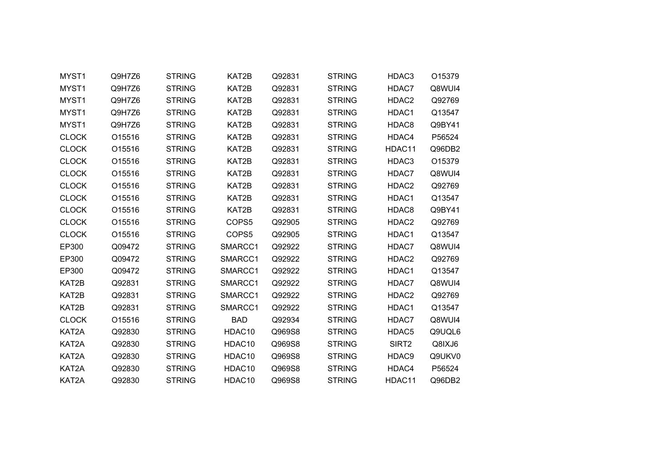| MYST1        | Q9H7Z6 | <b>STRING</b> | KAT2B              | Q92831 | <b>STRING</b> | HDAC3             | O15379 |  |
|--------------|--------|---------------|--------------------|--------|---------------|-------------------|--------|--|
| MYST1        | Q9H7Z6 | <b>STRING</b> | KAT2B              | Q92831 | <b>STRING</b> | HDAC7             | Q8WUI4 |  |
| MYST1        | Q9H7Z6 | <b>STRING</b> | KAT2B              | Q92831 | <b>STRING</b> | HDAC2             | Q92769 |  |
| MYST1        | Q9H7Z6 | <b>STRING</b> | KAT2B              | Q92831 | <b>STRING</b> | HDAC1             | Q13547 |  |
| MYST1        | Q9H7Z6 | <b>STRING</b> | KAT2B              | Q92831 | <b>STRING</b> | HDAC8             | Q9BY41 |  |
| <b>CLOCK</b> | O15516 | <b>STRING</b> | KAT2B              | Q92831 | <b>STRING</b> | HDAC4             | P56524 |  |
| <b>CLOCK</b> | O15516 | <b>STRING</b> | KAT2B              | Q92831 | <b>STRING</b> | HDAC11            | Q96DB2 |  |
| <b>CLOCK</b> | O15516 | <b>STRING</b> | KAT2B              | Q92831 | <b>STRING</b> | HDAC3             | O15379 |  |
| <b>CLOCK</b> | O15516 | <b>STRING</b> | KAT2B              | Q92831 | <b>STRING</b> | HDAC7             | Q8WUI4 |  |
| <b>CLOCK</b> | O15516 | <b>STRING</b> | KAT2B              | Q92831 | <b>STRING</b> | HDAC2             | Q92769 |  |
| <b>CLOCK</b> | O15516 | <b>STRING</b> | KAT2B              | Q92831 | <b>STRING</b> | HDAC1             | Q13547 |  |
| <b>CLOCK</b> | O15516 | <b>STRING</b> | KAT2B              | Q92831 | <b>STRING</b> | HDAC8             | Q9BY41 |  |
| <b>CLOCK</b> | O15516 | <b>STRING</b> | COPS5              | Q92905 | <b>STRING</b> | HDAC <sub>2</sub> | Q92769 |  |
| <b>CLOCK</b> | O15516 | <b>STRING</b> | COPS5              | Q92905 | <b>STRING</b> | HDAC1             | Q13547 |  |
| EP300        | Q09472 | <b>STRING</b> | SMARCC1            | Q92922 | <b>STRING</b> | HDAC7             | Q8WUI4 |  |
| EP300        | Q09472 | <b>STRING</b> | SMARCC1            | Q92922 | <b>STRING</b> | HDAC2             | Q92769 |  |
| EP300        | Q09472 | <b>STRING</b> | SMARCC1            | Q92922 | <b>STRING</b> | HDAC1             | Q13547 |  |
| KAT2B        | Q92831 | <b>STRING</b> | SMARCC1            | Q92922 | <b>STRING</b> | HDAC7             | Q8WUI4 |  |
| KAT2B        | Q92831 | <b>STRING</b> | SMARCC1            | Q92922 | <b>STRING</b> | HDAC2             | Q92769 |  |
| KAT2B        | Q92831 | <b>STRING</b> | SMARCC1            | Q92922 | <b>STRING</b> | HDAC1             | Q13547 |  |
| <b>CLOCK</b> | O15516 | <b>STRING</b> | <b>BAD</b>         | Q92934 | <b>STRING</b> | HDAC7             | Q8WUI4 |  |
| KAT2A        | Q92830 | <b>STRING</b> | HDAC10             | Q969S8 | <b>STRING</b> | HDAC5             | Q9UQL6 |  |
| KAT2A        | Q92830 | <b>STRING</b> | HDAC10             | Q969S8 | <b>STRING</b> | SIRT <sub>2</sub> | Q8IXJ6 |  |
| KAT2A        | Q92830 | <b>STRING</b> | HDAC10             | Q969S8 | <b>STRING</b> | HDAC9             | Q9UKV0 |  |
| KAT2A        | Q92830 | <b>STRING</b> | HDAC10             | Q969S8 | <b>STRING</b> | HDAC4             | P56524 |  |
| KAT2A        | Q92830 | <b>STRING</b> | HDAC <sub>10</sub> | Q969S8 | <b>STRING</b> | HDAC11            | Q96DB2 |  |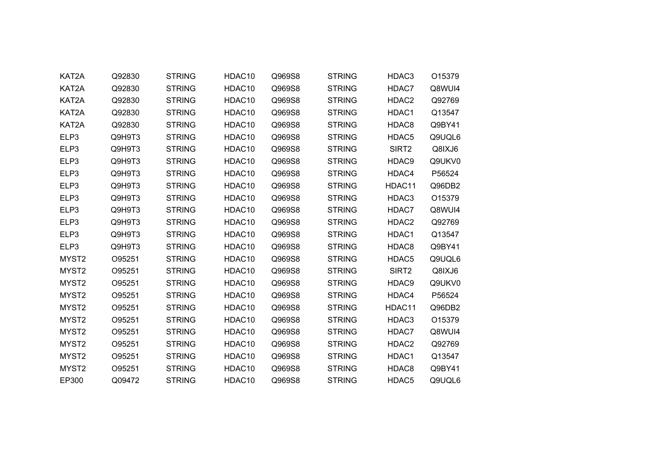| KAT2A             | Q92830 | <b>STRING</b> | HDAC10 | Q969S8 | <b>STRING</b> | HDAC3             | O15379 |
|-------------------|--------|---------------|--------|--------|---------------|-------------------|--------|
| KAT2A             | Q92830 | <b>STRING</b> | HDAC10 | Q969S8 | <b>STRING</b> | HDAC7             | Q8WUI4 |
| KAT2A             | Q92830 | <b>STRING</b> | HDAC10 | Q969S8 | <b>STRING</b> | HDAC2             | Q92769 |
| KAT2A             | Q92830 | <b>STRING</b> | HDAC10 | Q969S8 | <b>STRING</b> | HDAC1             | Q13547 |
| KAT2A             | Q92830 | <b>STRING</b> | HDAC10 | Q969S8 | <b>STRING</b> | HDAC8             | Q9BY41 |
| ELP3              | Q9H9T3 | <b>STRING</b> | HDAC10 | Q969S8 | <b>STRING</b> | HDAC5             | Q9UQL6 |
| ELP3              | Q9H9T3 | <b>STRING</b> | HDAC10 | Q969S8 | <b>STRING</b> | SIRT <sub>2</sub> | Q8IXJ6 |
| ELP3              | Q9H9T3 | <b>STRING</b> | HDAC10 | Q969S8 | <b>STRING</b> | HDAC9             | Q9UKV0 |
| ELP3              | Q9H9T3 | <b>STRING</b> | HDAC10 | Q969S8 | <b>STRING</b> | HDAC4             | P56524 |
| ELP3              | Q9H9T3 | <b>STRING</b> | HDAC10 | Q969S8 | <b>STRING</b> | HDAC11            | Q96DB2 |
| ELP3              | Q9H9T3 | <b>STRING</b> | HDAC10 | Q969S8 | <b>STRING</b> | HDAC3             | O15379 |
| ELP3              | Q9H9T3 | <b>STRING</b> | HDAC10 | Q969S8 | <b>STRING</b> | HDAC7             | Q8WUI4 |
| ELP3              | Q9H9T3 | <b>STRING</b> | HDAC10 | Q969S8 | <b>STRING</b> | HDAC <sub>2</sub> | Q92769 |
| ELP3              | Q9H9T3 | <b>STRING</b> | HDAC10 | Q969S8 | <b>STRING</b> | HDAC1             | Q13547 |
| ELP3              | Q9H9T3 | <b>STRING</b> | HDAC10 | Q969S8 | <b>STRING</b> | HDAC8             | Q9BY41 |
| MYST <sub>2</sub> | O95251 | <b>STRING</b> | HDAC10 | Q969S8 | <b>STRING</b> | HDAC5             | Q9UQL6 |
| MYST <sub>2</sub> | O95251 | <b>STRING</b> | HDAC10 | Q969S8 | <b>STRING</b> | SIRT <sub>2</sub> | Q8IXJ6 |
| MYST2             | O95251 | <b>STRING</b> | HDAC10 | Q969S8 | <b>STRING</b> | HDAC9             | Q9UKV0 |
| MYST2             | O95251 | <b>STRING</b> | HDAC10 | Q969S8 | <b>STRING</b> | HDAC4             | P56524 |
| MYST2             | O95251 | <b>STRING</b> | HDAC10 | Q969S8 | <b>STRING</b> | HDAC11            | Q96DB2 |
| MYST <sub>2</sub> | O95251 | <b>STRING</b> | HDAC10 | Q969S8 | <b>STRING</b> | HDAC3             | O15379 |
| MYST2             | O95251 | <b>STRING</b> | HDAC10 | Q969S8 | <b>STRING</b> | HDAC7             | Q8WUI4 |
| MYST <sub>2</sub> | O95251 | <b>STRING</b> | HDAC10 | Q969S8 | <b>STRING</b> | HDAC2             | Q92769 |
| MYST2             | O95251 | <b>STRING</b> | HDAC10 | Q969S8 | <b>STRING</b> | HDAC1             | Q13547 |
| MYST <sub>2</sub> | O95251 | <b>STRING</b> | HDAC10 | Q969S8 | <b>STRING</b> | HDAC8             | Q9BY41 |
| EP300             | Q09472 | <b>STRING</b> | HDAC10 | Q969S8 | <b>STRING</b> | HDAC5             | Q9UQL6 |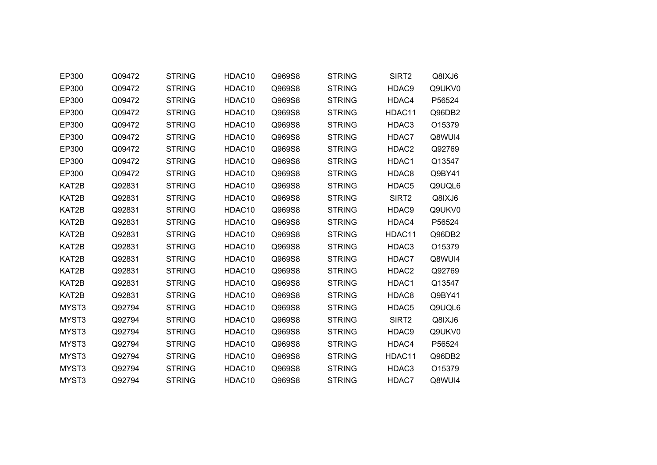| EP300 | Q09472 | <b>STRING</b> | HDAC10             | Q969S8 | <b>STRING</b> | SIRT2             | Q8IXJ6 |
|-------|--------|---------------|--------------------|--------|---------------|-------------------|--------|
| EP300 | Q09472 | <b>STRING</b> | HDAC10             | Q969S8 | <b>STRING</b> | HDAC9             | Q9UKV0 |
| EP300 | Q09472 | <b>STRING</b> | HDAC10             | Q969S8 | <b>STRING</b> | HDAC4             | P56524 |
| EP300 | Q09472 | <b>STRING</b> | HDAC10             | Q969S8 | <b>STRING</b> | HDAC11            | Q96DB2 |
| EP300 | Q09472 | <b>STRING</b> | HDAC10             | Q969S8 | <b>STRING</b> | HDAC3             | O15379 |
| EP300 | Q09472 | <b>STRING</b> | HDAC10             | Q969S8 | <b>STRING</b> | HDAC7             | Q8WUI4 |
| EP300 | Q09472 | <b>STRING</b> | HDAC <sub>10</sub> | Q969S8 | <b>STRING</b> | HDAC2             | Q92769 |
| EP300 | Q09472 | <b>STRING</b> | HDAC10             | Q969S8 | <b>STRING</b> | HDAC1             | Q13547 |
| EP300 | Q09472 | <b>STRING</b> | HDAC10             | Q969S8 | <b>STRING</b> | HDAC8             | Q9BY41 |
| KAT2B | Q92831 | <b>STRING</b> | HDAC10             | Q969S8 | <b>STRING</b> | HDAC5             | Q9UQL6 |
| KAT2B | Q92831 | <b>STRING</b> | HDAC10             | Q969S8 | <b>STRING</b> | SIRT2             | Q8IXJ6 |
| KAT2B | Q92831 | <b>STRING</b> | HDAC10             | Q969S8 | <b>STRING</b> | HDAC9             | Q9UKV0 |
| KAT2B | Q92831 | <b>STRING</b> | HDAC10             | Q969S8 | <b>STRING</b> | HDAC4             | P56524 |
| KAT2B | Q92831 | <b>STRING</b> | HDAC10             | Q969S8 | <b>STRING</b> | HDAC11            | Q96DB2 |
| KAT2B | Q92831 | <b>STRING</b> | HDAC10             | Q969S8 | <b>STRING</b> | HDAC3             | O15379 |
| KAT2B | Q92831 | <b>STRING</b> | HDAC10             | Q969S8 | <b>STRING</b> | HDAC7             | Q8WUI4 |
| KAT2B | Q92831 | <b>STRING</b> | HDAC10             | Q969S8 | <b>STRING</b> | HDAC2             | Q92769 |
| KAT2B | Q92831 | <b>STRING</b> | HDAC10             | Q969S8 | <b>STRING</b> | HDAC1             | Q13547 |
| KAT2B | Q92831 | <b>STRING</b> | HDAC10             | Q969S8 | <b>STRING</b> | HDAC8             | Q9BY41 |
| MYST3 | Q92794 | <b>STRING</b> | HDAC10             | Q969S8 | <b>STRING</b> | HDAC5             | Q9UQL6 |
| MYST3 | Q92794 | <b>STRING</b> | HDAC10             | Q969S8 | <b>STRING</b> | SIRT <sub>2</sub> | Q8IXJ6 |
| MYST3 | Q92794 | <b>STRING</b> | HDAC10             | Q969S8 | <b>STRING</b> | HDAC9             | Q9UKV0 |
| MYST3 | Q92794 | <b>STRING</b> | HDAC10             | Q969S8 | <b>STRING</b> | HDAC4             | P56524 |
| MYST3 | Q92794 | <b>STRING</b> | HDAC10             | Q969S8 | <b>STRING</b> | HDAC11            | Q96DB2 |
| MYST3 | Q92794 | <b>STRING</b> | HDAC10             | Q969S8 | <b>STRING</b> | HDAC3             | O15379 |
| MYST3 | Q92794 | <b>STRING</b> | HDAC <sub>10</sub> | Q969S8 | <b>STRING</b> | HDAC7             | Q8WUI4 |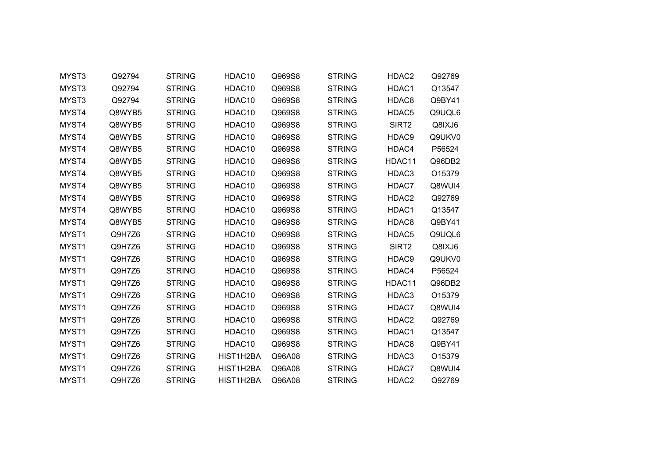| MYST3 | Q92794 | <b>STRING</b> | HDAC10             | Q969S8 | <b>STRING</b> | HDAC2             | Q92769 |
|-------|--------|---------------|--------------------|--------|---------------|-------------------|--------|
| MYST3 | Q92794 | <b>STRING</b> | HDAC10             | Q969S8 | <b>STRING</b> | HDAC1             | Q13547 |
| MYST3 | Q92794 | <b>STRING</b> | HDAC10             | Q969S8 | <b>STRING</b> | HDAC8             | Q9BY41 |
| MYST4 | Q8WYB5 | <b>STRING</b> | HDAC10             | Q969S8 | <b>STRING</b> | HDAC5             | Q9UQL6 |
| MYST4 | Q8WYB5 | <b>STRING</b> | HDAC10             | Q969S8 | <b>STRING</b> | SIRT <sub>2</sub> | Q8IXJ6 |
| MYST4 | Q8WYB5 | <b>STRING</b> | HDAC10             | Q969S8 | <b>STRING</b> | HDAC9             | Q9UKV0 |
| MYST4 | Q8WYB5 | <b>STRING</b> | HDAC10             | Q969S8 | <b>STRING</b> | HDAC4             | P56524 |
| MYST4 | Q8WYB5 | <b>STRING</b> | HDAC10             | Q969S8 | <b>STRING</b> | HDAC11            | Q96DB2 |
| MYST4 | Q8WYB5 | <b>STRING</b> | HDAC10             | Q969S8 | <b>STRING</b> | HDAC3             | O15379 |
| MYST4 | Q8WYB5 | <b>STRING</b> | HDAC10             | Q969S8 | <b>STRING</b> | HDAC7             | Q8WUI4 |
| MYST4 | Q8WYB5 | <b>STRING</b> | HDAC <sub>10</sub> | Q969S8 | <b>STRING</b> | HDAC2             | Q92769 |
| MYST4 | Q8WYB5 | <b>STRING</b> | HDAC10             | Q969S8 | <b>STRING</b> | HDAC1             | Q13547 |
| MYST4 | Q8WYB5 | <b>STRING</b> | HDAC10             | Q969S8 | <b>STRING</b> | HDAC8             | Q9BY41 |
| MYST1 | Q9H7Z6 | <b>STRING</b> | HDAC10             | Q969S8 | <b>STRING</b> | HDAC5             | Q9UQL6 |
| MYST1 | Q9H7Z6 | <b>STRING</b> | HDAC10             | Q969S8 | <b>STRING</b> | SIRT2             | Q8IXJ6 |
| MYST1 | Q9H7Z6 | <b>STRING</b> | HDAC10             | Q969S8 | <b>STRING</b> | HDAC9             | Q9UKV0 |
| MYST1 | Q9H7Z6 | <b>STRING</b> | HDAC <sub>10</sub> | Q969S8 | <b>STRING</b> | HDAC4             | P56524 |
| MYST1 | Q9H7Z6 | <b>STRING</b> | HDAC10             | Q969S8 | <b>STRING</b> | HDAC11            | Q96DB2 |
| MYST1 | Q9H7Z6 | <b>STRING</b> | HDAC10             | Q969S8 | <b>STRING</b> | HDAC3             | O15379 |
| MYST1 | Q9H7Z6 | <b>STRING</b> | HDAC10             | Q969S8 | <b>STRING</b> | HDAC7             | Q8WUI4 |
| MYST1 | Q9H7Z6 | <b>STRING</b> | HDAC10             | Q969S8 | <b>STRING</b> | HDAC2             | Q92769 |
| MYST1 | Q9H7Z6 | <b>STRING</b> | HDAC10             | Q969S8 | <b>STRING</b> | HDAC1             | Q13547 |
| MYST1 | Q9H7Z6 | <b>STRING</b> | HDAC10             | Q969S8 | <b>STRING</b> | HDAC8             | Q9BY41 |
| MYST1 | Q9H7Z6 | <b>STRING</b> | HIST1H2BA          | Q96A08 | <b>STRING</b> | HDAC3             | O15379 |
| MYST1 | Q9H7Z6 | <b>STRING</b> | HIST1H2BA          | Q96A08 | <b>STRING</b> | HDAC7             | Q8WUI4 |
| MYST1 | Q9H7Z6 | <b>STRING</b> | HIST1H2BA          | Q96A08 | <b>STRING</b> | HDAC2             | Q92769 |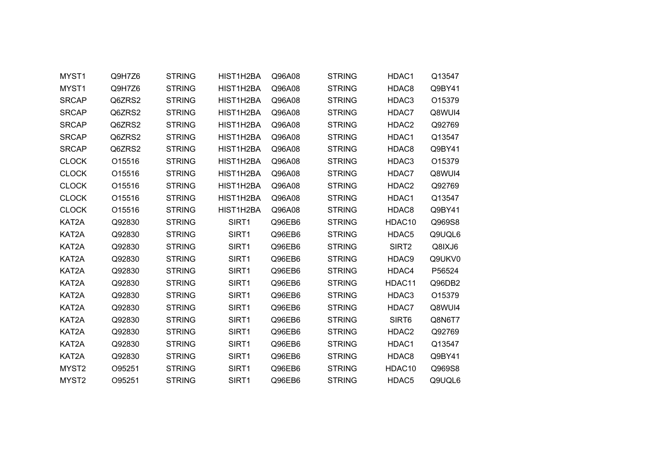| MYST <sub>1</sub> | Q9H7Z6 | <b>STRING</b> | HIST1H2BA | Q96A08 | <b>STRING</b> | HDAC1             | Q13547 |  |
|-------------------|--------|---------------|-----------|--------|---------------|-------------------|--------|--|
| MYST1             | Q9H7Z6 | <b>STRING</b> | HIST1H2BA | Q96A08 | <b>STRING</b> | HDAC8             | Q9BY41 |  |
| <b>SRCAP</b>      | Q6ZRS2 | <b>STRING</b> | HIST1H2BA | Q96A08 | <b>STRING</b> | HDAC3             | O15379 |  |
| <b>SRCAP</b>      | Q6ZRS2 | <b>STRING</b> | HIST1H2BA | Q96A08 | <b>STRING</b> | HDAC7             | Q8WUI4 |  |
| <b>SRCAP</b>      | Q6ZRS2 | <b>STRING</b> | HIST1H2BA | Q96A08 | <b>STRING</b> | HDAC2             | Q92769 |  |
| <b>SRCAP</b>      | Q6ZRS2 | <b>STRING</b> | HIST1H2BA | Q96A08 | <b>STRING</b> | HDAC1             | Q13547 |  |
| <b>SRCAP</b>      | Q6ZRS2 | <b>STRING</b> | HIST1H2BA | Q96A08 | <b>STRING</b> | HDAC8             | Q9BY41 |  |
| <b>CLOCK</b>      | O15516 | <b>STRING</b> | HIST1H2BA | Q96A08 | <b>STRING</b> | HDAC3             | O15379 |  |
| <b>CLOCK</b>      | O15516 | <b>STRING</b> | HIST1H2BA | Q96A08 | <b>STRING</b> | HDAC7             | Q8WUI4 |  |
| <b>CLOCK</b>      | O15516 | <b>STRING</b> | HIST1H2BA | Q96A08 | <b>STRING</b> | HDAC2             | Q92769 |  |
| <b>CLOCK</b>      | O15516 | <b>STRING</b> | HIST1H2BA | Q96A08 | <b>STRING</b> | HDAC1             | Q13547 |  |
| <b>CLOCK</b>      | O15516 | <b>STRING</b> | HIST1H2BA | Q96A08 | <b>STRING</b> | HDAC8             | Q9BY41 |  |
| KAT2A             | Q92830 | <b>STRING</b> | SIRT1     | Q96EB6 | <b>STRING</b> | HDAC10            | Q969S8 |  |
| KAT2A             | Q92830 | <b>STRING</b> | SIRT1     | Q96EB6 | <b>STRING</b> | HDAC5             | Q9UQL6 |  |
| KAT2A             | Q92830 | <b>STRING</b> | SIRT1     | Q96EB6 | <b>STRING</b> | SIRT <sub>2</sub> | Q8IXJ6 |  |
| KAT2A             | Q92830 | <b>STRING</b> | SIRT1     | Q96EB6 | <b>STRING</b> | HDAC9             | Q9UKV0 |  |
| KAT2A             | Q92830 | <b>STRING</b> | SIRT1     | Q96EB6 | <b>STRING</b> | HDAC4             | P56524 |  |
| KAT2A             | Q92830 | <b>STRING</b> | SIRT1     | Q96EB6 | <b>STRING</b> | HDAC11            | Q96DB2 |  |
| KAT2A             | Q92830 | <b>STRING</b> | SIRT1     | Q96EB6 | <b>STRING</b> | HDAC3             | O15379 |  |
| KAT2A             | Q92830 | <b>STRING</b> | SIRT1     | Q96EB6 | <b>STRING</b> | HDAC7             | Q8WUI4 |  |
| KAT2A             | Q92830 | <b>STRING</b> | SIRT1     | Q96EB6 | <b>STRING</b> | SIRT <sub>6</sub> | Q8N6T7 |  |
| KAT2A             | Q92830 | <b>STRING</b> | SIRT1     | Q96EB6 | <b>STRING</b> | HDAC2             | Q92769 |  |
| KAT2A             | Q92830 | <b>STRING</b> | SIRT1     | Q96EB6 | <b>STRING</b> | HDAC1             | Q13547 |  |
| KAT2A             | Q92830 | <b>STRING</b> | SIRT1     | Q96EB6 | <b>STRING</b> | HDAC8             | Q9BY41 |  |
| MYST <sub>2</sub> | O95251 | <b>STRING</b> | SIRT1     | Q96EB6 | <b>STRING</b> | HDAC10            | Q969S8 |  |
| MYST <sub>2</sub> | O95251 | <b>STRING</b> | SIRT1     | Q96EB6 | <b>STRING</b> | HDAC <sub>5</sub> | Q9UQL6 |  |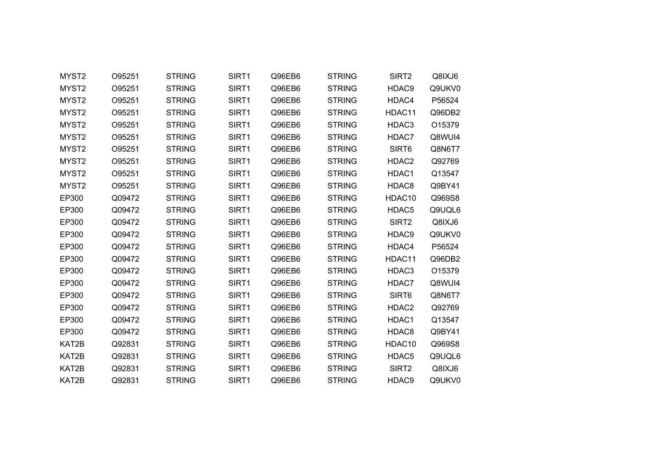| MYST <sub>2</sub> | O95251 | <b>STRING</b> | SIRT1 | Q96EB6 | <b>STRING</b> | SIRT2              | Q8IXJ6 |
|-------------------|--------|---------------|-------|--------|---------------|--------------------|--------|
| MYST2             | O95251 | <b>STRING</b> | SIRT1 | Q96EB6 | <b>STRING</b> | HDAC9              | Q9UKV0 |
| MYST <sub>2</sub> | O95251 | <b>STRING</b> | SIRT1 | Q96EB6 | <b>STRING</b> | HDAC4              | P56524 |
| MYST <sub>2</sub> | O95251 | <b>STRING</b> | SIRT1 | Q96EB6 | <b>STRING</b> | HDAC11             | Q96DB2 |
| MYST <sub>2</sub> | O95251 | <b>STRING</b> | SIRT1 | Q96EB6 | <b>STRING</b> | HDAC3              | O15379 |
| MYST2             | O95251 | <b>STRING</b> | SIRT1 | Q96EB6 | <b>STRING</b> | HDAC7              | Q8WUI4 |
| MYST <sub>2</sub> | O95251 | <b>STRING</b> | SIRT1 | Q96EB6 | <b>STRING</b> | SIRT <sub>6</sub>  | Q8N6T7 |
| MYST2             | O95251 | <b>STRING</b> | SIRT1 | Q96EB6 | <b>STRING</b> | HDAC <sub>2</sub>  | Q92769 |
| MYST2             | O95251 | <b>STRING</b> | SIRT1 | Q96EB6 | <b>STRING</b> | HDAC1              | Q13547 |
| MYST <sub>2</sub> | O95251 | <b>STRING</b> | SIRT1 | Q96EB6 | <b>STRING</b> | HDAC8              | Q9BY41 |
| EP300             | Q09472 | <b>STRING</b> | SIRT1 | Q96EB6 | <b>STRING</b> | HDAC10             | Q969S8 |
| EP300             | Q09472 | <b>STRING</b> | SIRT1 | Q96EB6 | <b>STRING</b> | HDAC5              | Q9UQL6 |
| EP300             | Q09472 | <b>STRING</b> | SIRT1 | Q96EB6 | <b>STRING</b> | SIRT <sub>2</sub>  | Q8IXJ6 |
| EP300             | Q09472 | <b>STRING</b> | SIRT1 | Q96EB6 | <b>STRING</b> | HDAC9              | Q9UKV0 |
| EP300             | Q09472 | <b>STRING</b> | SIRT1 | Q96EB6 | <b>STRING</b> | HDAC4              | P56524 |
| EP300             | Q09472 | <b>STRING</b> | SIRT1 | Q96EB6 | <b>STRING</b> | HDAC11             | Q96DB2 |
| EP300             | Q09472 | <b>STRING</b> | SIRT1 | Q96EB6 | <b>STRING</b> | HDAC3              | O15379 |
| EP300             | Q09472 | <b>STRING</b> | SIRT1 | Q96EB6 | <b>STRING</b> | HDAC7              | Q8WUI4 |
| EP300             | Q09472 | <b>STRING</b> | SIRT1 | Q96EB6 | <b>STRING</b> | SIRT6              | Q8N6T7 |
| EP300             | Q09472 | <b>STRING</b> | SIRT1 | Q96EB6 | <b>STRING</b> | HDAC2              | Q92769 |
| EP300             | Q09472 | <b>STRING</b> | SIRT1 | Q96EB6 | <b>STRING</b> | HDAC1              | Q13547 |
| EP300             | Q09472 | <b>STRING</b> | SIRT1 | Q96EB6 | <b>STRING</b> | HDAC8              | Q9BY41 |
| KAT2B             | Q92831 | <b>STRING</b> | SIRT1 | Q96EB6 | <b>STRING</b> | HDAC <sub>10</sub> | Q969S8 |
| KAT2B             | Q92831 | <b>STRING</b> | SIRT1 | Q96EB6 | <b>STRING</b> | HDAC5              | Q9UQL6 |
| KAT2B             | Q92831 | <b>STRING</b> | SIRT1 | Q96EB6 | <b>STRING</b> | SIRT <sub>2</sub>  | Q8IXJ6 |
| KAT2B             | Q92831 | <b>STRING</b> | SIRT1 | Q96EB6 | <b>STRING</b> | HDAC9              | Q9UKV0 |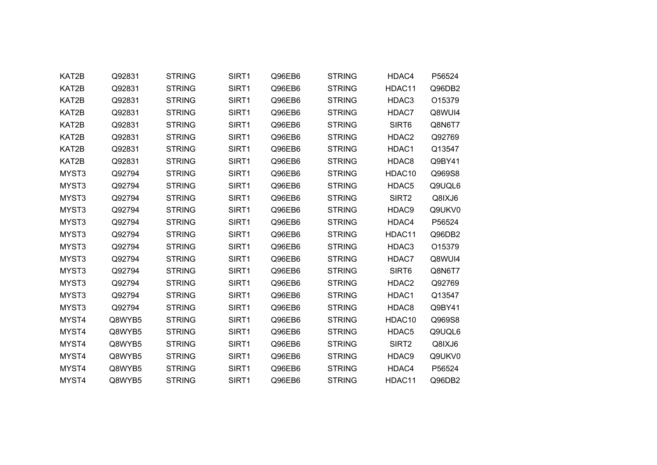| KAT2B | Q92831 | <b>STRING</b> | SIRT1 | Q96EB6 | <b>STRING</b> | HDAC4             | P56524 |
|-------|--------|---------------|-------|--------|---------------|-------------------|--------|
| KAT2B | Q92831 | <b>STRING</b> | SIRT1 | Q96EB6 | <b>STRING</b> | HDAC11            | Q96DB2 |
| KAT2B | Q92831 | <b>STRING</b> | SIRT1 | Q96EB6 | <b>STRING</b> | HDAC3             | O15379 |
| KAT2B | Q92831 | <b>STRING</b> | SIRT1 | Q96EB6 | <b>STRING</b> | HDAC7             | Q8WUI4 |
| KAT2B | Q92831 | <b>STRING</b> | SIRT1 | Q96EB6 | <b>STRING</b> | SIRT <sub>6</sub> | Q8N6T7 |
| KAT2B | Q92831 | <b>STRING</b> | SIRT1 | Q96EB6 | <b>STRING</b> | HDAC2             | Q92769 |
| KAT2B | Q92831 | <b>STRING</b> | SIRT1 | Q96EB6 | <b>STRING</b> | HDAC1             | Q13547 |
| KAT2B | Q92831 | <b>STRING</b> | SIRT1 | Q96EB6 | <b>STRING</b> | HDAC8             | Q9BY41 |
| MYST3 | Q92794 | <b>STRING</b> | SIRT1 | Q96EB6 | <b>STRING</b> | HDAC10            | Q969S8 |
| MYST3 | Q92794 | <b>STRING</b> | SIRT1 | Q96EB6 | <b>STRING</b> | HDAC <sub>5</sub> | Q9UQL6 |
| MYST3 | Q92794 | <b>STRING</b> | SIRT1 | Q96EB6 | <b>STRING</b> | SIRT <sub>2</sub> | Q8IXJ6 |
| MYST3 | Q92794 | <b>STRING</b> | SIRT1 | Q96EB6 | <b>STRING</b> | HDAC9             | Q9UKV0 |
| MYST3 | Q92794 | <b>STRING</b> | SIRT1 | Q96EB6 | <b>STRING</b> | HDAC4             | P56524 |
| MYST3 | Q92794 | <b>STRING</b> | SIRT1 | Q96EB6 | <b>STRING</b> | HDAC11            | Q96DB2 |
| MYST3 | Q92794 | <b>STRING</b> | SIRT1 | Q96EB6 | <b>STRING</b> | HDAC3             | O15379 |
| MYST3 | Q92794 | <b>STRING</b> | SIRT1 | Q96EB6 | <b>STRING</b> | HDAC7             | Q8WUI4 |
| MYST3 | Q92794 | <b>STRING</b> | SIRT1 | Q96EB6 | <b>STRING</b> | SIRT6             | Q8N6T7 |
| MYST3 | Q92794 | <b>STRING</b> | SIRT1 | Q96EB6 | <b>STRING</b> | HDAC2             | Q92769 |
| MYST3 | Q92794 | <b>STRING</b> | SIRT1 | Q96EB6 | <b>STRING</b> | HDAC1             | Q13547 |
| MYST3 | Q92794 | <b>STRING</b> | SIRT1 | Q96EB6 | <b>STRING</b> | HDAC8             | Q9BY41 |
| MYST4 | Q8WYB5 | <b>STRING</b> | SIRT1 | Q96EB6 | <b>STRING</b> | HDAC10            | Q969S8 |
| MYST4 | Q8WYB5 | <b>STRING</b> | SIRT1 | Q96EB6 | <b>STRING</b> | HDAC <sub>5</sub> | Q9UQL6 |
| MYST4 | Q8WYB5 | <b>STRING</b> | SIRT1 | Q96EB6 | <b>STRING</b> | SIRT <sub>2</sub> | Q8IXJ6 |
| MYST4 | Q8WYB5 | <b>STRING</b> | SIRT1 | Q96EB6 | <b>STRING</b> | HDAC9             | Q9UKV0 |
| MYST4 | Q8WYB5 | <b>STRING</b> | SIRT1 | Q96EB6 | <b>STRING</b> | HDAC4             | P56524 |
| MYST4 | Q8WYB5 | <b>STRING</b> | SIRT1 | Q96EB6 | <b>STRING</b> | HDAC11            | Q96DB2 |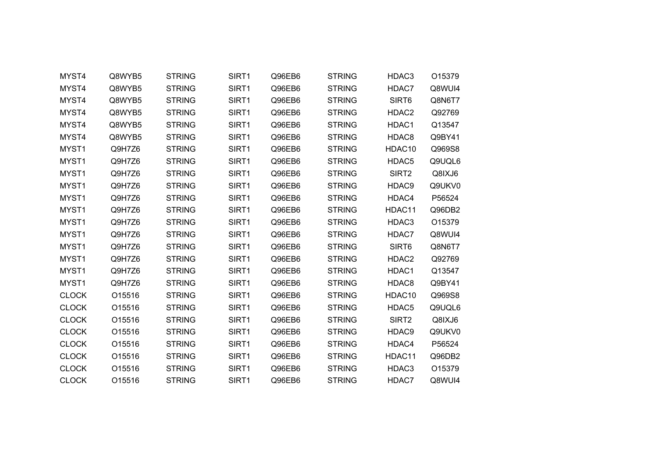| MYST4        | Q8WYB5 | <b>STRING</b> | SIRT1             | Q96EB6 | <b>STRING</b> | HDAC3             | O15379 |
|--------------|--------|---------------|-------------------|--------|---------------|-------------------|--------|
| MYST4        | Q8WYB5 | <b>STRING</b> | SIRT1             | Q96EB6 | <b>STRING</b> | HDAC7             | Q8WUI4 |
| MYST4        | Q8WYB5 | <b>STRING</b> | SIRT1             | Q96EB6 | <b>STRING</b> | SIRT6             | Q8N6T7 |
| MYST4        | Q8WYB5 | <b>STRING</b> | SIRT1             | Q96EB6 | <b>STRING</b> | HDAC2             | Q92769 |
| MYST4        | Q8WYB5 | <b>STRING</b> | SIRT1             | Q96EB6 | <b>STRING</b> | HDAC1             | Q13547 |
| MYST4        | Q8WYB5 | <b>STRING</b> | SIRT1             | Q96EB6 | <b>STRING</b> | HDAC8             | Q9BY41 |
| MYST1        | Q9H7Z6 | <b>STRING</b> | SIRT <sub>1</sub> | Q96EB6 | <b>STRING</b> | HDAC10            | Q969S8 |
| MYST1        | Q9H7Z6 | <b>STRING</b> | SIRT1             | Q96EB6 | <b>STRING</b> | HDAC5             | Q9UQL6 |
| MYST1        | Q9H7Z6 | <b>STRING</b> | SIRT1             | Q96EB6 | <b>STRING</b> | SIRT2             | Q8IXJ6 |
| MYST1        | Q9H7Z6 | <b>STRING</b> | SIRT1             | Q96EB6 | <b>STRING</b> | HDAC9             | Q9UKV0 |
| MYST1        | Q9H7Z6 | <b>STRING</b> | SIRT1             | Q96EB6 | <b>STRING</b> | HDAC4             | P56524 |
| MYST1        | Q9H7Z6 | <b>STRING</b> | SIRT1             | Q96EB6 | <b>STRING</b> | HDAC11            | Q96DB2 |
| MYST1        | Q9H7Z6 | <b>STRING</b> | SIRT1             | Q96EB6 | <b>STRING</b> | HDAC3             | O15379 |
| MYST1        | Q9H7Z6 | <b>STRING</b> | SIRT1             | Q96EB6 | <b>STRING</b> | HDAC7             | Q8WUI4 |
| MYST1        | Q9H7Z6 | <b>STRING</b> | SIRT1             | Q96EB6 | <b>STRING</b> | SIRT6             | Q8N6T7 |
| MYST1        | Q9H7Z6 | <b>STRING</b> | SIRT1             | Q96EB6 | <b>STRING</b> | HDAC2             | Q92769 |
| MYST1        | Q9H7Z6 | <b>STRING</b> | SIRT1             | Q96EB6 | <b>STRING</b> | HDAC1             | Q13547 |
| MYST1        | Q9H7Z6 | <b>STRING</b> | SIRT1             | Q96EB6 | <b>STRING</b> | HDAC8             | Q9BY41 |
| <b>CLOCK</b> | O15516 | <b>STRING</b> | SIRT1             | Q96EB6 | <b>STRING</b> | HDAC10            | Q969S8 |
| <b>CLOCK</b> | O15516 | <b>STRING</b> | SIRT1             | Q96EB6 | <b>STRING</b> | HDAC5             | Q9UQL6 |
| <b>CLOCK</b> | O15516 | <b>STRING</b> | SIRT1             | Q96EB6 | <b>STRING</b> | SIRT <sub>2</sub> | Q8IXJ6 |
| <b>CLOCK</b> | O15516 | <b>STRING</b> | SIRT1             | Q96EB6 | <b>STRING</b> | HDAC9             | Q9UKV0 |
| <b>CLOCK</b> | O15516 | <b>STRING</b> | SIRT1             | Q96EB6 | <b>STRING</b> | HDAC4             | P56524 |
| <b>CLOCK</b> | O15516 | <b>STRING</b> | SIRT1             | Q96EB6 | <b>STRING</b> | HDAC11            | Q96DB2 |
| <b>CLOCK</b> | O15516 | <b>STRING</b> | SIRT1             | Q96EB6 | <b>STRING</b> | HDAC3             | O15379 |
| <b>CLOCK</b> | O15516 | <b>STRING</b> | SIRT1             | Q96EB6 | <b>STRING</b> | HDAC7             | Q8WUI4 |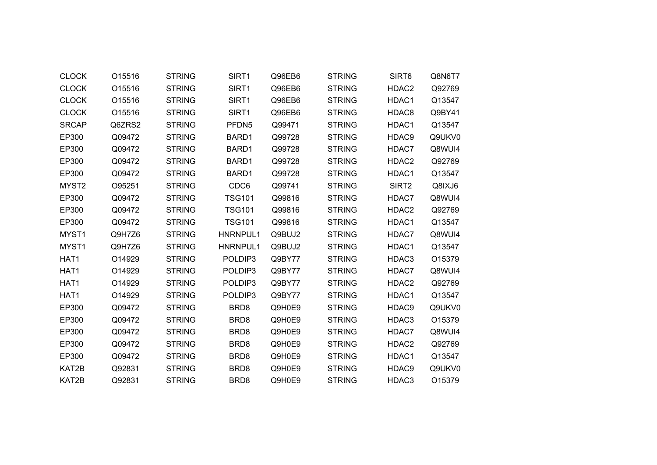| <b>CLOCK</b>      | O15516 | <b>STRING</b> | SIRT1             | Q96EB6 | <b>STRING</b> | SIRT6             | Q8N6T7 |
|-------------------|--------|---------------|-------------------|--------|---------------|-------------------|--------|
| <b>CLOCK</b>      | O15516 | <b>STRING</b> | SIRT1             | Q96EB6 | <b>STRING</b> | HDAC <sub>2</sub> | Q92769 |
| <b>CLOCK</b>      | O15516 | <b>STRING</b> | SIRT1             | Q96EB6 | <b>STRING</b> | HDAC1             | Q13547 |
| <b>CLOCK</b>      | O15516 | <b>STRING</b> | SIRT1             | Q96EB6 | <b>STRING</b> | HDAC8             | Q9BY41 |
| <b>SRCAP</b>      | Q6ZRS2 | <b>STRING</b> | PFDN <sub>5</sub> | Q99471 | <b>STRING</b> | HDAC1             | Q13547 |
| EP300             | Q09472 | <b>STRING</b> | BARD1             | Q99728 | <b>STRING</b> | HDAC9             | Q9UKV0 |
| EP300             | Q09472 | <b>STRING</b> | BARD1             | Q99728 | <b>STRING</b> | HDAC7             | Q8WUI4 |
| EP300             | Q09472 | <b>STRING</b> | BARD1             | Q99728 | <b>STRING</b> | HDAC <sub>2</sub> | Q92769 |
| EP300             | Q09472 | <b>STRING</b> | BARD1             | Q99728 | <b>STRING</b> | HDAC1             | Q13547 |
| MYST <sub>2</sub> | O95251 | <b>STRING</b> | CDC6              | Q99741 | <b>STRING</b> | SIRT <sub>2</sub> | Q8IXJ6 |
| EP300             | Q09472 | <b>STRING</b> | <b>TSG101</b>     | Q99816 | <b>STRING</b> | HDAC7             | Q8WUI4 |
| EP300             | Q09472 | <b>STRING</b> | <b>TSG101</b>     | Q99816 | <b>STRING</b> | HDAC <sub>2</sub> | Q92769 |
| EP300             | Q09472 | <b>STRING</b> | <b>TSG101</b>     | Q99816 | <b>STRING</b> | HDAC1             | Q13547 |
| MYST1             | Q9H7Z6 | <b>STRING</b> | HNRNPUL1          | Q9BUJ2 | <b>STRING</b> | HDAC7             | Q8WUI4 |
| MYST <sub>1</sub> | Q9H7Z6 | <b>STRING</b> | HNRNPUL1          | Q9BUJ2 | <b>STRING</b> | HDAC1             | Q13547 |
| HAT1              | O14929 | <b>STRING</b> | POLDIP3           | Q9BY77 | <b>STRING</b> | HDAC3             | O15379 |
| HAT1              | O14929 | <b>STRING</b> | POLDIP3           | Q9BY77 | <b>STRING</b> | HDAC7             | Q8WUI4 |
| HAT <sub>1</sub>  | O14929 | <b>STRING</b> | POLDIP3           | Q9BY77 | <b>STRING</b> | HDAC2             | Q92769 |
| HAT1              | O14929 | <b>STRING</b> | POLDIP3           | Q9BY77 | <b>STRING</b> | HDAC1             | Q13547 |
| EP300             | Q09472 | <b>STRING</b> | BRD <sub>8</sub>  | Q9H0E9 | <b>STRING</b> | HDAC9             | Q9UKV0 |
| EP300             | Q09472 | <b>STRING</b> | BRD <sub>8</sub>  | Q9H0E9 | <b>STRING</b> | HDAC3             | O15379 |
| EP300             | Q09472 | <b>STRING</b> | BRD <sub>8</sub>  | Q9H0E9 | <b>STRING</b> | HDAC7             | Q8WUI4 |
| EP300             | Q09472 | <b>STRING</b> | BRD <sub>8</sub>  | Q9H0E9 | <b>STRING</b> | HDAC2             | Q92769 |
| EP300             | Q09472 | <b>STRING</b> | BRD <sub>8</sub>  | Q9H0E9 | <b>STRING</b> | HDAC1             | Q13547 |
| KAT2B             | Q92831 | <b>STRING</b> | BRD <sub>8</sub>  | Q9H0E9 | <b>STRING</b> | HDAC9             | Q9UKV0 |
| KAT2B             | Q92831 | <b>STRING</b> | BRD <sub>8</sub>  | Q9H0E9 | <b>STRING</b> | HDAC3             | O15379 |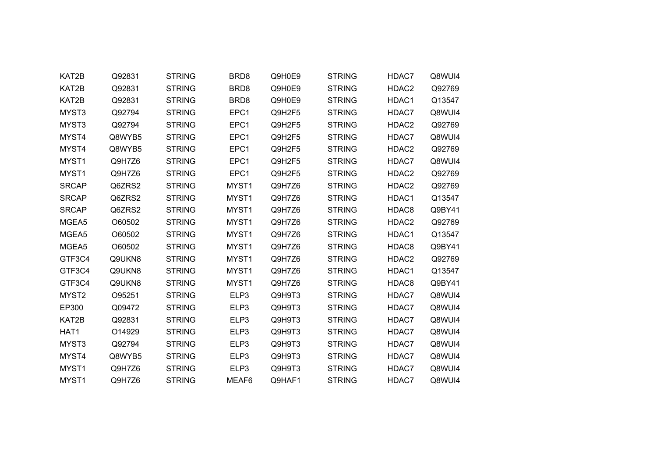| KAT2B        | Q92831 | <b>STRING</b> | BRD <sub>8</sub> | Q9H0E9 | <b>STRING</b> | HDAC7             | Q8WUI4 |  |
|--------------|--------|---------------|------------------|--------|---------------|-------------------|--------|--|
| KAT2B        | Q92831 | <b>STRING</b> | BRD <sub>8</sub> | Q9H0E9 | <b>STRING</b> | HDAC2             | Q92769 |  |
| KAT2B        | Q92831 | <b>STRING</b> | BRD <sub>8</sub> | Q9H0E9 | <b>STRING</b> | HDAC1             | Q13547 |  |
| MYST3        | Q92794 | <b>STRING</b> | EPC1             | Q9H2F5 | <b>STRING</b> | HDAC7             | Q8WUI4 |  |
| MYST3        | Q92794 | <b>STRING</b> | EPC1             | Q9H2F5 | <b>STRING</b> | HDAC <sub>2</sub> | Q92769 |  |
| MYST4        | Q8WYB5 | <b>STRING</b> | EPC1             | Q9H2F5 | <b>STRING</b> | HDAC7             | Q8WUI4 |  |
| MYST4        | Q8WYB5 | <b>STRING</b> | EPC1             | Q9H2F5 | <b>STRING</b> | HDAC2             | Q92769 |  |
| MYST1        | Q9H7Z6 | <b>STRING</b> | EPC1             | Q9H2F5 | <b>STRING</b> | HDAC7             | Q8WUI4 |  |
| MYST1        | Q9H7Z6 | <b>STRING</b> | EPC1             | Q9H2F5 | <b>STRING</b> | HDAC2             | Q92769 |  |
| <b>SRCAP</b> | Q6ZRS2 | <b>STRING</b> | MYST1            | Q9H7Z6 | <b>STRING</b> | HDAC2             | Q92769 |  |
| <b>SRCAP</b> | Q6ZRS2 | <b>STRING</b> | MYST1            | Q9H7Z6 | <b>STRING</b> | HDAC1             | Q13547 |  |
| <b>SRCAP</b> | Q6ZRS2 | <b>STRING</b> | MYST1            | Q9H7Z6 | <b>STRING</b> | HDAC8             | Q9BY41 |  |
| MGEA5        | O60502 | <b>STRING</b> | MYST1            | Q9H7Z6 | <b>STRING</b> | HDAC <sub>2</sub> | Q92769 |  |
| MGEA5        | O60502 | <b>STRING</b> | MYST1            | Q9H7Z6 | <b>STRING</b> | HDAC1             | Q13547 |  |
| MGEA5        | O60502 | <b>STRING</b> | MYST1            | Q9H7Z6 | <b>STRING</b> | HDAC8             | Q9BY41 |  |
| GTF3C4       | Q9UKN8 | <b>STRING</b> | MYST1            | Q9H7Z6 | <b>STRING</b> | HDAC2             | Q92769 |  |
| GTF3C4       | Q9UKN8 | <b>STRING</b> | MYST1            | Q9H7Z6 | <b>STRING</b> | HDAC1             | Q13547 |  |
| GTF3C4       | Q9UKN8 | <b>STRING</b> | MYST1            | Q9H7Z6 | <b>STRING</b> | HDAC8             | Q9BY41 |  |
| MYST2        | O95251 | <b>STRING</b> | ELP3             | Q9H9T3 | <b>STRING</b> | HDAC7             | Q8WUI4 |  |
| EP300        | Q09472 | <b>STRING</b> | ELP3             | Q9H9T3 | <b>STRING</b> | HDAC7             | Q8WUI4 |  |
| KAT2B        | Q92831 | <b>STRING</b> | ELP3             | Q9H9T3 | <b>STRING</b> | HDAC7             | Q8WUI4 |  |
| HAT1         | O14929 | <b>STRING</b> | ELP3             | Q9H9T3 | <b>STRING</b> | HDAC7             | Q8WUI4 |  |
| MYST3        | Q92794 | <b>STRING</b> | ELP3             | Q9H9T3 | <b>STRING</b> | HDAC7             | Q8WUI4 |  |
| MYST4        | Q8WYB5 | <b>STRING</b> | ELP3             | Q9H9T3 | <b>STRING</b> | HDAC7             | Q8WUI4 |  |
| MYST1        | Q9H7Z6 | <b>STRING</b> | ELP3             | Q9H9T3 | <b>STRING</b> | HDAC7             | Q8WUI4 |  |
| MYST1        | Q9H7Z6 | <b>STRING</b> | MEAF6            | Q9HAF1 | <b>STRING</b> | HDAC7             | Q8WUI4 |  |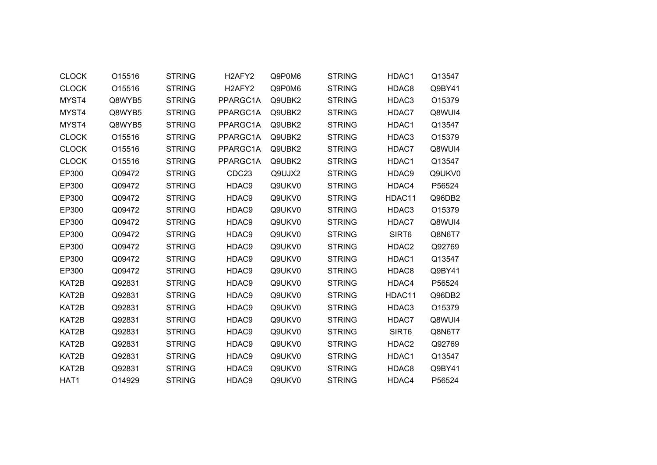| <b>CLOCK</b> | O15516 | <b>STRING</b> | H <sub>2</sub> AFY <sub>2</sub> | Q9P0M6 | <b>STRING</b> | HDAC1             | Q13547 |  |
|--------------|--------|---------------|---------------------------------|--------|---------------|-------------------|--------|--|
| <b>CLOCK</b> | O15516 | <b>STRING</b> | H <sub>2</sub> AFY <sub>2</sub> | Q9P0M6 | <b>STRING</b> | HDAC8             | Q9BY41 |  |
| MYST4        | Q8WYB5 | <b>STRING</b> | PPARGC1A                        | Q9UBK2 | <b>STRING</b> | HDAC3             | O15379 |  |
| MYST4        | Q8WYB5 | <b>STRING</b> | PPARGC1A                        | Q9UBK2 | <b>STRING</b> | HDAC7             | Q8WUI4 |  |
| MYST4        | Q8WYB5 | <b>STRING</b> | PPARGC1A                        | Q9UBK2 | <b>STRING</b> | HDAC1             | Q13547 |  |
| <b>CLOCK</b> | O15516 | <b>STRING</b> | PPARGC1A                        | Q9UBK2 | <b>STRING</b> | HDAC3             | O15379 |  |
| <b>CLOCK</b> | O15516 | <b>STRING</b> | PPARGC1A                        | Q9UBK2 | <b>STRING</b> | HDAC7             | Q8WUI4 |  |
| <b>CLOCK</b> | O15516 | <b>STRING</b> | PPARGC1A                        | Q9UBK2 | <b>STRING</b> | HDAC1             | Q13547 |  |
| EP300        | Q09472 | <b>STRING</b> | CDC23                           | Q9UJX2 | <b>STRING</b> | HDAC9             | Q9UKV0 |  |
| EP300        | Q09472 | <b>STRING</b> | HDAC9                           | Q9UKV0 | <b>STRING</b> | HDAC4             | P56524 |  |
| EP300        | Q09472 | <b>STRING</b> | HDAC9                           | Q9UKV0 | <b>STRING</b> | HDAC11            | Q96DB2 |  |
| EP300        | Q09472 | <b>STRING</b> | HDAC9                           | Q9UKV0 | <b>STRING</b> | HDAC3             | O15379 |  |
| EP300        | Q09472 | <b>STRING</b> | HDAC9                           | Q9UKV0 | <b>STRING</b> | HDAC7             | Q8WUI4 |  |
| EP300        | Q09472 | <b>STRING</b> | HDAC9                           | Q9UKV0 | <b>STRING</b> | SIRT6             | Q8N6T7 |  |
| EP300        | Q09472 | <b>STRING</b> | HDAC9                           | Q9UKV0 | <b>STRING</b> | HDAC2             | Q92769 |  |
| EP300        | Q09472 | <b>STRING</b> | HDAC9                           | Q9UKV0 | <b>STRING</b> | HDAC1             | Q13547 |  |
| EP300        | Q09472 | <b>STRING</b> | HDAC9                           | Q9UKV0 | <b>STRING</b> | HDAC8             | Q9BY41 |  |
| KAT2B        | Q92831 | <b>STRING</b> | HDAC9                           | Q9UKV0 | <b>STRING</b> | HDAC4             | P56524 |  |
| KAT2B        | Q92831 | <b>STRING</b> | HDAC9                           | Q9UKV0 | <b>STRING</b> | HDAC11            | Q96DB2 |  |
| KAT2B        | Q92831 | <b>STRING</b> | HDAC9                           | Q9UKV0 | <b>STRING</b> | HDAC3             | O15379 |  |
| KAT2B        | Q92831 | <b>STRING</b> | HDAC9                           | Q9UKV0 | <b>STRING</b> | HDAC7             | Q8WUI4 |  |
| KAT2B        | Q92831 | <b>STRING</b> | HDAC9                           | Q9UKV0 | <b>STRING</b> | SIRT <sub>6</sub> | Q8N6T7 |  |
| KAT2B        | Q92831 | <b>STRING</b> | HDAC9                           | Q9UKV0 | <b>STRING</b> | HDAC2             | Q92769 |  |
| KAT2B        | Q92831 | <b>STRING</b> | HDAC9                           | Q9UKV0 | <b>STRING</b> | HDAC1             | Q13547 |  |
| KAT2B        | Q92831 | <b>STRING</b> | HDAC9                           | Q9UKV0 | <b>STRING</b> | HDAC8             | Q9BY41 |  |
| HAT1         | O14929 | <b>STRING</b> | HDAC9                           | Q9UKV0 | <b>STRING</b> | HDAC4             | P56524 |  |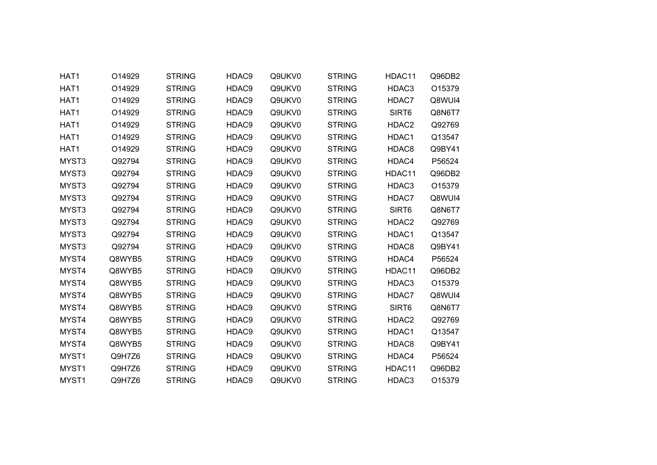| HAT1              | O14929 | <b>STRING</b> | HDAC9 | Q9UKV0 | <b>STRING</b> | HDAC11            | Q96DB2 |
|-------------------|--------|---------------|-------|--------|---------------|-------------------|--------|
| HAT1              | O14929 | <b>STRING</b> | HDAC9 | Q9UKV0 | <b>STRING</b> | HDAC3             | O15379 |
| HAT1              | O14929 | <b>STRING</b> | HDAC9 | Q9UKV0 | <b>STRING</b> | HDAC7             | Q8WUI4 |
| HAT <sub>1</sub>  | O14929 | <b>STRING</b> | HDAC9 | Q9UKV0 | <b>STRING</b> | SIRT <sub>6</sub> | Q8N6T7 |
| HAT1              | O14929 | <b>STRING</b> | HDAC9 | Q9UKV0 | <b>STRING</b> | HDAC2             | Q92769 |
| HAT1              | O14929 | <b>STRING</b> | HDAC9 | Q9UKV0 | <b>STRING</b> | HDAC1             | Q13547 |
| HAT1              | O14929 | <b>STRING</b> | HDAC9 | Q9UKV0 | <b>STRING</b> | HDAC8             | Q9BY41 |
| MYST3             | Q92794 | <b>STRING</b> | HDAC9 | Q9UKV0 | <b>STRING</b> | HDAC4             | P56524 |
| MYST3             | Q92794 | <b>STRING</b> | HDAC9 | Q9UKV0 | <b>STRING</b> | HDAC11            | Q96DB2 |
| MYST3             | Q92794 | <b>STRING</b> | HDAC9 | Q9UKV0 | <b>STRING</b> | HDAC3             | O15379 |
| MYST3             | Q92794 | <b>STRING</b> | HDAC9 | Q9UKV0 | <b>STRING</b> | HDAC7             | Q8WUI4 |
| MYST3             | Q92794 | <b>STRING</b> | HDAC9 | Q9UKV0 | <b>STRING</b> | SIRT6             | Q8N6T7 |
| MYST3             | Q92794 | <b>STRING</b> | HDAC9 | Q9UKV0 | <b>STRING</b> | HDAC <sub>2</sub> | Q92769 |
| MYST3             | Q92794 | <b>STRING</b> | HDAC9 | Q9UKV0 | <b>STRING</b> | HDAC1             | Q13547 |
| MYST3             | Q92794 | <b>STRING</b> | HDAC9 | Q9UKV0 | <b>STRING</b> | HDAC8             | Q9BY41 |
| MYST4             | Q8WYB5 | <b>STRING</b> | HDAC9 | Q9UKV0 | <b>STRING</b> | HDAC4             | P56524 |
| MYST4             | Q8WYB5 | <b>STRING</b> | HDAC9 | Q9UKV0 | <b>STRING</b> | HDAC11            | Q96DB2 |
| MYST4             | Q8WYB5 | <b>STRING</b> | HDAC9 | Q9UKV0 | <b>STRING</b> | HDAC3             | O15379 |
| MYST4             | Q8WYB5 | <b>STRING</b> | HDAC9 | Q9UKV0 | <b>STRING</b> | HDAC7             | Q8WUI4 |
| MYST4             | Q8WYB5 | <b>STRING</b> | HDAC9 | Q9UKV0 | <b>STRING</b> | SIRT <sub>6</sub> | Q8N6T7 |
| MYST4             | Q8WYB5 | <b>STRING</b> | HDAC9 | Q9UKV0 | <b>STRING</b> | HDAC <sub>2</sub> | Q92769 |
| MYST4             | Q8WYB5 | <b>STRING</b> | HDAC9 | Q9UKV0 | <b>STRING</b> | HDAC1             | Q13547 |
| MYST4             | Q8WYB5 | <b>STRING</b> | HDAC9 | Q9UKV0 | <b>STRING</b> | HDAC8             | Q9BY41 |
| MYST1             | Q9H7Z6 | <b>STRING</b> | HDAC9 | Q9UKV0 | <b>STRING</b> | HDAC4             | P56524 |
| MYST1             | Q9H7Z6 | <b>STRING</b> | HDAC9 | Q9UKV0 | <b>STRING</b> | HDAC11            | Q96DB2 |
| MYST <sub>1</sub> | Q9H7Z6 | <b>STRING</b> | HDAC9 | Q9UKV0 | <b>STRING</b> | HDAC3             | O15379 |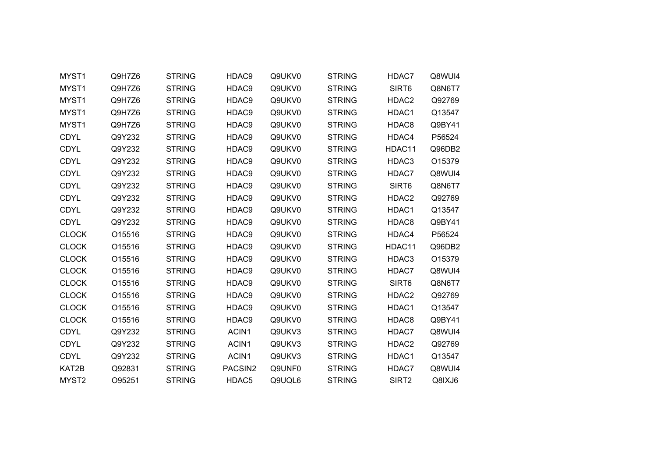| MYST1             | Q9H7Z6 | <b>STRING</b> | HDAC9   | Q9UKV0 | <b>STRING</b> | HDAC7             | Q8WUI4 |
|-------------------|--------|---------------|---------|--------|---------------|-------------------|--------|
| MYST1             | Q9H7Z6 | <b>STRING</b> | HDAC9   | Q9UKV0 | <b>STRING</b> | SIRT6             | Q8N6T7 |
| MYST1             | Q9H7Z6 | <b>STRING</b> | HDAC9   | Q9UKV0 | <b>STRING</b> | HDAC2             | Q92769 |
| MYST1             | Q9H7Z6 | <b>STRING</b> | HDAC9   | Q9UKV0 | <b>STRING</b> | HDAC1             | Q13547 |
| MYST1             | Q9H7Z6 | <b>STRING</b> | HDAC9   | Q9UKV0 | <b>STRING</b> | HDAC8             | Q9BY41 |
| <b>CDYL</b>       | Q9Y232 | <b>STRING</b> | HDAC9   | Q9UKV0 | <b>STRING</b> | HDAC4             | P56524 |
| <b>CDYL</b>       | Q9Y232 | <b>STRING</b> | HDAC9   | Q9UKV0 | <b>STRING</b> | HDAC11            | Q96DB2 |
| <b>CDYL</b>       | Q9Y232 | <b>STRING</b> | HDAC9   | Q9UKV0 | <b>STRING</b> | HDAC3             | O15379 |
| <b>CDYL</b>       | Q9Y232 | <b>STRING</b> | HDAC9   | Q9UKV0 | <b>STRING</b> | HDAC7             | Q8WUI4 |
| <b>CDYL</b>       | Q9Y232 | <b>STRING</b> | HDAC9   | Q9UKV0 | <b>STRING</b> | SIRT6             | Q8N6T7 |
| <b>CDYL</b>       | Q9Y232 | <b>STRING</b> | HDAC9   | Q9UKV0 | <b>STRING</b> | HDAC2             | Q92769 |
| <b>CDYL</b>       | Q9Y232 | <b>STRING</b> | HDAC9   | Q9UKV0 | <b>STRING</b> | HDAC1             | Q13547 |
| <b>CDYL</b>       | Q9Y232 | <b>STRING</b> | HDAC9   | Q9UKV0 | <b>STRING</b> | HDAC8             | Q9BY41 |
| <b>CLOCK</b>      | O15516 | <b>STRING</b> | HDAC9   | Q9UKV0 | <b>STRING</b> | HDAC4             | P56524 |
| <b>CLOCK</b>      | O15516 | <b>STRING</b> | HDAC9   | Q9UKV0 | <b>STRING</b> | HDAC11            | Q96DB2 |
| <b>CLOCK</b>      | O15516 | <b>STRING</b> | HDAC9   | Q9UKV0 | <b>STRING</b> | HDAC3             | O15379 |
| <b>CLOCK</b>      | O15516 | <b>STRING</b> | HDAC9   | Q9UKV0 | <b>STRING</b> | HDAC7             | Q8WUI4 |
| <b>CLOCK</b>      | O15516 | <b>STRING</b> | HDAC9   | Q9UKV0 | <b>STRING</b> | SIRT6             | Q8N6T7 |
| <b>CLOCK</b>      | O15516 | <b>STRING</b> | HDAC9   | Q9UKV0 | <b>STRING</b> | HDAC2             | Q92769 |
| <b>CLOCK</b>      | O15516 | <b>STRING</b> | HDAC9   | Q9UKV0 | <b>STRING</b> | HDAC1             | Q13547 |
| <b>CLOCK</b>      | O15516 | <b>STRING</b> | HDAC9   | Q9UKV0 | <b>STRING</b> | HDAC8             | Q9BY41 |
| <b>CDYL</b>       | Q9Y232 | <b>STRING</b> | ACIN1   | Q9UKV3 | <b>STRING</b> | HDAC7             | Q8WUI4 |
| <b>CDYL</b>       | Q9Y232 | <b>STRING</b> | ACIN1   | Q9UKV3 | <b>STRING</b> | HDAC2             | Q92769 |
| CDYL              | Q9Y232 | <b>STRING</b> | ACIN1   | Q9UKV3 | <b>STRING</b> | HDAC1             | Q13547 |
| KAT2B             | Q92831 | <b>STRING</b> | PACSIN2 | Q9UNF0 | <b>STRING</b> | HDAC7             | Q8WUI4 |
| MYST <sub>2</sub> | O95251 | <b>STRING</b> | HDAC5   | Q9UQL6 | <b>STRING</b> | SIRT <sub>2</sub> | Q8IXJ6 |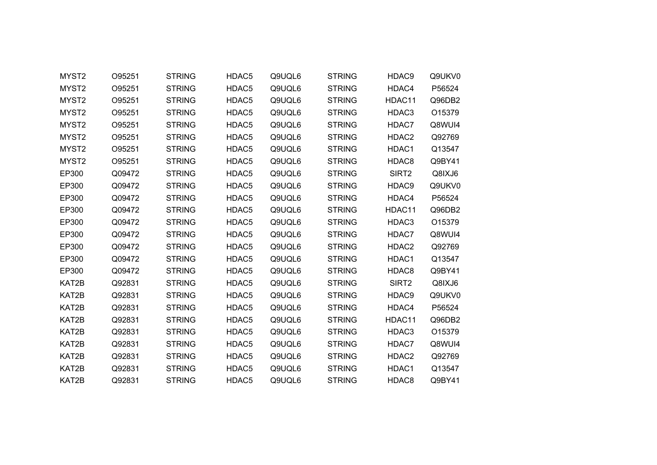| MYST2             | O95251 | <b>STRING</b> | HDAC5 | Q9UQL6 | <b>STRING</b> | HDAC9             | Q9UKV0 |  |
|-------------------|--------|---------------|-------|--------|---------------|-------------------|--------|--|
| MYST2             | O95251 | <b>STRING</b> | HDAC5 | Q9UQL6 | <b>STRING</b> | HDAC4             | P56524 |  |
| MYST <sub>2</sub> | O95251 | <b>STRING</b> | HDAC5 | Q9UQL6 | <b>STRING</b> | HDAC11            | Q96DB2 |  |
| MYST <sub>2</sub> | O95251 | <b>STRING</b> | HDAC5 | Q9UQL6 | <b>STRING</b> | HDAC3             | O15379 |  |
| MYST <sub>2</sub> | O95251 | <b>STRING</b> | HDAC5 | Q9UQL6 | <b>STRING</b> | HDAC7             | Q8WUI4 |  |
| MYST2             | O95251 | <b>STRING</b> | HDAC5 | Q9UQL6 | <b>STRING</b> | HDAC2             | Q92769 |  |
| MYST <sub>2</sub> | O95251 | <b>STRING</b> | HDAC5 | Q9UQL6 | <b>STRING</b> | HDAC1             | Q13547 |  |
| MYST <sub>2</sub> | O95251 | <b>STRING</b> | HDAC5 | Q9UQL6 | <b>STRING</b> | HDAC8             | Q9BY41 |  |
| EP300             | Q09472 | <b>STRING</b> | HDAC5 | Q9UQL6 | <b>STRING</b> | SIRT <sub>2</sub> | Q8IXJ6 |  |
| EP300             | Q09472 | <b>STRING</b> | HDAC5 | Q9UQL6 | <b>STRING</b> | HDAC9             | Q9UKV0 |  |
| EP300             | Q09472 | <b>STRING</b> | HDAC5 | Q9UQL6 | <b>STRING</b> | HDAC4             | P56524 |  |
| EP300             | Q09472 | <b>STRING</b> | HDAC5 | Q9UQL6 | <b>STRING</b> | HDAC11            | Q96DB2 |  |
| EP300             | Q09472 | <b>STRING</b> | HDAC5 | Q9UQL6 | <b>STRING</b> | HDAC3             | O15379 |  |
| EP300             | Q09472 | <b>STRING</b> | HDAC5 | Q9UQL6 | <b>STRING</b> | HDAC7             | Q8WUI4 |  |
| EP300             | Q09472 | <b>STRING</b> | HDAC5 | Q9UQL6 | <b>STRING</b> | HDAC2             | Q92769 |  |
| EP300             | Q09472 | <b>STRING</b> | HDAC5 | Q9UQL6 | <b>STRING</b> | HDAC1             | Q13547 |  |
| EP300             | Q09472 | <b>STRING</b> | HDAC5 | Q9UQL6 | <b>STRING</b> | HDAC8             | Q9BY41 |  |
| KAT2B             | Q92831 | <b>STRING</b> | HDAC5 | Q9UQL6 | <b>STRING</b> | SIRT <sub>2</sub> | Q8IXJ6 |  |
| KAT2B             | Q92831 | <b>STRING</b> | HDAC5 | Q9UQL6 | <b>STRING</b> | HDAC9             | Q9UKV0 |  |
| KAT2B             | Q92831 | <b>STRING</b> | HDAC5 | Q9UQL6 | <b>STRING</b> | HDAC4             | P56524 |  |
| KAT2B             | Q92831 | <b>STRING</b> | HDAC5 | Q9UQL6 | <b>STRING</b> | HDAC11            | Q96DB2 |  |
| KAT2B             | Q92831 | <b>STRING</b> | HDAC5 | Q9UQL6 | <b>STRING</b> | HDAC3             | O15379 |  |
| KAT2B             | Q92831 | <b>STRING</b> | HDAC5 | Q9UQL6 | <b>STRING</b> | HDAC7             | Q8WUI4 |  |
| KAT2B             | Q92831 | <b>STRING</b> | HDAC5 | Q9UQL6 | <b>STRING</b> | HDAC <sub>2</sub> | Q92769 |  |
| KAT2B             | Q92831 | <b>STRING</b> | HDAC5 | Q9UQL6 | <b>STRING</b> | HDAC1             | Q13547 |  |
| KAT2B             | Q92831 | <b>STRING</b> | HDAC5 | Q9UQL6 | <b>STRING</b> | HDAC8             | Q9BY41 |  |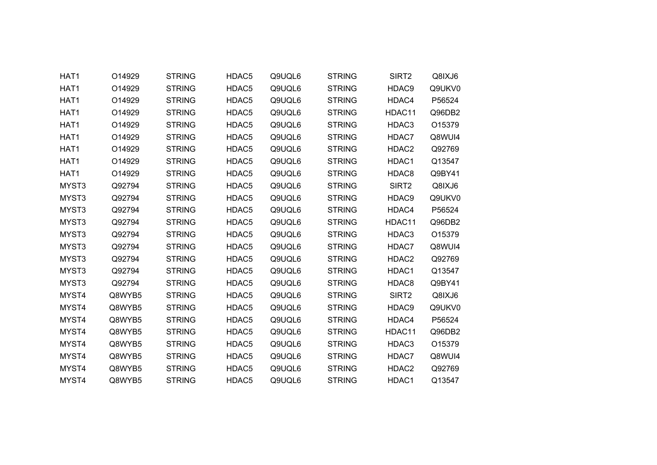| HAT1  | O14929 | <b>STRING</b> | HDAC5             | Q9UQL6 | <b>STRING</b> | SIRT2             | Q8IXJ6 |
|-------|--------|---------------|-------------------|--------|---------------|-------------------|--------|
| HAT1  | O14929 | <b>STRING</b> | HDAC5             | Q9UQL6 | <b>STRING</b> | HDAC9             | Q9UKV0 |
| HAT1  | O14929 | <b>STRING</b> | HDAC5             | Q9UQL6 | <b>STRING</b> | HDAC4             | P56524 |
| HAT1  | O14929 | <b>STRING</b> | HDAC5             | Q9UQL6 | <b>STRING</b> | HDAC11            | Q96DB2 |
| HAT1  | O14929 | <b>STRING</b> | HDAC5             | Q9UQL6 | <b>STRING</b> | HDAC3             | O15379 |
| HAT1  | O14929 | <b>STRING</b> | HDAC5             | Q9UQL6 | <b>STRING</b> | HDAC7             | Q8WUI4 |
| HAT1  | O14929 | <b>STRING</b> | HDAC <sub>5</sub> | Q9UQL6 | <b>STRING</b> | HDAC2             | Q92769 |
| HAT1  | O14929 | <b>STRING</b> | HDAC5             | Q9UQL6 | <b>STRING</b> | HDAC1             | Q13547 |
| HAT1  | O14929 | <b>STRING</b> | HDAC5             | Q9UQL6 | <b>STRING</b> | HDAC8             | Q9BY41 |
| MYST3 | Q92794 | <b>STRING</b> | HDAC5             | Q9UQL6 | <b>STRING</b> | SIRT <sub>2</sub> | Q8IXJ6 |
| MYST3 | Q92794 | <b>STRING</b> | HDAC5             | Q9UQL6 | <b>STRING</b> | HDAC9             | Q9UKV0 |
| MYST3 | Q92794 | <b>STRING</b> | HDAC5             | Q9UQL6 | <b>STRING</b> | HDAC4             | P56524 |
| MYST3 | Q92794 | <b>STRING</b> | HDAC5             | Q9UQL6 | <b>STRING</b> | HDAC11            | Q96DB2 |
| MYST3 | Q92794 | <b>STRING</b> | HDAC5             | Q9UQL6 | <b>STRING</b> | HDAC3             | O15379 |
| MYST3 | Q92794 | <b>STRING</b> | HDAC5             | Q9UQL6 | <b>STRING</b> | HDAC7             | Q8WUI4 |
| MYST3 | Q92794 | <b>STRING</b> | HDAC5             | Q9UQL6 | <b>STRING</b> | HDAC2             | Q92769 |
| MYST3 | Q92794 | <b>STRING</b> | HDAC5             | Q9UQL6 | <b>STRING</b> | HDAC1             | Q13547 |
| MYST3 | Q92794 | <b>STRING</b> | HDAC5             | Q9UQL6 | <b>STRING</b> | HDAC8             | Q9BY41 |
| MYST4 | Q8WYB5 | <b>STRING</b> | HDAC5             | Q9UQL6 | <b>STRING</b> | SIRT2             | Q8IXJ6 |
| MYST4 | Q8WYB5 | <b>STRING</b> | HDAC5             | Q9UQL6 | <b>STRING</b> | HDAC9             | Q9UKV0 |
| MYST4 | Q8WYB5 | <b>STRING</b> | HDAC5             | Q9UQL6 | <b>STRING</b> | HDAC4             | P56524 |
| MYST4 | Q8WYB5 | <b>STRING</b> | HDAC5             | Q9UQL6 | <b>STRING</b> | HDAC11            | Q96DB2 |
| MYST4 | Q8WYB5 | <b>STRING</b> | HDAC5             | Q9UQL6 | <b>STRING</b> | HDAC3             | O15379 |
| MYST4 | Q8WYB5 | <b>STRING</b> | HDAC5             | Q9UQL6 | <b>STRING</b> | HDAC7             | Q8WUI4 |
| MYST4 | Q8WYB5 | <b>STRING</b> | HDAC5             | Q9UQL6 | <b>STRING</b> | HDAC2             | Q92769 |
| MYST4 | Q8WYB5 | <b>STRING</b> | HDAC5             | Q9UQL6 | <b>STRING</b> | HDAC1             | Q13547 |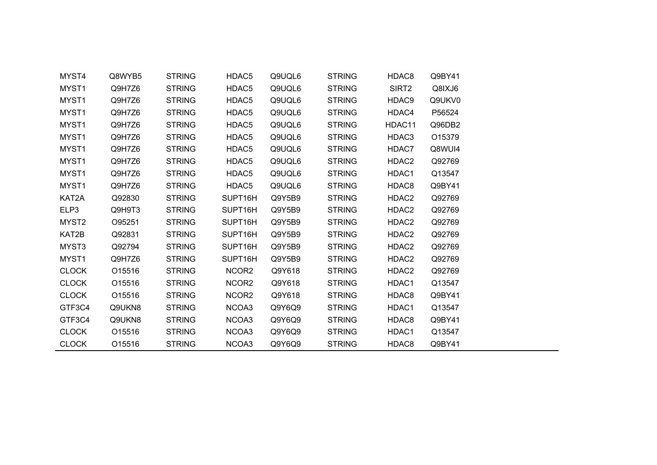| MYST4             | Q8WYB5 | <b>STRING</b> | HDAC5                | Q9UQL6 | <b>STRING</b> | HDAC8  | Q9BY41             |  |
|-------------------|--------|---------------|----------------------|--------|---------------|--------|--------------------|--|
| MYST1             | Q9H7Z6 | <b>STRING</b> | HDAC5                | Q9UQL6 | <b>STRING</b> | SIRT2  | Q8IXJ6             |  |
| MYST <sub>1</sub> | Q9H7Z6 | <b>STRING</b> | HDAC5                | Q9UQL6 | <b>STRING</b> | HDAC9  | Q9UKV0             |  |
| MYST1             | Q9H7Z6 | <b>STRING</b> | HDAC5                | Q9UQL6 | <b>STRING</b> | HDAC4  | P56524             |  |
| MYST1             | Q9H7Z6 | <b>STRING</b> | HDAC5                | Q9UQL6 | <b>STRING</b> | HDAC11 | Q96DB2             |  |
| MYST1             | Q9H7Z6 | <b>STRING</b> | HDAC5                | Q9UQL6 | <b>STRING</b> | HDAC3  | O <sub>15379</sub> |  |
| MYST1             | Q9H7Z6 | <b>STRING</b> | HDAC5                | Q9UQL6 | <b>STRING</b> | HDAC7  | Q8WUI4             |  |
| MYST1             | Q9H7Z6 | <b>STRING</b> | HDAC5                | Q9UQL6 | <b>STRING</b> | HDAC2  | Q92769             |  |
| MYST1             | Q9H7Z6 | <b>STRING</b> | HDAC5                | Q9UQL6 | <b>STRING</b> | HDAC1  | Q13547             |  |
| MYST1             | Q9H7Z6 | <b>STRING</b> | HDAC5                | Q9UQL6 | <b>STRING</b> | HDAC8  | Q9BY41             |  |
| KAT2A             | Q92830 | <b>STRING</b> | SUPT16H              | Q9Y5B9 | <b>STRING</b> | HDAC2  | Q92769             |  |
| ELP3              | Q9H9T3 | <b>STRING</b> | SUPT16H              | Q9Y5B9 | <b>STRING</b> | HDAC2  | Q92769             |  |
| MYST <sub>2</sub> | O95251 | <b>STRING</b> | SUPT16H              | Q9Y5B9 | <b>STRING</b> | HDAC2  | Q92769             |  |
| KAT2B             | Q92831 | <b>STRING</b> | SUPT16H              | Q9Y5B9 | <b>STRING</b> | HDAC2  | Q92769             |  |
| MYST3             | Q92794 | <b>STRING</b> | SUPT16H              | Q9Y5B9 | <b>STRING</b> | HDAC2  | Q92769             |  |
| MYST <sub>1</sub> | Q9H7Z6 | <b>STRING</b> | SUPT <sub>16</sub> H | Q9Y5B9 | <b>STRING</b> | HDAC2  | Q92769             |  |
| <b>CLOCK</b>      | O15516 | <b>STRING</b> | NCOR2                | Q9Y618 | <b>STRING</b> | HDAC2  | Q92769             |  |
| <b>CLOCK</b>      | O15516 | <b>STRING</b> | NCOR <sub>2</sub>    | Q9Y618 | <b>STRING</b> | HDAC1  | Q13547             |  |
| <b>CLOCK</b>      | O15516 | <b>STRING</b> | NCOR2                | Q9Y618 | <b>STRING</b> | HDAC8  | Q9BY41             |  |
| GTF3C4            | Q9UKN8 | <b>STRING</b> | NCOA3                | Q9Y6Q9 | <b>STRING</b> | HDAC1  | Q13547             |  |
| GTF3C4            | Q9UKN8 | <b>STRING</b> | NCOA3                | Q9Y6Q9 | <b>STRING</b> | HDAC8  | Q9BY41             |  |
| <b>CLOCK</b>      | O15516 | <b>STRING</b> | NCOA3                | Q9Y6Q9 | <b>STRING</b> | HDAC1  | Q13547             |  |
| <b>CLOCK</b>      | O15516 | <b>STRING</b> | NCOA3                | Q9Y6Q9 | <b>STRING</b> | HDAC8  | Q9BY41             |  |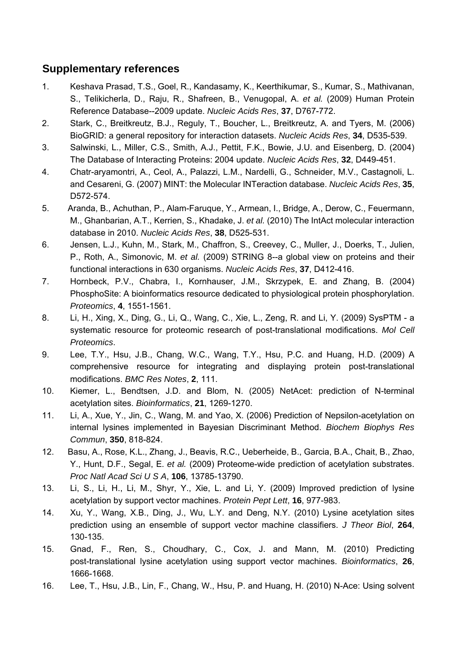## **Supplementary references**

- 1. Keshava Prasad, T.S., Goel, R., Kandasamy, K., Keerthikumar, S., Kumar, S., Mathivanan, S., Telikicherla, D., Raju, R., Shafreen, B., Venugopal, A. *et al.* (2009) Human Protein Reference Database--2009 update. *Nucleic Acids Res*, **37**, D767-772.
- 2. Stark, C., Breitkreutz, B.J., Reguly, T., Boucher, L., Breitkreutz, A. and Tyers, M. (2006) BioGRID: a general repository for interaction datasets. *Nucleic Acids Res*, **34**, D535-539.
- 3. Salwinski, L., Miller, C.S., Smith, A.J., Pettit, F.K., Bowie, J.U. and Eisenberg, D. (2004) The Database of Interacting Proteins: 2004 update. *Nucleic Acids Res*, **32**, D449-451.
- 4. Chatr-aryamontri, A., Ceol, A., Palazzi, L.M., Nardelli, G., Schneider, M.V., Castagnoli, L. and Cesareni, G. (2007) MINT: the Molecular INTeraction database. *Nucleic Acids Res*, **35**, D572-574.
- 5. Aranda, B., Achuthan, P., Alam-Faruque, Y., Armean, I., Bridge, A., Derow, C., Feuermann, M., Ghanbarian, A.T., Kerrien, S., Khadake, J. *et al.* (2010) The IntAct molecular interaction database in 2010. *Nucleic Acids Res*, **38**, D525-531.
- 6. Jensen, L.J., Kuhn, M., Stark, M., Chaffron, S., Creevey, C., Muller, J., Doerks, T., Julien, P., Roth, A., Simonovic, M. *et al.* (2009) STRING 8--a global view on proteins and their functional interactions in 630 organisms. *Nucleic Acids Res*, **37**, D412-416.
- 7. Hornbeck, P.V., Chabra, I., Kornhauser, J.M., Skrzypek, E. and Zhang, B. (2004) PhosphoSite: A bioinformatics resource dedicated to physiological protein phosphorylation. *Proteomics*, **4**, 1551-1561.
- 8. Li, H., Xing, X., Ding, G., Li, Q., Wang, C., Xie, L., Zeng, R. and Li, Y. (2009) SysPTM a systematic resource for proteomic research of post-translational modifications. *Mol Cell Proteomics*.
- 9. Lee, T.Y., Hsu, J.B., Chang, W.C., Wang, T.Y., Hsu, P.C. and Huang, H.D. (2009) A comprehensive resource for integrating and displaying protein post-translational modifications. *BMC Res Notes*, **2**, 111.
- 10. Kiemer, L., Bendtsen, J.D. and Blom, N. (2005) NetAcet: prediction of N-terminal acetylation sites. *Bioinformatics*, **21**, 1269-1270.
- 11. Li, A., Xue, Y., Jin, C., Wang, M. and Yao, X. (2006) Prediction of Nepsilon-acetylation on internal lysines implemented in Bayesian Discriminant Method. *Biochem Biophys Res Commun*, **350**, 818-824.
- 12. Basu, A., Rose, K.L., Zhang, J., Beavis, R.C., Ueberheide, B., Garcia, B.A., Chait, B., Zhao, Y., Hunt, D.F., Segal, E. *et al.* (2009) Proteome-wide prediction of acetylation substrates. *Proc Natl Acad Sci U S A*, **106**, 13785-13790.
- 13. Li, S., Li, H., Li, M., Shyr, Y., Xie, L. and Li, Y. (2009) Improved prediction of lysine acetylation by support vector machines. *Protein Pept Lett*, **16**, 977-983.
- 14. Xu, Y., Wang, X.B., Ding, J., Wu, L.Y. and Deng, N.Y. (2010) Lysine acetylation sites prediction using an ensemble of support vector machine classifiers. *J Theor Biol*, **264**, 130-135.
- 15. Gnad, F., Ren, S., Choudhary, C., Cox, J. and Mann, M. (2010) Predicting post-translational lysine acetylation using support vector machines. *Bioinformatics*, **26**, 1666-1668.
- 16. Lee, T., Hsu, J.B., Lin, F., Chang, W., Hsu, P. and Huang, H. (2010) N-Ace: Using solvent